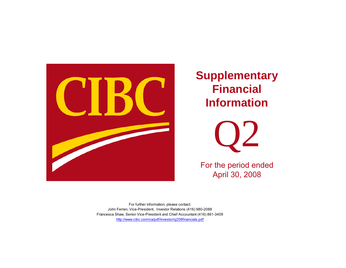

**Supplementary Financial Information** 



For the period ended April 30, 2008

http://www.cibc.com/ca/pdf/investor/q208financials.pdf For further information, please contact: John Ferren, Vice-President, Investor Relations (416) 980-2088 Francesca Shaw, Senior Vice-President and Chief Accountant (416) 861-3409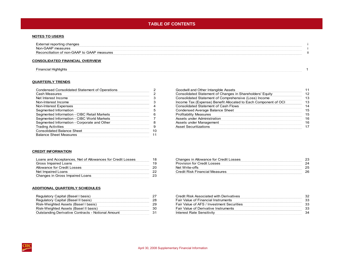## **TABLE OF CONTENTS**

#### **NOTES TO USERS**

| External reporting changes                  |  |
|---------------------------------------------|--|
| Non-GAAP measures                           |  |
| Reconciliation of non-GAAP to GAAP measures |  |

#### **CONSOLIDATED FINANCIAL OVERVIEW**

[Financial Highlights 1](#page-4-0)

#### **QUARTERLY TRENDS**

| Condensed Consolidated Statement of Operations |    |
|------------------------------------------------|----|
| <b>Cash Measures</b>                           |    |
| Net Interest Income                            |    |
| Non-Interest Income                            | з  |
| Non-Interest Expenses                          |    |
| Segmented Information                          | 5  |
| Segmented Information - CIBC Retail Markets    | ี  |
| Segmented Information - CIBC World Markets     |    |
| Segmented Information - Corporate and Other    | 8  |
| <b>Trading Activities</b>                      | 9  |
| <b>Consolidated Balance Sheet</b>              | 10 |
| <b>Balance Sheet Measures</b>                  |    |
|                                                |    |

#### [Goodwill and Other Intangible Assets](#page-14-0) 11 Goodwill and Other Intangible Assets 11 [Consolidated Statement of Changes in Shareholders' Equity](#page-15-0) 12 [Consolidated Statement of Comprehensive \(Loss\) Income 13](#page-16-0) [Income Tax \(Expense\) Benefit Allocated to Each Component of OCI](#page-16-0) 13 [Consolidated Statement of Cash Flows](#page-17-0) 14 [Condensed Average Balance Sheet](#page-18-0) 15 **Separation [-](#page-9-0) [CIBC](#page-9-0) [Retail](#page-9-0) [Markets](#page-9-0) [6](#page-9-0) [Profitability](#page-18-0) [Measures](#page-18-0) 15 Profitability Measures 15 Profitability Measures** [Assets under Administration](#page-19-0) - CIBC World Markets 7 Assets 16 [Assets under Management](#page-19-0) 16 Assets under Management 16 Assets under Management 16 Assets under Management 16 Assets und [Asset Securitizations](#page-20-0) 17

#### **CREDIT INFORMATION**

| Loans and Acceptances, Net of Allowances for Credit Losses |  |
|------------------------------------------------------------|--|
| Gross Impaired Loans                                       |  |
| Allowance for Credit Losses                                |  |
| Net Impaired Loans                                         |  |
| Changes in Gross Impaired Loans                            |  |

#### [Changes](#page-26-0) [in](#page-26-0) [Allowance](#page-26-0) [for](#page-26-0) [Credit](#page-26-0) [Losses](#page-26-0) 18 Changes 18 Changes 18 Changes 18 Changes 23 [Provision for Credit Losses](#page-27-0) 24 [Net Write-offs](#page-28-0) 25 [Credit Risk Financial Measures](#page-29-0) 26 Credit Risk Financial Measures 26

#### **ADDITIONAL QUARTERLY SCHEDULES**

| Regulatory Capital (Basel I basis)                        |    |
|-----------------------------------------------------------|----|
| Regulatory Capital (Basel II basis)                       | 28 |
| Risk-Weighted Assets (Basel I basis)                      | 29 |
| Risk-Weighted Assets (Basel II basis)                     | 30 |
| <b>Outstanding Derivative Contracts - Notional Amount</b> |    |

| Regulatory Capital (Basel I basis)                 | 27 | Credit Risk Associated with Derivatives     | 32 |
|----------------------------------------------------|----|---------------------------------------------|----|
| Regulatory Capital (Basel II basis)                | 28 | <b>Fair Value of Financial Instruments</b>  | 33 |
| Risk-Weighted Assets (Basel I basis)               | 29 | Fair Value of AFS / Investment Securities   | 33 |
| Risk-Weighted Assets (Basel II basis)              | 30 | <b>Fair Value of Derivative Instruments</b> | 33 |
| Outstanding Derivative Contracts - Notional Amount |    | Interest Rate Sensitivity                   | 34 |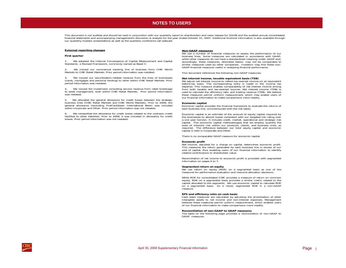#### **NOTES TO USERS NOTES TO USERS**

<span id="page-2-0"></span>This document is not audited and should be read in conjunction with our quarterly report to shareholders and news release for Q2/08 and the audited annual consolidated financial statements and accompanying management's discussion & analysis for the year ended October 31, 2007. Additional financial information is also available through our quarterly investor presentations as well as the quarterly conference call webcast.

#### **External reporting changes**

#### **First quarter**

We adopted the Internal Convergence of Capital Measurement and Capital Standards: a Revised Framework, commonly named as Basel II.

2. We moved our commercial banking line of business from CIBC World Markets to CIBC Retail Markets. Prior period information was restated.

3. We moved our securitization-related revenue from the lines of businesses (cards, mortgages and personal lending) to other within CIBC Retail Markets. Prior period information was restated.

4. We moved the investment consulting service revenue from retail brokerage to asset management, both within CIBC Retail Markets. Prior period information was restated.

5. We allocated the general allowance for credit losses between the strategic business lines (CIBC Retail Markets and CIBC World Markets). Prior to 2008, the general allowance (excluding FirstCaribbean International Bank) was included within Corporate and Other. Prior period information was not restated.

6. We reclassified the allowance for credit losses related to the undrawn credit facilities to other liabilities. Prior to 2008, it was included in allowance for credit losses. Prior period information was not restated.

#### **Non-GAAP measures**

We use <sup>a</sup> number of financial measures to assess the performance of our business lines. Some measures are calculated in accordance with GAAP, while other measures do not have <sup>a</sup> standardized meaning under GAAP and, accordingly, these measures, described below, may not be comparable to similar measures used by other companies. Investors may find these non-GAAP financial measures useful in analyzing financial performance.

This document references the following non-GAAP measures:

#### **Net interest income, taxable equivalent basis (TEB)**

We adjust net interest income to reflect tax-exempt income on an equivalent before-tax basis. The corresponding entry is made in the income tax expense. This measure enables comparability of net interest income arising from both taxable and tax-exempt sources. Net interest income (TEB) is used to calculate the efficiency ratio and trading revenue (TEB). We believe these measures permit uniform measurement, which may enable users of our financial information to make comparisons more readily.

#### **Economic capital**

Economic capital provides the financial framework to evaluate the returns of each business line, commensurate with the risk taken.

Economic capital is an estimate of the amount of equity capital required by the businesses to absorb losses consistent with our targeted risk rating over <sup>a</sup> one year horizon. It includes credit, market, operational and strategic risk capital. The economic capital methodologies that we employ quantify the level of inherent risk within our products, clients, and business lines, as required. The difference between our total equity capital and economic capital is held in Corporate and Other.

There is no comparable GAAP measure for economic capital.

#### **Economic profit**

Net income, adjusted for <sup>a</sup> charge on capital, determines economic profit. This measures the return generated by each business line in excess of our cost of capital, thus enabling users of our financial information to identify relative contributions to shareholder value.

Reconciliation of net income to economic profit is provided with segmented information on pages 6 to 7.

#### **Segmented return on equity**

We use return on equity (ROE) on <sup>a</sup> segmented basis as one of the measures for performance evaluation and resource allocation decisions.

While ROE for consolidated CIBC provides <sup>a</sup> measure of return on common equity, ROE on <sup>a</sup> segmented basis provides <sup>a</sup> similar metric related to the capital allocated to the segments. We use economic capital to calculate ROE on <sup>a</sup> segmented basis. As <sup>a</sup> result, segmented ROE is <sup>a</sup> non-GAAP measure.

#### **EPS and efficiency ratio on cash basis**

Cash basis measures are calculated by adjusting the amortization of other intangible assets to net income and non-interest expenses. Management believes these measures permit uniform measurement, which enables users of our financial information to make comparisons more readily.

#### **Reconciliation of non-GAAP to GAAP measures**

 The table on the following page provides <sup>a</sup> reconciliation of non-GAAP to GAAP measures.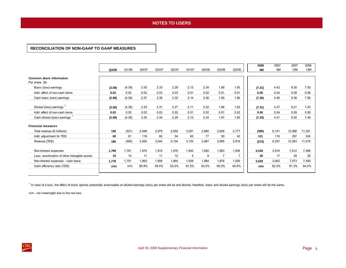### **NOTES TO USERS NOTES TO USERS**

### <span id="page-3-0"></span>**RECONCILIATION OF NON-GAAP TO GAAP MEASURES**

|                                               | Q2/08  | Q1/08  | Q4/07 | Q3/07 | Q2/07 | Q1/07 | Q4/06 | Q3/06 | Q2/06 | 2008<br>6M | 2007<br>6M | 2007<br>12M | 2006<br>12M |
|-----------------------------------------------|--------|--------|-------|-------|-------|-------|-------|-------|-------|------------|------------|-------------|-------------|
| Common share information<br>Per share (\$)    |        |        |       |       |       |       |       |       |       |            |            |             |             |
| Basic (loss) earnings                         | (3.00) | (4.39) | 2.55  | 2.33  | 2.29  | 2.13  | 2.34  | 1.88  | 1.65  | (7.31)     | 4.42       | 9.30        | 7.50        |
| Add: effect of non-cash items                 | 0.02   | 0.03   | 0.02  | 0.03  | 0.03  | 0.01  | 0.02  | 0.01  | 0.01  | 0.05       | 0.04       | 0.08        | 0.06        |
| Cash basic (loss) earnings                    | (2.98) | (4.36) | 2.57  | 2.36  | 2.32  | 2.14  | 2.36  | 1.89  | 1.66  | (7.26)     | 4.46       | 9.38        | 7.56        |
| Diluted (loss) earnings                       | (3.00) | (4.39) | 2.53  | 2.31  | 2.27  | 2.11  | 2.32  | 1.86  | 1.63  | (7.31)     | 4.37       | 9.21        | 7.43        |
| Add: effect of non-cash items                 | 0.02   | 0.03   | 0.02  | 0.03  | 0.02  | 0.01  | 0.02  | 0.01  | 0.02  | 0.05       | 0.04       | 0.09        | 0.06        |
| Cash diluted (loss) earnings                  | (2.98) | (4.36) | 2.55  | 2.34  | 2.29  | 2.12  | 2.34  | 1.87  | 1.65  | (7.26)     | 4.41       | 9.30        | 7.49        |
| <b>Financial measures</b>                     |        |        |       |       |       |       |       |       |       |            |            |             |             |
| Total revenue (\$ millions)                   | 126    | (521)  | 2,946 | 2,979 | 3,050 | 3,091 | 2,890 | 2,826 | 2,777 | (395)      | 6,141      | 12.066      | 11,351      |
| Add: adjustment for TEB                       | 60     | 61     | 116   | 65    | 54    | 62    | 77    | 59    | 42    | 121        | 116        | 297         | 224         |
| Revenue (TEB)                                 | 186    | (460)  | 3,062 | 3,044 | 3,104 | 3,153 | 2,967 | 2,885 | 2,819 | (274)      | 6,257      | 12,363      | 11,575      |
| Non-interest expenses                         | 1,788  | 1,761  | 1,874 | 1,819 | 1,976 | 1,943 | 1,892 | 1,883 | 1,836 | 3,549      | 3,919      | 7.612       | 7,488       |
| Less: amortization of other intangible assets | 10     | 10     | 11    | 11    | 12    | 5     | 8     | 7     |       | 20         | 17         | 39          | 29          |
| Non-interest expenses - cash basis            | 1.778  | 1,751  | 1,863 | 1,808 | 1,964 | 1,938 | 1,884 | 1,876 | 1,829 | 3.529      | 3,902      | 7,573       | 7,459       |
| Cash efficiency ratio (TEB)                   | n/m    | n/m    | 60.9% | 59.4% | 63.2% | 61.5% | 63.5% | 65.0% | 64.9% | n/m        | 62.3%      | 61.3%       | 64.4%       |
|                                               |        |        |       |       |       |       |       |       |       |            |            |             |             |

 $1$  In case of a loss, the effect of stock options potentially exercisable on diluted earnings (loss) per share will be anti-dilutive; therefore, basic and diluted earnings (loss) per share will be the same.

n/m - not meaningful due to the net loss.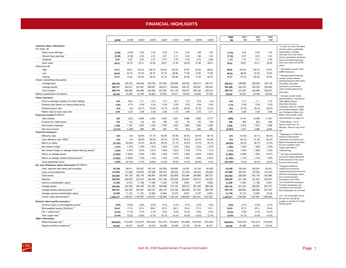### **FINANCIAL HIGHLIGHTS FINANCIAL HIGHLIGHTS**

<span id="page-4-0"></span>

|                                                        |                    |            |           |           |           |           |           |           |           | 2008        | 2007      | 2007      | 2006      |                                                               |
|--------------------------------------------------------|--------------------|------------|-----------|-----------|-----------|-----------|-----------|-----------|-----------|-------------|-----------|-----------|-----------|---------------------------------------------------------------|
|                                                        | Q2/08              | Q1/08      | Q4/07     | Q3/07     | Q2/07     | Q1/07     | Q4/06     | Q3/06     | Q2/06     | 6M          | 6M        | 12M       | 12M       |                                                               |
| Common share information                               |                    |            |           |           |           |           |           |           |           |             |           |           |           | In case of a loss, the effect                                 |
| Per share (\$)                                         |                    |            |           |           |           |           |           |           |           |             |           |           |           | of stock options potentially                                  |
| Basic (loss) earnings                                  | (3.00)             | (4.39)     | 2.55      | 2.33      | 2.29      | 2.13      | 2.34      | 1.88      | 1.65      | (7.31)      | 4.42      | 9.30      | 7.50      | exercisable on diluted                                        |
| Diluted (loss) earnings                                | (3.00)             | (4.39)     | 2.53      | 2.31      | 2.27      | 2.11      | 2.32      | 1.86      | 1.63      | (7.31)      | 4.37      | 9.21      | 7.43      | earnings (loss) per share<br>will be anti-dilutive; therefore |
| Dividends                                              | 0.87               | 0.87       | 0.87      | 0.77      | 0.77      | 0.70      | 0.70      | 0.70      | 0.68      | 1.74        | 1.47      | 3.11      | 2.76      | basic and diluted earnings                                    |
| Book value                                             | 29.01              | 32.76      | 33.31     | 33.05     | 32.67     | 31.85     | 29.59     | 27.96     | 26.61     | 29.01       | 32.67     | 33.31     | 29.59     | (loss) per share will be the                                  |
| Share price (\$)                                       |                    |            |           |           |           |           |           |           |           |             |           |           |           | same.                                                         |
| High                                                   | 74.17              | 99.81      | 103.30    | 106.75    | 104.00    | 102.00    | 87.87     | 83.63     | 86.00     | 99.81       | 104.00    | 106.75    | 87.87     | See Notes to users: Non-<br>GAAP measures.                    |
| Low                                                    | 56.94              | 64.70      | 87.00     | 92.37     | 97.70     | 88.96     | 77.95     | 73.94     | 77.95     | 56.94       | 88.96     | 87.00     | 72.90     | Average interest-earning                                      |
| Closing                                                | 74.17              | 73.25      | 102.00    | 92.50     | 97.70     | 100.88    | 87.60     | 77.25     | 82.75     | 74.17       | 97.70     | 102.00    | 87.60     | assets include interest-                                      |
| Shares outstanding (thousands)<br>Average basic        |                    | 338,732    | 334,849   | 335,755   | 337,320   | 336,486   | 335,522   | 335,513   | 335,147   | 359.512     | 336,896   | 336,092   | 335, 135  | bearing deposits with banks.                                  |
| Average diluted                                        | 380.754<br>382.377 | 340.811    | 337.927   | 338,691   | 340,613   | 339,942   | 338,737   | 338,461   | 338.544   | 361.366     | 340.272   | 339.316   | 338,360   | securities, securities<br>borrowed or purchased               |
| End of period                                          | 380,770            | 380,650    | 334,989   | 334,595   | 337,487   | 337,139   | 335,977   | 335,332   | 335,519   | 380,770     | 337,487   | 334.989   | 335,977   | under resale agreements,                                      |
| Market capitalization (\$ millions)                    | 28,242             | 27,883     | 34,169    | 30,950    | 32,972    | 34,011    | 29,432    | 25,904    | 27,764    | 28.242      | 32,972    | 34,169    | 29,432    | and loans.                                                    |
| Value measures                                         |                    |            |           |           |           |           |           |           |           |             |           |           |           | Includes assets under                                         |
| Price to earnings multiple (12 month trailing)         | n/m                | 26.9       | 11.1      | 10.3      | 11.4      | 12.7      | 11.8      | 10.8      | n/m       | n/m         | 11.4      | 11.1      | 11.8      | administration or custody of<br>CIBC Mellon Global            |
| Dividend yield (based on closing share price)          | 4.8%               | 4.7%       | 3.4%      | 3.3%      | 3.2%      | 2.8%      | 3.2%      | 3.6%      | 3.4%      | 4.7%        | 3.0%      | 3.0%      | 3.2%      | Securities Services                                           |
| Dividend payout ratio                                  | n/m                | n/m        | 34.1%     | 33.0%     | 33.7%     | 32.9%     | 29.9%     | 37.3%     | 41.4%     | n/m         | 33.3%     | 33.4%     | 36.8%     | Company, which is a 50/50                                     |
| Market value to book value ratio                       | 2.56               | 2.24       | 3.06      | 2.80      | 2.99      | 3.17      | 2.96      | 2.76      | 3.11      | 2.56        | 2.99      | 3.06      | 2.96      | joint venture between CIBC<br>and The Bank of New York        |
| Financial results (\$ millions)                        |                    |            |           |           |           |           |           |           |           |             |           |           |           | Mellon. See assets under                                      |
| Total revenue                                          | 126                | (521)      | 2,946     | 2,979     | 3,050     | 3,091     | 2,890     | 2,826     | 2,777     | (395)       | 6,141     | 12,066    | 11,351    | administration on page 16.                                    |
| Provision for credit losses                            | 176                | 172        | 132       | 162       | 166       | 143       | 92        | 152       | 138       | 348         | 309       | 603       | 548       | Debt ratings - S & P -                                        |
| Non-interest expenses                                  | 1,788              | 1,761      | 1,874     | 1,819     | 1,976     | 1,943     | 1,892     | 1,883     | 1,836     | 3.549       | 3,919     | 7,612     | 7,488     | Senior Long Term: A+;                                         |
| Net (loss) income                                      | (1, 111)           | (1, 456)   | 884       | 835       | 807       | 770       | 819       | 662       | 585       | (2, 567)    | 1,577     | 3,296     | 2,646     | Moody's - Senior Long Term<br>Aa2                             |
| <b>Financial measures</b>                              |                    |            |           |           |           |           |           |           |           |             |           |           |           | Beginigng in Q1/08, the                                       |
| Efficiency ratio                                       | n/m                | n/m        | 63.6%     | 61.1%     | 64.8%     | 62.9%     | 65.5%     | 66.6%     | 66.1%     | n/m         | 63.8%     | 63.1%     | 66.0%     | balance sheet quality                                         |
| Cash efficiency ratio (TEB)                            | n/m                | n/m        | 60.9%     | 59.4%     | 63.2%     | 61.5%     | 63.5%     | 65.0%     | 64.9%     | n/m         | 62.3%     | 61.3%     | 64.4%     | measures are based upon                                       |
| Return on equity                                       | $(37.6)\%$         | (52.9)%    | 30.3%     | 28.3%     | 28.9%     | 27.1%     | 32.5%     | 27.2%     | 25.7%     | $(45.0)\%$  | 28.0%     | 28.7%     | 27.9%     | Basel II framework whereas<br>the prior quarters were         |
| Net interest margin                                    | 1.57%              | 1.33%      | 1.45%     | 1.41%     | 1.36%     | 1.33%     | 1.50%     | 1.53%     | 1.47%     | 1.45%       | 1.34%     | 1.39%     | 1.52%     | based upon Basel I                                            |
| Net interest margin on average interest-earning assets | 1.85%              | 1.57%      | 1.67%     | 1.61%     | 1.55%     | 1.52%     | 1.72%     | 1.77%     | 1.71%     | 1.71%       | 1.54%     | 1.59%     | 1.76%     | methodology.                                                  |
| Return on average assets                               | (1.29)%            | (1.68)%    | 1.03%     | 1.00%     | 1.02%     | 0.97%     | 1.08%     | 0.90%     | 0.83%     | (1.49)%     | 0.99%     | 1.00%     | 0.91%     | The ratio represents the                                      |
| Return on average interest-earning assets <sup>3</sup> | (1.52)%            | (1.98)%    | 1.19%     | 1.14%     | 1.16%     | 1.10%     | 1.25%     | 1.04%     | 0.97%     | (1.75)%     | 1.13%     | 1.15%     | 1.05%     | amount of capital attributed<br>to the business lines as at   |
| Total shareholder return                               | 2.59%              | $(27.3)\%$ | 11.2%     | (4.6)%    | (2.4)%    | 16.0%     | 14.3%     | (5.8)%    | 4.4%      | $(25.42)\%$ | 13.2%     | 20.2%     | 25.6%     | the end of the period.                                        |
| On- and off-balance sheet information (\$ millions)    |                    |            |           |           |           |           |           |           |           |             |           |           |           | Regular workforce                                             |
| Cash, deposits with banks and securities               | 92.189             | 99,411     | 100,247   | 102, 143  | 100,204   | 108,482   | 95,351    | 93,163    | 90,295    | 92.189      | 100,204   | 100,247   | 95,351    | headcount comprises                                           |
| Loans and acceptances                                  | 174,580            | 171,090    | 170.678   | 167,828   | 164,797   | 159,530   | 151.916   | 149.224   | 145,826   | 174,580     | 164,797   | 170.678   | 151,916   | regular working full-time and<br>part-time employees, base    |
| <b>Total assets</b>                                    | 343.063            | 347.734    | 342,178   | 338,881   | 326,580   | 322,608   | 303.984   | 294.990   | 290.721   | 343.063     | 326,580   | 342.178   | 303,984   | plus commissioned                                             |
| Deposits                                               | 238,203            | 239,976    | 231.672   | 230,208   | 221.169   | 223.625   | 202,891   | 200,015   | 193,503   | 238,203     | 221,169   | 231.672   | 202,891   | employees, and 100%                                           |
| Common shareholders' equity                            | 11,046             | 12.472     | 11.158    | 11,058    | 11,025    | 10,736    | 9.941     | 9.377     | 8,929     | 11,046      | 11,025    | 11.158    | 9.941     | commissioned employees.<br>Full-time employees are            |
| Average assets                                         | 349,005            | 344,528    | 340.236   | 331,553   | 326,088   | 316,122   | 299.513   | 291,395   | 288,428   | 346,742     | 321,023   | 328.520   | 291,277   | counted as one and part-                                      |
| Average interest-earning assets                        | 296,427            | 293,166    | 294,591   | 290, 157  | 285,127   | 276,799   | 260,569   | 251,607   | 248,198   | 294,778     | 280,895   | 286,682   | 251,437   | time employees as one-half                                    |
| Average common shareholders' equity                    | 12,328             | 11,181     | 11.191    | 10,992    | 10.964    | 10,474    | 9.601     | 9,167     | 8.803     | 11,748      | 10,715    | 10,905    | 9.016     | n/m - not meaningful due to                                   |
| Assets under administration                            | 1,205,077          | 1,169,570  | 1,187,567 | 1,124,079 | 1,165,585 | 1,122,184 | 1,068,600 | 1,027,931 | 1,027,927 | 1,205,077   | 1,165,585 | 1,187,567 | 1,068,600 | the net loss during the                                       |
| Balance sheet quality measures                         |                    |            |           |           |           |           |           |           |           |             |           |           |           | quarter or over the 12 month                                  |
| Common equity to risk-weighted assets <sup>6</sup>     | 9.6%               | 10.6%      | 8.8%      | 8.8%      | 8.7%      | 8.7%      | 8.7%      | 8.0%      | 7.8%      | 9.6%        | 8.7%      | 8.8%      | 8.7%      | trailing period.                                              |
| Risk-weighted assets (\$ billions)                     | 114.8              | 117.4      | 127.4     | 125.0     | 127.2     | 124.1     | 114.8     | 117.0     | 115.1     | 114.8       | 127.2     | 127.4     | 114.8     |                                                               |
| Tier 1 capital ratio                                   | 10.5%              | 11.4%      | 9.7%      | 9.7%      | 9.5%      | 9.6%      | 10.4%     | 9.6%      | 9.2%      | 10.5%       | 9.5%      | 9.7%      | 10.4%     |                                                               |
| Total capital ratio <sup>6</sup>                       | 14.4%              | 15.2%      | 13.9%     | 13.7%     | 14.1%     | 14.1%     | 14.5%     | 14.0%     | 13.7%     | 14.4%       | 14.1%     | 13.9%     | 14.5%     |                                                               |
| Other information<br>Retail/wholesale ratio            |                    | 71%/29%    | 73%/27%   |           | 73%/27%   |           | 72%/28%   | 70%/30%   | 74%/26%   |             | 73%/27%   | 73%/27%   | 72%/28%   |                                                               |
|                                                        | 68%/32%            |            |           | 76%/24%   |           | 74%/26%   |           |           |           | 68%/32%     |           |           |           |                                                               |
| Regular workforce headcount                            | 40,345             | 40,237     | 40,457    | 40,315    | 40,488    | 40,559    | 37,016    | 36,781    | 36,741    | 40,345      | 40,488    | 40,457    | 37,016    |                                                               |

April 30, 2008 Supplementary Financial Information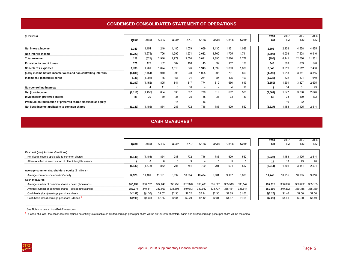## **CONDENSED CONSOLIDATED STATEMENT OF OPERATIONS**

<span id="page-5-0"></span>

| (\$ millions)                                                   |          |          |                          |       |                          |       |                          |                          |       | 2008     | 2007  | 2007   | 2006       |
|-----------------------------------------------------------------|----------|----------|--------------------------|-------|--------------------------|-------|--------------------------|--------------------------|-------|----------|-------|--------|------------|
|                                                                 | Q2/08    | Q1/08    | Q4/07                    | Q3/07 | Q2/07                    | Q1/07 | Q4/06                    | Q3/06                    | Q2/06 | 6M       | 6M    | 12M    | <b>12M</b> |
|                                                                 |          |          |                          |       |                          |       |                          |                          |       |          |       |        |            |
| Net interest income                                             | 1,349    | .154     | 1,240                    | 1,180 | 1,079                    | .059  | 1,130                    | 1,121                    | 1,036 | 2,503    | 2,138 | 4,558  | 4,435      |
| Non-interest income                                             | (1, 223) | (1,675)  | 1,706                    | 1,799 | 1,971                    | 2,032 | 1,760                    | 1,705                    | 1.741 | (2,898)  | 4,003 | 7,508  | 6,916      |
| <b>Total revenue</b>                                            | 126      | (521)    | 2,946                    | 2,979 | 3,050                    | 3,091 | 2,890                    | 2,826                    | 2,777 | (395)    | 6,141 | 12,066 | 11,351     |
| <b>Provision for credit losses</b>                              | 176      | 172      | 132                      | 162   | 166                      | 143   | 92                       | 152                      | 138   | 348      | 309   | 603    | 548        |
| Non-interest expenses                                           | 1,788    | 1.761    | 1,874                    | 1,819 | 1,976                    | 1,943 | 1,892                    | 1,883                    | 1,836 | 3,549    | 3,919 | 7,612  | 7,488      |
| (Loss) income before income taxes and non-controlling interests | (1, 838) | (2, 454) | 940                      | 998   | 908                      | 1.005 | 906                      | 791                      | 803   | (4,292)  | 1,913 | 3,851  | 3,315      |
| Income tax (benefit) expense                                    | (731)    | (1,002)  | 45                       | 157   | 91                       | 231   | 87                       | 125                      | 190   | (1,733)  | 322   | 524    | 640        |
|                                                                 | (1, 107) | (1, 452) | 895                      | 841   | 817                      | 774   | 819                      | 666                      | 613   | (2, 559) | 1,591 | 3,327  | 2,675      |
| Non-controlling interests                                       |          |          | 11                       | 6     | 10                       | 4     | $\overline{\phantom{0}}$ | 4                        | 28    |          | 14    | 31     | 29         |
| Net (loss) income                                               | (1, 111) | (1, 456) | 884                      | 835   | 807                      | 770   | 819                      | 662                      | 585   | (2, 567) | 1,577 | 3,296  | 2,646      |
| Dividends on preferred shares                                   | 30       | 30       | 30                       | 36    | 35                       | 38    | 33                       | 33                       | 33    | 60       | 73    | 139    | 132        |
| Premium on redemption of preferred shares classified as equity  |          |          | $\overline{\phantom{a}}$ | 16    | $\overline{\phantom{a}}$ | 16    | $\overline{\phantom{a}}$ | $\overline{\phantom{a}}$ | ۰     |          | 16    | 32     |            |
| Net (loss) income applicable to common shares                   | (1, 141) | (1, 486) | 854                      | 783   | 772                      | 716   | 786                      | 629                      | 552   | (2,627)  | ,488  | 3,125  | 2,514      |

# **CASH MEASURES** <sup>1</sup>

|                                                             |          |          |         |         |         |         |         |         |         | 2008     | 2007    | 2007    | 2006     |
|-------------------------------------------------------------|----------|----------|---------|---------|---------|---------|---------|---------|---------|----------|---------|---------|----------|
|                                                             | Q2/08    | Q1/08    | Q4/07   | Q3/07   | Q2/07   | Q1/07   | Q4/06   | Q3/06   | Q2/06   | 6M       | 6M      | 12M     | 12M      |
|                                                             |          |          |         |         |         |         |         |         |         |          |         |         |          |
| Cash net (loss) income (\$ millions)                        |          |          |         |         |         |         |         |         |         |          |         |         |          |
| Net (loss) income applicable to common shares               | (1, 141) | (1, 486) | 854     | 783     | 772     | 716     | 786     | 629     | 552     | (2,627)  | 1,488   | 3,125   | 2,514    |
| After-tax effect of amortization of other intangible assets | 8        |          | 8       | 8       | 9       |         | 5       | 5       |         | 16       | 13      | 29      | 20       |
|                                                             | (1, 133) | (1, 478) | 862     | 791     | 781     | 720     | 791     | 634     | 557     | (2,611)  | 1,501   | 3,154   | 2,534    |
| Average common shareholders' equity (\$ millions)           |          |          |         |         |         |         |         |         |         |          |         |         |          |
| Average common shareholders' equity                         | 12.328   | 11,181   | 11,191  | 10,992  | 10,964  | 10,474  | 9,601   | 9,167   | 8,803   | 11.748   | 10,715  | 10,905  | 9,016    |
| <b>Cash measures</b>                                        |          |          |         |         |         |         |         |         |         |          |         |         |          |
| Average number of common shares - basic (thousands)         | 380.754  | 338.732  | 334.849 | 335.755 | 337.320 | 336,486 | 335.522 | 335.513 | 335,147 | 359.512  | 336,896 | 336,092 | 335, 135 |
| Average number of common shares - diluted (thousands)       | 382,377  | 340.811  | 337,927 | 338,691 | 340,613 | 339,942 | 338,737 | 338,461 | 338,544 | 361,366  | 340,272 | 339,316 | 338,360  |
| Cash basis (loss) earnings per share - basic                | \$(2.98) | \$(4.36) | \$2.57  | \$2.36  | \$2.32  | \$2.14  | \$2.36  | \$1.89  | \$1.66  | \$(7.26) | \$4.46  | \$9.38  | \$7.56   |
| Cash basis (loss) earnings per share - diluted              | \$(2.98) | \$(4.36) | \$2.55  | \$2.34  | \$2.29  | \$2.12  | \$2.34  | \$1.87  | \$1.65  | \$(7.26) | \$4.41  | \$9.30  | \$7.49   |

<sup>1</sup> See Notes to users: Non-GAAP measures.

 $^2$  In case of a loss, the effect of stock options potentially exercisable on diluted earnings (loss) per share will be the tame. (loss) per share will be the same.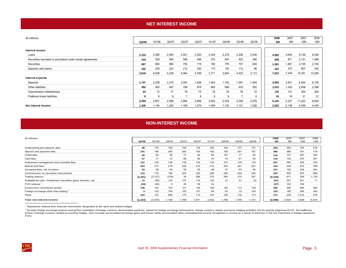#### **NET INTEREST INCOME**

<span id="page-6-0"></span>

| (\$ millions)                                            | Q2/08 | Q1/08 | Q4/07 | Q3/07 | Q2/07 | Q1/07 | Q4/06 | Q3/06 | Q2/06 | 2008<br>6M | 2007<br>6M | 2007<br>12M | 2006<br>12M |
|----------------------------------------------------------|-------|-------|-------|-------|-------|-------|-------|-------|-------|------------|------------|-------------|-------------|
| Interest income                                          |       |       |       |       |       |       |       |       |       |            |            |             |             |
| Loans                                                    | 2,310 | 2,582 | 2,583 | 2,501 | 2,350 | 2,304 | 2,279 | 2,206 | 2,008 | 4,892      | 4,654      | 9,738       | 8,526       |
| Securities borrowed or purchased under resale agreements | 419   | 529   | 564   | 596   | 499   | 472   | 467   | 402   | 366   | 948        | 971        | 2,131       | 1,568       |
| Securities                                               | 697   | 664   | 869   | 755   | 719   | 762   | 778   | 707   | 640   | 1,361      | 1,481      | 3,105       | 2,745       |
| Deposits with banks                                      | 192   | 230   | 222   | 212   | 200   | 173   | 130   | 115   | 98    | 422        | 373        | 807         | 430         |
|                                                          | 3,618 | 4,005 | 4,238 | 4,064 | 3,768 | 3,711 | 3,654 | 3,430 | 3,112 | 7,623      | 7,479      | 15,781      | 13,269      |
| Interest expense                                         |       |       |       |       |       |       |       |       |       |            |            |             |             |
| Deposits                                                 | 1,747 | 2,208 | 2,216 | 2,003 | 1,928 | 1,903 | 1,742 | 1,591 | 1,444 | 3,955      | 3,831      | 8,050       | 6,105       |
| Other liabilities                                        | 452   | 563   | 697   | 798   | 678   | 665   | 696   | 633   | 552   | 1,015      | 1,343      | 2,838       | 2,398       |
| Subordinated indebtedness                                | 62    | 72    | 77    | 76    | 75    | 76    | 78    | 78    | 72    | 134        | 151        | 304         | 300         |
| Preferred share liabilities                              | 8     | 8     | 8     | -     | 8     | 8     | 8     |       | 8     | 16         | 16         | 31          | 31          |
|                                                          | 2,269 | 2,851 | 2,998 | 2,884 | 2,689 | 2,652 | 2,524 | 2,309 | 2,076 | 5,120      | 5,341      | 11,223      | 8,834       |
| Net interest income                                      | 1.349 | 1.154 | 1,240 | 1,180 | 1,079 | 1,059 | 1,130 | 1,121 | 1,036 | 2.503      | 2,138      | 4,558       | 4,435       |

#### **NON-INTEREST INCOME**

| (\$ millions)                                                  | Q2/08    | Q1/08    | Q4/07 | Q3/07 | Q2/07 | Q1/07 | Q4/06                    | Q3/06                    | Q2/06                    | 2008<br>6M | 2007<br>6M | 2007<br>12M | 2006<br>12M              |
|----------------------------------------------------------------|----------|----------|-------|-------|-------|-------|--------------------------|--------------------------|--------------------------|------------|------------|-------------|--------------------------|
| Underwriting and advisory fees                                 | 88       | 176      | 190   | 192   | 178   | 185   | 165                      | 137                      | 137                      | 264        | 363        | 745         | 619                      |
| Deposit and payment fees                                       | 191      | 195      | 200   | 205   | 193   | 193   | 195                      | 201                      | 187                      | 386        | 386        | 791         | 778                      |
| Credit fees                                                    | 56       | 60       | 59    | 77    | 82    | 69    | 107                      | 77                       | 62                       | 116        | 151        | 287         | 334                      |
| Card fees                                                      | 67       | 77       | 72    | 68    | 60    | 70    | 74                       | 61                       | 52                       | 144        | 130        | 270         | 251                      |
| Investment management and custodial fees                       | 131      | 136      | 139   | 136   | 130   | 130   | 127                      | 120                      | 118                      | 267        | 260        | 535         | 479                      |
| Mutual fund fees                                               | 204      | 212      | 218   | 226   | 216   | 212   | 203                      | 201                      | 201                      | 416        | 428        | 872         | 799                      |
| Insurance fees, net of claims                                  | 63       | 58       | 59    | 55    | 62    | 58    | 57                       | 63                       | 46                       | 121        | 120        | 234         | 224                      |
| Commissions on securities transactions                         | 133      | 170      | 196   | 224   | 226   | 229   | 206                      | 204                      | 230                      | 303        | 455        | 875         | 869                      |
| Trading revenue                                                | (2, 401) | (3, 127) | (378) | 35    | 296   | 375   | 285                      | 275                      | 307                      | (5, 528)   | 671        | 328         | 1,129                    |
| Available-for-sale / Investment securities gains (losses), net | 12       | (49)     | 133   | 137   | 119   | 132   | 27                       | 51                       | (5)                      | (37)       | 251        | 521         | 71                       |
| FVO revenue                                                    | (18)     | (29)     | 9     | 45    | 59    | 43    | $\overline{\phantom{a}}$ | $\overline{\phantom{a}}$ | $\overline{\phantom{0}}$ | (47)       | 102        | 156         | $\overline{\phantom{a}}$ |
| Income from securitized assets                                 | 146      | 144      | 103   | 121   | 136   | 129   | 126                      | 113                      | 129                      | 290        | 265        | 489         | 484                      |
| Foreign exchange other than trading                            | 3        | 132      | 100   | 105   | 101   | 84    | 62                       | 70                       | 104                      | 135        | 185        | 390         | 300                      |
| Other                                                          | 102      | 170      | 606   | 173   | 113   | 123   | 126                      | 132                      | 173                      | 272        | 236        | 1,015       | 579                      |
| Total non-interest income                                      | (1, 223) | (1,675)  | 1,706 | 1.799 | 1.971 | 2,032 | 1.760                    | 1.705                    | 1.741                    | (2,898)    | 4,003      | 7,508       | 6,916                    |

<sup>1</sup> Represents revenue from financial instruments designated at fair value and related hedges.

<sup>2</sup> Includes foreign exchange revenue arising from translation of foreign currency denominated positions, eamed on foreign exchange transactions, foreign currency related economic hedging activities and for periods beginni portion of foreign currency related accounting hedges. Also includes accumulated exchange gains and losses within accumulated other comprehensive income recognized in income as a result of reduction in the net investment i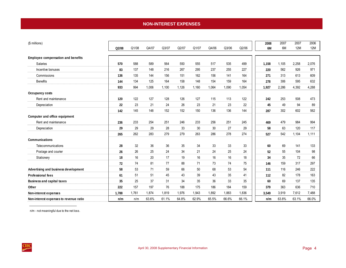# **NON-INTEREST EXPENSES**

<span id="page-7-0"></span>

| (\$ millions)                             |       |       |       |       |       |       |       |       |       | 2008  | 2007  | 2007       | 2006  |
|-------------------------------------------|-------|-------|-------|-------|-------|-------|-------|-------|-------|-------|-------|------------|-------|
|                                           | Q2/08 | Q1/08 | Q4/07 | Q3/07 | Q2/07 | Q1/07 | Q4/06 | Q3/06 | Q2/06 | 6M    | 6M    | <b>12M</b> | 12M   |
| <b>Employee compensation and benefits</b> |       |       |       |       |       |       |       |       |       |       |       |            |       |
| <b>Salaries</b>                           | 570   | 588   | 589   | 564   | 550   | 555   | 517   | 535   | 499   | 1,158 | 1.105 | 2.258      | 2.076 |
| Incentive bonuses                         | 83    | 137   | 148   | 216   | 267   | 295   | 237   | 255   | 227   | 220   | 562   | 926        | 971   |
| Commissions                               | 136   | 135   | 144   | 156   | 151   | 162   | 156   | 141   | 164   | 271   | 313   | 613        | 609   |
|                                           |       |       |       |       |       |       | 154   |       |       |       |       |            |       |
| <b>Benefits</b>                           | 144   | 134   | 125   | 164   | 158   | 148   |       | 159   | 164   | 278   | 306   | 595        | 632   |
|                                           | 933   | 994   | 1,006 | 1,100 | 1,126 | 1,160 | 1,064 | 1,090 | 1,054 | 1,927 | 2,286 | 4,392      | 4,288 |
| Occupancy costs                           |       |       |       |       |       |       |       |       |       |       |       |            |       |
| Rent and maintenance                      | 120   | 122   | 127   | 128   | 126   | 127   | 115   | 113   | 122   | 242   | 253   | 508        | 473   |
| Depreciation                              | 22    | 23    | 21    | 24    | 26    | 23    | 21    | 23    | 22    | 45    | 49    | 94         | 89    |
|                                           | 142   | 145   | 148   | 152   | 152   | 150   | 136   | 136   | 144   | 287   | 302   | 602        | 562   |
| Computer and office equipment             |       |       |       |       |       |       |       |       |       |       |       |            |       |
| Rent and maintenance                      | 236   | 233   | 254   | 251   | 246   | 233   | 256   | 251   | 245   | 469   | 479   | 984        | 994   |
| Depreciation                              | 29    | 29    | 29    | 28    | 33    | 30    | 30    | 27    | 29    | 58    | 63    | 120        | 117   |
|                                           | 265   | 262   | 283   | 279   | 279   | 263   | 286   | 278   | 274   | 527   | 542   | 1,104      | 1,111 |
| <b>Communications</b>                     |       |       |       |       |       |       |       |       |       |       |       |            |       |
| Telecommunications                        | 28    | 32    | 36    | 36    | 35    | 34    | 33    | 33    | 33    | 60    | 69    | 141        | 133   |
| Postage and courier                       | 26    | 26    | 25    | 24    | 34    | 21    | 24    | 25    | 24    | 52    | 55    | 104        | 98    |
| Stationery                                | 18    | 16    | 20    | 17    | 19    | 16    | 16    | 16    | 18    | 34    | 35    | 72         | 66    |
|                                           | 72    | 74    | 81    | 77    | 88    | 71    | 73    | 74    | 75    | 146   | 159   | 317        | 297   |
| Advertising and business development      | 58    | 53    | 71    | 59    | 66    | 50    | 68    | 53    | 54    | 111   | 116   | 246        | 222   |
| <b>Professional fees</b>                  | 61    | 51    | 51    | 45    | 43    | 39    | 43    | 35    | 41    | 112   | 82    | 178        | 163   |
| <b>Business and capital taxes</b>         | 35    | 25    | 37    | 31    | 34    | 35    | 36    | 33    | 35    | 60    | 69    | 137        | 135   |
| Other                                     | 222   | 157   | 197   | 76    | 188   | 175   | 186   | 184   | 159   | 379   | 363   | 636        | 710   |
| Non-interest expenses                     | 1,788 | 1.761 | 1.874 | 1,819 | 1.976 | 1,943 | 1.892 | 1.883 | 1,836 | 3,549 | 3,919 | 7.612      | 7,488 |
| Non-interest expenses to revenue ratio    | n/m   | n/m   | 63.6% | 61.1% | 64.8% | 62.9% | 65.5% | 66.6% | 66.1% | n/m   | 63.8% | 63.1%      | 66.0% |

n/m - not meaningful due to the net loss.

 $\frac{\text{CIRC}}{\text{C}}$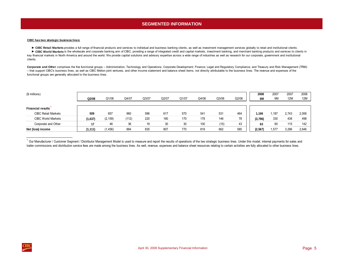# **SEGMENTED INFORMATION**

#### <span id="page-8-0"></span>**CIBC has two strategic business lines:**

► CIBC Retail Markets provides a full range of financial products and services to individual and business banking clients, as well as investment management services globally to retail and institutional clients.

► CIBC World Markets is the wholesale and corporate banking arm of CIBC, providing a range of integrated credit and capital markets, investment banking, and merchant banking products and services to clients in key financial markets in North America and around the world. We provide capital solutions and advisory expertise across a wide range of industries as well as research for our corporate, government and institutional clients.

Corporate and Other comprises the five functional groups - Administration, Technology and Operations; Corporate Development; Finance; Legal and Regulatory Compliance; and Treasury and Risk Management (TRM) – that support CIBC's business lines, as well as CIBC Mellon joint ventures, and other income statement and balance sheet items, not directly attributable to the business lines. The revenue and expenses of the functional groups are generally allocated to the business lines.

| (\$ millions)              | Q2/08    | Q1/08    | Q4/07 | Q3/07 | Q2/07 | Q1/07 | Q4/06 | Q3/06 | Q2/06 | 2008<br>6M | 2007<br>6M | 2007<br><b>12M</b> | 2006<br>12M |
|----------------------------|----------|----------|-------|-------|-------|-------|-------|-------|-------|------------|------------|--------------------|-------------|
|                            |          |          |       |       |       |       |       |       |       |            |            |                    |             |
| <b>Financial results</b>   |          |          |       |       |       |       |       |       |       |            |            |                    |             |
| <b>CIBC Retail Markets</b> | 509      | 657      | 960   | 596   | 617   | 570   | 541   | 531   | 464   | 1.166      | .187       | 2.743              | 2,006       |
| <b>CIBC World Markets</b>  | (1,637)  | (2, 159) | (112) | 220   | 160   | 170   | 178   | 146   | 78    | (3,796)    | 330        | 438                | 498         |
| Corporate and Other        |          | 46       | 36    | 19    | 30    | 30    | 100   | (15)  | 43    | 63         | 60         | 115                | 142         |
| Net (loss) income          | (1, 111) | (1, 456) | 884   | 835   | 807   | 770   | 819   | 662   | 585   | (2, 567)   | 57.،       | 3.296              | 2,646       |

<sup>&</sup>lt;sup>1</sup> Our Manufacturer / Customer Segment / Distributor Management Model is used to measure and report the results of operations of the two strategic business lines. Under this model, internal payments for sales and trailer commissions and distribution service fees are made among the business lines. As well, revenue, expenses and balance sheet resources relating to certain activities are fully allocated to other business lines.

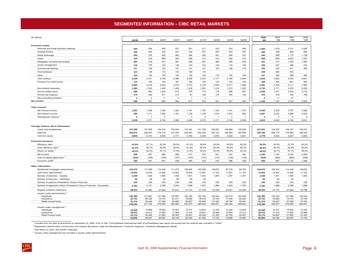## **SEGMENTED INFORMATION – CIBC RETAIL MARKETS**

<span id="page-9-0"></span>

| Q2/08<br>Q4/07<br>Q4/06<br>Q3/06<br>Q2/06<br>6M<br>6M<br>12M<br>12M<br>Q1/08<br>Q3/07<br>Q2/07<br>Q1/07<br><b>Financial results</b><br>540<br>546<br>537<br>501<br>517<br>522<br>533<br>490<br>1,018<br>2,101<br>2,055<br>Personal and small business banking<br>544<br>1,084<br><b>Imperial Service</b><br>239<br>244<br>242<br>247<br>232<br>237<br>230<br>242<br>227<br>483<br>469<br>958<br>929<br>Retail brokerage<br>264<br>276<br>282<br>295<br>294<br>302<br>281<br>265<br>307<br>540<br>596<br>1,173<br>1,139<br>415<br>423<br>405<br>399<br>410<br>414<br>382<br>373<br>838<br>809<br>2,023<br>1,557<br>Cards<br>809<br>319<br>367<br>356<br>381<br>360<br>365<br>350<br>737<br>1,425<br>Mortgages and personal lending<br>321<br>1,493<br>302<br>621<br>474<br>Asset management<br>120<br>123<br>126<br>124<br>123<br>120<br>116<br>120<br>247<br>496<br>116<br>236<br>127<br>117<br>126<br>142<br>121<br>121<br>125<br>126<br>119<br>243<br>242<br>511<br>494<br>Commercial banking<br>FirstCaribbean<br>122<br>126<br>174<br>133<br>150<br>50<br>248<br>200<br>507<br>$\sim$<br>$\sim$<br>$\sim$<br>132<br>Other<br>124<br>193<br>155<br>149<br>132<br>119<br>135<br>108<br>317<br>264<br>568<br>480<br>Total revenue<br>2,371<br>2,794<br>2,386<br>2,309<br>2,273<br>2,171<br>2,164<br>2,094<br>4,582<br>9,762<br>8,621<br>2.239<br>4,610<br>174<br>155<br>150<br>167<br>186<br>148<br>133<br>153<br>185<br>329<br>334<br>651<br>656<br>Provision for credit losses<br>2,644<br>2,219<br>2,123<br>2,125<br>2,011<br>2,065<br>2,216<br>2,038<br>1,909<br>4,281<br>4,248<br>9,111<br>7,965<br>1,380<br>1,353<br>1,402<br>1,406<br>1,418<br>1,353<br>1,319<br>1,315<br>1,302<br>2,733<br>2,771<br>5,579<br>5,250<br>Non-interest expenses<br>685<br>863<br>1,242<br>813<br>705<br>772<br>719<br>696<br>607<br>1,548<br>1,477<br>3,532<br>2,715<br>Income before taxes<br>202<br>271<br>212<br>81<br>198<br>178<br>165<br>143<br>279<br>762<br>709<br>Income tax expense<br>174<br>376<br>$\overline{4}$<br>11<br>5<br>$\overline{7}$<br>$\overline{4}$<br>11<br>27<br>$\overline{2}$<br>Non-controlling interests<br>6<br>657<br>596<br>617<br>570<br>464<br>2,006<br>960<br>541<br>531<br>1,187<br>2,743<br>Net income<br>509<br>1,166<br><b>Total revenue</b><br>Net interest income<br>1.281<br>1.259<br>1,246<br>1.225<br>1,181<br>1.145<br>1,160<br>1,161<br>1,103<br>2.540<br>2.326<br>4.797<br>4,596<br>Non-interest income<br>956<br>1,111<br>1,546<br>1,161<br>1,126<br>1,126<br>1,010<br>1,001<br>990<br>2.067<br>2.252<br>4.959<br>4,020<br>$\overline{2}$<br>$\overline{2}$<br>$\overline{2}$<br>$\overline{\phantom{0}}$<br>$\overline{2}$<br>3<br>$\overline{4}$<br>6<br>5<br>Intersegment revenue<br>$\mathbf{1}$<br>$\overline{1}$<br>$\sim$<br>$\mathbf{1}$<br>2,371<br>2,386<br>2,309<br>2,273<br>2,094<br>4,582<br>9,762<br>8,621<br>2,794<br>2,171<br>2,164<br>2,239<br>4,610<br>Average balance sheet information<br>157,908<br>152,924<br>147,432<br>141,736<br>138,937<br>149, 167<br>136,910<br>154,519<br>136,866<br>135,828<br>144,537<br>Loans and acceptances<br>157,299<br>157,607<br>226,697<br>219,170<br>212,244<br>209,924<br>202,555<br>190, 193<br>185,959<br>184,006<br>206,179<br>210,982<br>186,248<br>Deposits<br>225,974<br>226,340<br>4,805<br>4,933<br>4,771<br>4,783<br>4,039<br>4,041<br>4,003<br>Common equity<br>4,747<br>3,910<br>4,025<br>4,778<br>4,403<br>4,627<br><b>Financial measures</b><br>Efficiency ratio<br>57.1%<br>50.2%<br>58.9%<br>61.4%<br>59.6%<br>60.8%<br>60.8%<br>62.2%<br>59.3%<br>60.5%<br>57.2%<br>60.9%<br>61.6%<br>Cash efficiency ratio<br>61.3%<br>56.7%<br>49.9%<br>58.6%<br>61.0%<br>59.4%<br>60.8%<br>60.8%<br>62.2%<br>58.9%<br>60.2%<br>56.9%<br>60.9%<br>42.0%<br>54.0%<br>76.1%<br>47.8%<br>51.6%<br>53.8%<br>53.5%<br>50.9%<br>45.4%<br>48.0%<br>52.7%<br>57.7%<br>48.6%<br>Return on equity<br>509<br>657<br>617<br>570<br>541<br>Net income<br>960<br>596<br>531<br>464<br>1,166<br>1,187<br>2.743<br>2,006<br>(137)<br>(135)<br>Cost of capital adjustment <sup>3</sup><br>(154)<br>(156)<br>(159)<br>(157)<br>(153)<br>(131)<br>(135)<br>(310)<br>(290)<br>(606)<br>(538)<br>Economic profit<br>355<br>501<br>801<br>439<br>464<br>433<br>410<br>396<br>329<br>897<br>2,137<br>1,468<br>856<br>Other information<br>119,675<br>117,089<br>114,448<br>111,272<br>106,402<br>103,656<br>99,670<br>97,318<br>94,755<br>119,675<br>106,402<br>114,448<br>99,670<br>Residential mortgages administered<br>14,053<br>13,640<br>13,365<br>12,802<br>12,462<br>12,081<br>11,722<br>11,561<br>11,162<br>14,053<br>12,462<br>13,365<br>11,722<br>Card loans administered<br>Number of branches - Canada<br>1,049<br>1,049<br>1,048<br>1,048<br>1,051<br>1,053<br>1,055<br>1,057<br>1,057<br>1,049<br>1,051<br>1,048<br>1,055<br>Number of branches - Caribbean<br>66<br>64<br>66<br>69<br>65<br>69<br>64<br>66<br>66<br>Number of pavilions (President's Choice Financial)<br>245<br>238<br>239<br>239<br>239<br>235<br>236<br>235<br>232<br>245<br>239<br>239<br>236<br>1,988<br>Number of registered clients (President's Choice Financial - thousands)<br>2,182<br>2,141<br>2,099<br>2,045<br>1,937<br>1,886<br>1,820<br>1,763<br>2,182<br>1,988<br>2,099<br>1,886<br>27,984<br>27,773<br>27,758<br>23,798<br>23,509<br>27,773<br>23,798<br>Regular workforce headcount<br>28,253<br>27,659<br>27,612<br>23,601<br>28,253<br>27,659<br>Assets under administration<br>145,385<br>141,961<br>151,560<br>152,807<br>155,184<br>152,100<br>149,344<br>145,215<br>150,309<br>145,385<br>155, 184<br>151,560<br>149,344<br>Individuals<br>Institutions<br>81,731<br>80,328<br>74,373<br>81,211<br>78,882<br>78,910<br>72,155<br>71,449<br>62,053<br>81,731<br>78,882<br>74,373<br>72,155<br>Retail mutual funds<br>49,446<br>51,062<br>50,950<br>50,807<br>49,629<br>47,452<br>45,765<br>46,461<br>50,807<br>51,062<br>47,452<br>51,174<br>51,174<br>271,735<br>276,995<br>284,968<br>280,639<br>268,951<br>262,429<br>258,823<br>284,873<br>276,995<br>268,951<br>278,290<br>284,873<br>278,290<br>Assets under management<br>15,189<br>14,869<br>15,552<br>15,397<br>15,107<br>14,834<br>13,794<br>13,326<br>13,290<br>15,189<br>15,107<br>15,552<br>13,794<br>Individuals |               |        |        |        |        |        |        |        |        |        | 2008   | 2007   | 2007   | 2006   |
|-------------------------------------------------------------------------------------------------------------------------------------------------------------------------------------------------------------------------------------------------------------------------------------------------------------------------------------------------------------------------------------------------------------------------------------------------------------------------------------------------------------------------------------------------------------------------------------------------------------------------------------------------------------------------------------------------------------------------------------------------------------------------------------------------------------------------------------------------------------------------------------------------------------------------------------------------------------------------------------------------------------------------------------------------------------------------------------------------------------------------------------------------------------------------------------------------------------------------------------------------------------------------------------------------------------------------------------------------------------------------------------------------------------------------------------------------------------------------------------------------------------------------------------------------------------------------------------------------------------------------------------------------------------------------------------------------------------------------------------------------------------------------------------------------------------------------------------------------------------------------------------------------------------------------------------------------------------------------------------------------------------------------------------------------------------------------------------------------------------------------------------------------------------------------------------------------------------------------------------------------------------------------------------------------------------------------------------------------------------------------------------------------------------------------------------------------------------------------------------------------------------------------------------------------------------------------------------------------------------------------------------------------------------------------------------------------------------------------------------------------------------------------------------------------------------------------------------------------------------------------------------------------------------------------------------------------------------------------------------------------------------------------------------------------------------------------------------------------------------------------------------------------------------------------------------------------------------------------------------------------------------------------------------------------------------------------------------------------------------------------------------------------------------------------------------------------------------------------------------------------------------------------------------------------------------------------------------------------------------------------------------------------------------------------------------------------------------------------------------------------------------------------------------------------------------------------------------------------------------------------------------------------------------------------------------------------------------------------------------------------------------------------------------------------------------------------------------------------------------------------------------------------------------------------------------------------------------------------------------------------------------------------------------------------------------------------------------------------------------------------------------------------------------------------------------------------------------------------------------------------------------------------------------------------------------------------------------------------------------------------------------------------------------------------------------------------------------------------------------------------------------------------------------------------------------------------------------------------------------------------------------------------------------------------------------------------------------------------------------------------------------------------------------------------------------------------------------------------------------------------------------------------------------------------------------------------------------------------------------------------------------------------------------------------------------------------------------------------------------------------------------------------------------------------------------------------------------------------------------------------------------------------------------------------------------------------------------------------------------------------------------------------------------------------------------------------------------------------------------------------------------------------------------------------------------------------------------------------------------------------------------------------------------------------------------------------------------------------------------------------------------------------------------------------------------------------------------------------------------------------------------------------------------------------------------------------------------------------------------------------------------------|---------------|--------|--------|--------|--------|--------|--------|--------|--------|--------|--------|--------|--------|--------|
|                                                                                                                                                                                                                                                                                                                                                                                                                                                                                                                                                                                                                                                                                                                                                                                                                                                                                                                                                                                                                                                                                                                                                                                                                                                                                                                                                                                                                                                                                                                                                                                                                                                                                                                                                                                                                                                                                                                                                                                                                                                                                                                                                                                                                                                                                                                                                                                                                                                                                                                                                                                                                                                                                                                                                                                                                                                                                                                                                                                                                                                                                                                                                                                                                                                                                                                                                                                                                                                                                                                                                                                                                                                                                                                                                                                                                                                                                                                                                                                                                                                                                                                                                                                                                                                                                                                                                                                                                                                                                                                                                                                                                                                                                                                                                                                                                                                                                                                                                                                                                                                                                                                                                                                                                                                                                                                                                                                                                                                                                                                                                                                                                                                                                                                                                                                                                                                                                                                                                                                                                                                                                                                                                                                                                                                                   | (\$ millions) |        |        |        |        |        |        |        |        |        |        |        |        |        |
|                                                                                                                                                                                                                                                                                                                                                                                                                                                                                                                                                                                                                                                                                                                                                                                                                                                                                                                                                                                                                                                                                                                                                                                                                                                                                                                                                                                                                                                                                                                                                                                                                                                                                                                                                                                                                                                                                                                                                                                                                                                                                                                                                                                                                                                                                                                                                                                                                                                                                                                                                                                                                                                                                                                                                                                                                                                                                                                                                                                                                                                                                                                                                                                                                                                                                                                                                                                                                                                                                                                                                                                                                                                                                                                                                                                                                                                                                                                                                                                                                                                                                                                                                                                                                                                                                                                                                                                                                                                                                                                                                                                                                                                                                                                                                                                                                                                                                                                                                                                                                                                                                                                                                                                                                                                                                                                                                                                                                                                                                                                                                                                                                                                                                                                                                                                                                                                                                                                                                                                                                                                                                                                                                                                                                                                                   |               |        |        |        |        |        |        |        |        |        |        |        |        |        |
|                                                                                                                                                                                                                                                                                                                                                                                                                                                                                                                                                                                                                                                                                                                                                                                                                                                                                                                                                                                                                                                                                                                                                                                                                                                                                                                                                                                                                                                                                                                                                                                                                                                                                                                                                                                                                                                                                                                                                                                                                                                                                                                                                                                                                                                                                                                                                                                                                                                                                                                                                                                                                                                                                                                                                                                                                                                                                                                                                                                                                                                                                                                                                                                                                                                                                                                                                                                                                                                                                                                                                                                                                                                                                                                                                                                                                                                                                                                                                                                                                                                                                                                                                                                                                                                                                                                                                                                                                                                                                                                                                                                                                                                                                                                                                                                                                                                                                                                                                                                                                                                                                                                                                                                                                                                                                                                                                                                                                                                                                                                                                                                                                                                                                                                                                                                                                                                                                                                                                                                                                                                                                                                                                                                                                                                                   |               |        |        |        |        |        |        |        |        |        |        |        |        |        |
|                                                                                                                                                                                                                                                                                                                                                                                                                                                                                                                                                                                                                                                                                                                                                                                                                                                                                                                                                                                                                                                                                                                                                                                                                                                                                                                                                                                                                                                                                                                                                                                                                                                                                                                                                                                                                                                                                                                                                                                                                                                                                                                                                                                                                                                                                                                                                                                                                                                                                                                                                                                                                                                                                                                                                                                                                                                                                                                                                                                                                                                                                                                                                                                                                                                                                                                                                                                                                                                                                                                                                                                                                                                                                                                                                                                                                                                                                                                                                                                                                                                                                                                                                                                                                                                                                                                                                                                                                                                                                                                                                                                                                                                                                                                                                                                                                                                                                                                                                                                                                                                                                                                                                                                                                                                                                                                                                                                                                                                                                                                                                                                                                                                                                                                                                                                                                                                                                                                                                                                                                                                                                                                                                                                                                                                                   |               |        |        |        |        |        |        |        |        |        |        |        |        |        |
|                                                                                                                                                                                                                                                                                                                                                                                                                                                                                                                                                                                                                                                                                                                                                                                                                                                                                                                                                                                                                                                                                                                                                                                                                                                                                                                                                                                                                                                                                                                                                                                                                                                                                                                                                                                                                                                                                                                                                                                                                                                                                                                                                                                                                                                                                                                                                                                                                                                                                                                                                                                                                                                                                                                                                                                                                                                                                                                                                                                                                                                                                                                                                                                                                                                                                                                                                                                                                                                                                                                                                                                                                                                                                                                                                                                                                                                                                                                                                                                                                                                                                                                                                                                                                                                                                                                                                                                                                                                                                                                                                                                                                                                                                                                                                                                                                                                                                                                                                                                                                                                                                                                                                                                                                                                                                                                                                                                                                                                                                                                                                                                                                                                                                                                                                                                                                                                                                                                                                                                                                                                                                                                                                                                                                                                                   |               |        |        |        |        |        |        |        |        |        |        |        |        |        |
|                                                                                                                                                                                                                                                                                                                                                                                                                                                                                                                                                                                                                                                                                                                                                                                                                                                                                                                                                                                                                                                                                                                                                                                                                                                                                                                                                                                                                                                                                                                                                                                                                                                                                                                                                                                                                                                                                                                                                                                                                                                                                                                                                                                                                                                                                                                                                                                                                                                                                                                                                                                                                                                                                                                                                                                                                                                                                                                                                                                                                                                                                                                                                                                                                                                                                                                                                                                                                                                                                                                                                                                                                                                                                                                                                                                                                                                                                                                                                                                                                                                                                                                                                                                                                                                                                                                                                                                                                                                                                                                                                                                                                                                                                                                                                                                                                                                                                                                                                                                                                                                                                                                                                                                                                                                                                                                                                                                                                                                                                                                                                                                                                                                                                                                                                                                                                                                                                                                                                                                                                                                                                                                                                                                                                                                                   |               |        |        |        |        |        |        |        |        |        |        |        |        |        |
|                                                                                                                                                                                                                                                                                                                                                                                                                                                                                                                                                                                                                                                                                                                                                                                                                                                                                                                                                                                                                                                                                                                                                                                                                                                                                                                                                                                                                                                                                                                                                                                                                                                                                                                                                                                                                                                                                                                                                                                                                                                                                                                                                                                                                                                                                                                                                                                                                                                                                                                                                                                                                                                                                                                                                                                                                                                                                                                                                                                                                                                                                                                                                                                                                                                                                                                                                                                                                                                                                                                                                                                                                                                                                                                                                                                                                                                                                                                                                                                                                                                                                                                                                                                                                                                                                                                                                                                                                                                                                                                                                                                                                                                                                                                                                                                                                                                                                                                                                                                                                                                                                                                                                                                                                                                                                                                                                                                                                                                                                                                                                                                                                                                                                                                                                                                                                                                                                                                                                                                                                                                                                                                                                                                                                                                                   |               |        |        |        |        |        |        |        |        |        |        |        |        |        |
|                                                                                                                                                                                                                                                                                                                                                                                                                                                                                                                                                                                                                                                                                                                                                                                                                                                                                                                                                                                                                                                                                                                                                                                                                                                                                                                                                                                                                                                                                                                                                                                                                                                                                                                                                                                                                                                                                                                                                                                                                                                                                                                                                                                                                                                                                                                                                                                                                                                                                                                                                                                                                                                                                                                                                                                                                                                                                                                                                                                                                                                                                                                                                                                                                                                                                                                                                                                                                                                                                                                                                                                                                                                                                                                                                                                                                                                                                                                                                                                                                                                                                                                                                                                                                                                                                                                                                                                                                                                                                                                                                                                                                                                                                                                                                                                                                                                                                                                                                                                                                                                                                                                                                                                                                                                                                                                                                                                                                                                                                                                                                                                                                                                                                                                                                                                                                                                                                                                                                                                                                                                                                                                                                                                                                                                                   |               |        |        |        |        |        |        |        |        |        |        |        |        |        |
|                                                                                                                                                                                                                                                                                                                                                                                                                                                                                                                                                                                                                                                                                                                                                                                                                                                                                                                                                                                                                                                                                                                                                                                                                                                                                                                                                                                                                                                                                                                                                                                                                                                                                                                                                                                                                                                                                                                                                                                                                                                                                                                                                                                                                                                                                                                                                                                                                                                                                                                                                                                                                                                                                                                                                                                                                                                                                                                                                                                                                                                                                                                                                                                                                                                                                                                                                                                                                                                                                                                                                                                                                                                                                                                                                                                                                                                                                                                                                                                                                                                                                                                                                                                                                                                                                                                                                                                                                                                                                                                                                                                                                                                                                                                                                                                                                                                                                                                                                                                                                                                                                                                                                                                                                                                                                                                                                                                                                                                                                                                                                                                                                                                                                                                                                                                                                                                                                                                                                                                                                                                                                                                                                                                                                                                                   |               |        |        |        |        |        |        |        |        |        |        |        |        |        |
|                                                                                                                                                                                                                                                                                                                                                                                                                                                                                                                                                                                                                                                                                                                                                                                                                                                                                                                                                                                                                                                                                                                                                                                                                                                                                                                                                                                                                                                                                                                                                                                                                                                                                                                                                                                                                                                                                                                                                                                                                                                                                                                                                                                                                                                                                                                                                                                                                                                                                                                                                                                                                                                                                                                                                                                                                                                                                                                                                                                                                                                                                                                                                                                                                                                                                                                                                                                                                                                                                                                                                                                                                                                                                                                                                                                                                                                                                                                                                                                                                                                                                                                                                                                                                                                                                                                                                                                                                                                                                                                                                                                                                                                                                                                                                                                                                                                                                                                                                                                                                                                                                                                                                                                                                                                                                                                                                                                                                                                                                                                                                                                                                                                                                                                                                                                                                                                                                                                                                                                                                                                                                                                                                                                                                                                                   |               |        |        |        |        |        |        |        |        |        |        |        |        |        |
|                                                                                                                                                                                                                                                                                                                                                                                                                                                                                                                                                                                                                                                                                                                                                                                                                                                                                                                                                                                                                                                                                                                                                                                                                                                                                                                                                                                                                                                                                                                                                                                                                                                                                                                                                                                                                                                                                                                                                                                                                                                                                                                                                                                                                                                                                                                                                                                                                                                                                                                                                                                                                                                                                                                                                                                                                                                                                                                                                                                                                                                                                                                                                                                                                                                                                                                                                                                                                                                                                                                                                                                                                                                                                                                                                                                                                                                                                                                                                                                                                                                                                                                                                                                                                                                                                                                                                                                                                                                                                                                                                                                                                                                                                                                                                                                                                                                                                                                                                                                                                                                                                                                                                                                                                                                                                                                                                                                                                                                                                                                                                                                                                                                                                                                                                                                                                                                                                                                                                                                                                                                                                                                                                                                                                                                                   |               |        |        |        |        |        |        |        |        |        |        |        |        |        |
|                                                                                                                                                                                                                                                                                                                                                                                                                                                                                                                                                                                                                                                                                                                                                                                                                                                                                                                                                                                                                                                                                                                                                                                                                                                                                                                                                                                                                                                                                                                                                                                                                                                                                                                                                                                                                                                                                                                                                                                                                                                                                                                                                                                                                                                                                                                                                                                                                                                                                                                                                                                                                                                                                                                                                                                                                                                                                                                                                                                                                                                                                                                                                                                                                                                                                                                                                                                                                                                                                                                                                                                                                                                                                                                                                                                                                                                                                                                                                                                                                                                                                                                                                                                                                                                                                                                                                                                                                                                                                                                                                                                                                                                                                                                                                                                                                                                                                                                                                                                                                                                                                                                                                                                                                                                                                                                                                                                                                                                                                                                                                                                                                                                                                                                                                                                                                                                                                                                                                                                                                                                                                                                                                                                                                                                                   |               |        |        |        |        |        |        |        |        |        |        |        |        |        |
|                                                                                                                                                                                                                                                                                                                                                                                                                                                                                                                                                                                                                                                                                                                                                                                                                                                                                                                                                                                                                                                                                                                                                                                                                                                                                                                                                                                                                                                                                                                                                                                                                                                                                                                                                                                                                                                                                                                                                                                                                                                                                                                                                                                                                                                                                                                                                                                                                                                                                                                                                                                                                                                                                                                                                                                                                                                                                                                                                                                                                                                                                                                                                                                                                                                                                                                                                                                                                                                                                                                                                                                                                                                                                                                                                                                                                                                                                                                                                                                                                                                                                                                                                                                                                                                                                                                                                                                                                                                                                                                                                                                                                                                                                                                                                                                                                                                                                                                                                                                                                                                                                                                                                                                                                                                                                                                                                                                                                                                                                                                                                                                                                                                                                                                                                                                                                                                                                                                                                                                                                                                                                                                                                                                                                                                                   |               |        |        |        |        |        |        |        |        |        |        |        |        |        |
|                                                                                                                                                                                                                                                                                                                                                                                                                                                                                                                                                                                                                                                                                                                                                                                                                                                                                                                                                                                                                                                                                                                                                                                                                                                                                                                                                                                                                                                                                                                                                                                                                                                                                                                                                                                                                                                                                                                                                                                                                                                                                                                                                                                                                                                                                                                                                                                                                                                                                                                                                                                                                                                                                                                                                                                                                                                                                                                                                                                                                                                                                                                                                                                                                                                                                                                                                                                                                                                                                                                                                                                                                                                                                                                                                                                                                                                                                                                                                                                                                                                                                                                                                                                                                                                                                                                                                                                                                                                                                                                                                                                                                                                                                                                                                                                                                                                                                                                                                                                                                                                                                                                                                                                                                                                                                                                                                                                                                                                                                                                                                                                                                                                                                                                                                                                                                                                                                                                                                                                                                                                                                                                                                                                                                                                                   |               |        |        |        |        |        |        |        |        |        |        |        |        |        |
|                                                                                                                                                                                                                                                                                                                                                                                                                                                                                                                                                                                                                                                                                                                                                                                                                                                                                                                                                                                                                                                                                                                                                                                                                                                                                                                                                                                                                                                                                                                                                                                                                                                                                                                                                                                                                                                                                                                                                                                                                                                                                                                                                                                                                                                                                                                                                                                                                                                                                                                                                                                                                                                                                                                                                                                                                                                                                                                                                                                                                                                                                                                                                                                                                                                                                                                                                                                                                                                                                                                                                                                                                                                                                                                                                                                                                                                                                                                                                                                                                                                                                                                                                                                                                                                                                                                                                                                                                                                                                                                                                                                                                                                                                                                                                                                                                                                                                                                                                                                                                                                                                                                                                                                                                                                                                                                                                                                                                                                                                                                                                                                                                                                                                                                                                                                                                                                                                                                                                                                                                                                                                                                                                                                                                                                                   |               |        |        |        |        |        |        |        |        |        |        |        |        |        |
|                                                                                                                                                                                                                                                                                                                                                                                                                                                                                                                                                                                                                                                                                                                                                                                                                                                                                                                                                                                                                                                                                                                                                                                                                                                                                                                                                                                                                                                                                                                                                                                                                                                                                                                                                                                                                                                                                                                                                                                                                                                                                                                                                                                                                                                                                                                                                                                                                                                                                                                                                                                                                                                                                                                                                                                                                                                                                                                                                                                                                                                                                                                                                                                                                                                                                                                                                                                                                                                                                                                                                                                                                                                                                                                                                                                                                                                                                                                                                                                                                                                                                                                                                                                                                                                                                                                                                                                                                                                                                                                                                                                                                                                                                                                                                                                                                                                                                                                                                                                                                                                                                                                                                                                                                                                                                                                                                                                                                                                                                                                                                                                                                                                                                                                                                                                                                                                                                                                                                                                                                                                                                                                                                                                                                                                                   |               |        |        |        |        |        |        |        |        |        |        |        |        |        |
|                                                                                                                                                                                                                                                                                                                                                                                                                                                                                                                                                                                                                                                                                                                                                                                                                                                                                                                                                                                                                                                                                                                                                                                                                                                                                                                                                                                                                                                                                                                                                                                                                                                                                                                                                                                                                                                                                                                                                                                                                                                                                                                                                                                                                                                                                                                                                                                                                                                                                                                                                                                                                                                                                                                                                                                                                                                                                                                                                                                                                                                                                                                                                                                                                                                                                                                                                                                                                                                                                                                                                                                                                                                                                                                                                                                                                                                                                                                                                                                                                                                                                                                                                                                                                                                                                                                                                                                                                                                                                                                                                                                                                                                                                                                                                                                                                                                                                                                                                                                                                                                                                                                                                                                                                                                                                                                                                                                                                                                                                                                                                                                                                                                                                                                                                                                                                                                                                                                                                                                                                                                                                                                                                                                                                                                                   |               |        |        |        |        |        |        |        |        |        |        |        |        |        |
|                                                                                                                                                                                                                                                                                                                                                                                                                                                                                                                                                                                                                                                                                                                                                                                                                                                                                                                                                                                                                                                                                                                                                                                                                                                                                                                                                                                                                                                                                                                                                                                                                                                                                                                                                                                                                                                                                                                                                                                                                                                                                                                                                                                                                                                                                                                                                                                                                                                                                                                                                                                                                                                                                                                                                                                                                                                                                                                                                                                                                                                                                                                                                                                                                                                                                                                                                                                                                                                                                                                                                                                                                                                                                                                                                                                                                                                                                                                                                                                                                                                                                                                                                                                                                                                                                                                                                                                                                                                                                                                                                                                                                                                                                                                                                                                                                                                                                                                                                                                                                                                                                                                                                                                                                                                                                                                                                                                                                                                                                                                                                                                                                                                                                                                                                                                                                                                                                                                                                                                                                                                                                                                                                                                                                                                                   |               |        |        |        |        |        |        |        |        |        |        |        |        |        |
|                                                                                                                                                                                                                                                                                                                                                                                                                                                                                                                                                                                                                                                                                                                                                                                                                                                                                                                                                                                                                                                                                                                                                                                                                                                                                                                                                                                                                                                                                                                                                                                                                                                                                                                                                                                                                                                                                                                                                                                                                                                                                                                                                                                                                                                                                                                                                                                                                                                                                                                                                                                                                                                                                                                                                                                                                                                                                                                                                                                                                                                                                                                                                                                                                                                                                                                                                                                                                                                                                                                                                                                                                                                                                                                                                                                                                                                                                                                                                                                                                                                                                                                                                                                                                                                                                                                                                                                                                                                                                                                                                                                                                                                                                                                                                                                                                                                                                                                                                                                                                                                                                                                                                                                                                                                                                                                                                                                                                                                                                                                                                                                                                                                                                                                                                                                                                                                                                                                                                                                                                                                                                                                                                                                                                                                                   |               |        |        |        |        |        |        |        |        |        |        |        |        |        |
|                                                                                                                                                                                                                                                                                                                                                                                                                                                                                                                                                                                                                                                                                                                                                                                                                                                                                                                                                                                                                                                                                                                                                                                                                                                                                                                                                                                                                                                                                                                                                                                                                                                                                                                                                                                                                                                                                                                                                                                                                                                                                                                                                                                                                                                                                                                                                                                                                                                                                                                                                                                                                                                                                                                                                                                                                                                                                                                                                                                                                                                                                                                                                                                                                                                                                                                                                                                                                                                                                                                                                                                                                                                                                                                                                                                                                                                                                                                                                                                                                                                                                                                                                                                                                                                                                                                                                                                                                                                                                                                                                                                                                                                                                                                                                                                                                                                                                                                                                                                                                                                                                                                                                                                                                                                                                                                                                                                                                                                                                                                                                                                                                                                                                                                                                                                                                                                                                                                                                                                                                                                                                                                                                                                                                                                                   |               |        |        |        |        |        |        |        |        |        |        |        |        |        |
|                                                                                                                                                                                                                                                                                                                                                                                                                                                                                                                                                                                                                                                                                                                                                                                                                                                                                                                                                                                                                                                                                                                                                                                                                                                                                                                                                                                                                                                                                                                                                                                                                                                                                                                                                                                                                                                                                                                                                                                                                                                                                                                                                                                                                                                                                                                                                                                                                                                                                                                                                                                                                                                                                                                                                                                                                                                                                                                                                                                                                                                                                                                                                                                                                                                                                                                                                                                                                                                                                                                                                                                                                                                                                                                                                                                                                                                                                                                                                                                                                                                                                                                                                                                                                                                                                                                                                                                                                                                                                                                                                                                                                                                                                                                                                                                                                                                                                                                                                                                                                                                                                                                                                                                                                                                                                                                                                                                                                                                                                                                                                                                                                                                                                                                                                                                                                                                                                                                                                                                                                                                                                                                                                                                                                                                                   |               |        |        |        |        |        |        |        |        |        |        |        |        |        |
|                                                                                                                                                                                                                                                                                                                                                                                                                                                                                                                                                                                                                                                                                                                                                                                                                                                                                                                                                                                                                                                                                                                                                                                                                                                                                                                                                                                                                                                                                                                                                                                                                                                                                                                                                                                                                                                                                                                                                                                                                                                                                                                                                                                                                                                                                                                                                                                                                                                                                                                                                                                                                                                                                                                                                                                                                                                                                                                                                                                                                                                                                                                                                                                                                                                                                                                                                                                                                                                                                                                                                                                                                                                                                                                                                                                                                                                                                                                                                                                                                                                                                                                                                                                                                                                                                                                                                                                                                                                                                                                                                                                                                                                                                                                                                                                                                                                                                                                                                                                                                                                                                                                                                                                                                                                                                                                                                                                                                                                                                                                                                                                                                                                                                                                                                                                                                                                                                                                                                                                                                                                                                                                                                                                                                                                                   |               |        |        |        |        |        |        |        |        |        |        |        |        |        |
|                                                                                                                                                                                                                                                                                                                                                                                                                                                                                                                                                                                                                                                                                                                                                                                                                                                                                                                                                                                                                                                                                                                                                                                                                                                                                                                                                                                                                                                                                                                                                                                                                                                                                                                                                                                                                                                                                                                                                                                                                                                                                                                                                                                                                                                                                                                                                                                                                                                                                                                                                                                                                                                                                                                                                                                                                                                                                                                                                                                                                                                                                                                                                                                                                                                                                                                                                                                                                                                                                                                                                                                                                                                                                                                                                                                                                                                                                                                                                                                                                                                                                                                                                                                                                                                                                                                                                                                                                                                                                                                                                                                                                                                                                                                                                                                                                                                                                                                                                                                                                                                                                                                                                                                                                                                                                                                                                                                                                                                                                                                                                                                                                                                                                                                                                                                                                                                                                                                                                                                                                                                                                                                                                                                                                                                                   |               |        |        |        |        |        |        |        |        |        |        |        |        |        |
|                                                                                                                                                                                                                                                                                                                                                                                                                                                                                                                                                                                                                                                                                                                                                                                                                                                                                                                                                                                                                                                                                                                                                                                                                                                                                                                                                                                                                                                                                                                                                                                                                                                                                                                                                                                                                                                                                                                                                                                                                                                                                                                                                                                                                                                                                                                                                                                                                                                                                                                                                                                                                                                                                                                                                                                                                                                                                                                                                                                                                                                                                                                                                                                                                                                                                                                                                                                                                                                                                                                                                                                                                                                                                                                                                                                                                                                                                                                                                                                                                                                                                                                                                                                                                                                                                                                                                                                                                                                                                                                                                                                                                                                                                                                                                                                                                                                                                                                                                                                                                                                                                                                                                                                                                                                                                                                                                                                                                                                                                                                                                                                                                                                                                                                                                                                                                                                                                                                                                                                                                                                                                                                                                                                                                                                                   |               |        |        |        |        |        |        |        |        |        |        |        |        |        |
|                                                                                                                                                                                                                                                                                                                                                                                                                                                                                                                                                                                                                                                                                                                                                                                                                                                                                                                                                                                                                                                                                                                                                                                                                                                                                                                                                                                                                                                                                                                                                                                                                                                                                                                                                                                                                                                                                                                                                                                                                                                                                                                                                                                                                                                                                                                                                                                                                                                                                                                                                                                                                                                                                                                                                                                                                                                                                                                                                                                                                                                                                                                                                                                                                                                                                                                                                                                                                                                                                                                                                                                                                                                                                                                                                                                                                                                                                                                                                                                                                                                                                                                                                                                                                                                                                                                                                                                                                                                                                                                                                                                                                                                                                                                                                                                                                                                                                                                                                                                                                                                                                                                                                                                                                                                                                                                                                                                                                                                                                                                                                                                                                                                                                                                                                                                                                                                                                                                                                                                                                                                                                                                                                                                                                                                                   |               |        |        |        |        |        |        |        |        |        |        |        |        |        |
|                                                                                                                                                                                                                                                                                                                                                                                                                                                                                                                                                                                                                                                                                                                                                                                                                                                                                                                                                                                                                                                                                                                                                                                                                                                                                                                                                                                                                                                                                                                                                                                                                                                                                                                                                                                                                                                                                                                                                                                                                                                                                                                                                                                                                                                                                                                                                                                                                                                                                                                                                                                                                                                                                                                                                                                                                                                                                                                                                                                                                                                                                                                                                                                                                                                                                                                                                                                                                                                                                                                                                                                                                                                                                                                                                                                                                                                                                                                                                                                                                                                                                                                                                                                                                                                                                                                                                                                                                                                                                                                                                                                                                                                                                                                                                                                                                                                                                                                                                                                                                                                                                                                                                                                                                                                                                                                                                                                                                                                                                                                                                                                                                                                                                                                                                                                                                                                                                                                                                                                                                                                                                                                                                                                                                                                                   |               |        |        |        |        |        |        |        |        |        |        |        |        |        |
|                                                                                                                                                                                                                                                                                                                                                                                                                                                                                                                                                                                                                                                                                                                                                                                                                                                                                                                                                                                                                                                                                                                                                                                                                                                                                                                                                                                                                                                                                                                                                                                                                                                                                                                                                                                                                                                                                                                                                                                                                                                                                                                                                                                                                                                                                                                                                                                                                                                                                                                                                                                                                                                                                                                                                                                                                                                                                                                                                                                                                                                                                                                                                                                                                                                                                                                                                                                                                                                                                                                                                                                                                                                                                                                                                                                                                                                                                                                                                                                                                                                                                                                                                                                                                                                                                                                                                                                                                                                                                                                                                                                                                                                                                                                                                                                                                                                                                                                                                                                                                                                                                                                                                                                                                                                                                                                                                                                                                                                                                                                                                                                                                                                                                                                                                                                                                                                                                                                                                                                                                                                                                                                                                                                                                                                                   |               |        |        |        |        |        |        |        |        |        |        |        |        |        |
|                                                                                                                                                                                                                                                                                                                                                                                                                                                                                                                                                                                                                                                                                                                                                                                                                                                                                                                                                                                                                                                                                                                                                                                                                                                                                                                                                                                                                                                                                                                                                                                                                                                                                                                                                                                                                                                                                                                                                                                                                                                                                                                                                                                                                                                                                                                                                                                                                                                                                                                                                                                                                                                                                                                                                                                                                                                                                                                                                                                                                                                                                                                                                                                                                                                                                                                                                                                                                                                                                                                                                                                                                                                                                                                                                                                                                                                                                                                                                                                                                                                                                                                                                                                                                                                                                                                                                                                                                                                                                                                                                                                                                                                                                                                                                                                                                                                                                                                                                                                                                                                                                                                                                                                                                                                                                                                                                                                                                                                                                                                                                                                                                                                                                                                                                                                                                                                                                                                                                                                                                                                                                                                                                                                                                                                                   |               |        |        |        |        |        |        |        |        |        |        |        |        |        |
|                                                                                                                                                                                                                                                                                                                                                                                                                                                                                                                                                                                                                                                                                                                                                                                                                                                                                                                                                                                                                                                                                                                                                                                                                                                                                                                                                                                                                                                                                                                                                                                                                                                                                                                                                                                                                                                                                                                                                                                                                                                                                                                                                                                                                                                                                                                                                                                                                                                                                                                                                                                                                                                                                                                                                                                                                                                                                                                                                                                                                                                                                                                                                                                                                                                                                                                                                                                                                                                                                                                                                                                                                                                                                                                                                                                                                                                                                                                                                                                                                                                                                                                                                                                                                                                                                                                                                                                                                                                                                                                                                                                                                                                                                                                                                                                                                                                                                                                                                                                                                                                                                                                                                                                                                                                                                                                                                                                                                                                                                                                                                                                                                                                                                                                                                                                                                                                                                                                                                                                                                                                                                                                                                                                                                                                                   |               |        |        |        |        |        |        |        |        |        |        |        |        |        |
|                                                                                                                                                                                                                                                                                                                                                                                                                                                                                                                                                                                                                                                                                                                                                                                                                                                                                                                                                                                                                                                                                                                                                                                                                                                                                                                                                                                                                                                                                                                                                                                                                                                                                                                                                                                                                                                                                                                                                                                                                                                                                                                                                                                                                                                                                                                                                                                                                                                                                                                                                                                                                                                                                                                                                                                                                                                                                                                                                                                                                                                                                                                                                                                                                                                                                                                                                                                                                                                                                                                                                                                                                                                                                                                                                                                                                                                                                                                                                                                                                                                                                                                                                                                                                                                                                                                                                                                                                                                                                                                                                                                                                                                                                                                                                                                                                                                                                                                                                                                                                                                                                                                                                                                                                                                                                                                                                                                                                                                                                                                                                                                                                                                                                                                                                                                                                                                                                                                                                                                                                                                                                                                                                                                                                                                                   |               |        |        |        |        |        |        |        |        |        |        |        |        |        |
|                                                                                                                                                                                                                                                                                                                                                                                                                                                                                                                                                                                                                                                                                                                                                                                                                                                                                                                                                                                                                                                                                                                                                                                                                                                                                                                                                                                                                                                                                                                                                                                                                                                                                                                                                                                                                                                                                                                                                                                                                                                                                                                                                                                                                                                                                                                                                                                                                                                                                                                                                                                                                                                                                                                                                                                                                                                                                                                                                                                                                                                                                                                                                                                                                                                                                                                                                                                                                                                                                                                                                                                                                                                                                                                                                                                                                                                                                                                                                                                                                                                                                                                                                                                                                                                                                                                                                                                                                                                                                                                                                                                                                                                                                                                                                                                                                                                                                                                                                                                                                                                                                                                                                                                                                                                                                                                                                                                                                                                                                                                                                                                                                                                                                                                                                                                                                                                                                                                                                                                                                                                                                                                                                                                                                                                                   |               |        |        |        |        |        |        |        |        |        |        |        |        |        |
|                                                                                                                                                                                                                                                                                                                                                                                                                                                                                                                                                                                                                                                                                                                                                                                                                                                                                                                                                                                                                                                                                                                                                                                                                                                                                                                                                                                                                                                                                                                                                                                                                                                                                                                                                                                                                                                                                                                                                                                                                                                                                                                                                                                                                                                                                                                                                                                                                                                                                                                                                                                                                                                                                                                                                                                                                                                                                                                                                                                                                                                                                                                                                                                                                                                                                                                                                                                                                                                                                                                                                                                                                                                                                                                                                                                                                                                                                                                                                                                                                                                                                                                                                                                                                                                                                                                                                                                                                                                                                                                                                                                                                                                                                                                                                                                                                                                                                                                                                                                                                                                                                                                                                                                                                                                                                                                                                                                                                                                                                                                                                                                                                                                                                                                                                                                                                                                                                                                                                                                                                                                                                                                                                                                                                                                                   |               |        |        |        |        |        |        |        |        |        |        |        |        |        |
|                                                                                                                                                                                                                                                                                                                                                                                                                                                                                                                                                                                                                                                                                                                                                                                                                                                                                                                                                                                                                                                                                                                                                                                                                                                                                                                                                                                                                                                                                                                                                                                                                                                                                                                                                                                                                                                                                                                                                                                                                                                                                                                                                                                                                                                                                                                                                                                                                                                                                                                                                                                                                                                                                                                                                                                                                                                                                                                                                                                                                                                                                                                                                                                                                                                                                                                                                                                                                                                                                                                                                                                                                                                                                                                                                                                                                                                                                                                                                                                                                                                                                                                                                                                                                                                                                                                                                                                                                                                                                                                                                                                                                                                                                                                                                                                                                                                                                                                                                                                                                                                                                                                                                                                                                                                                                                                                                                                                                                                                                                                                                                                                                                                                                                                                                                                                                                                                                                                                                                                                                                                                                                                                                                                                                                                                   |               |        |        |        |        |        |        |        |        |        |        |        |        |        |
|                                                                                                                                                                                                                                                                                                                                                                                                                                                                                                                                                                                                                                                                                                                                                                                                                                                                                                                                                                                                                                                                                                                                                                                                                                                                                                                                                                                                                                                                                                                                                                                                                                                                                                                                                                                                                                                                                                                                                                                                                                                                                                                                                                                                                                                                                                                                                                                                                                                                                                                                                                                                                                                                                                                                                                                                                                                                                                                                                                                                                                                                                                                                                                                                                                                                                                                                                                                                                                                                                                                                                                                                                                                                                                                                                                                                                                                                                                                                                                                                                                                                                                                                                                                                                                                                                                                                                                                                                                                                                                                                                                                                                                                                                                                                                                                                                                                                                                                                                                                                                                                                                                                                                                                                                                                                                                                                                                                                                                                                                                                                                                                                                                                                                                                                                                                                                                                                                                                                                                                                                                                                                                                                                                                                                                                                   |               |        |        |        |        |        |        |        |        |        |        |        |        |        |
|                                                                                                                                                                                                                                                                                                                                                                                                                                                                                                                                                                                                                                                                                                                                                                                                                                                                                                                                                                                                                                                                                                                                                                                                                                                                                                                                                                                                                                                                                                                                                                                                                                                                                                                                                                                                                                                                                                                                                                                                                                                                                                                                                                                                                                                                                                                                                                                                                                                                                                                                                                                                                                                                                                                                                                                                                                                                                                                                                                                                                                                                                                                                                                                                                                                                                                                                                                                                                                                                                                                                                                                                                                                                                                                                                                                                                                                                                                                                                                                                                                                                                                                                                                                                                                                                                                                                                                                                                                                                                                                                                                                                                                                                                                                                                                                                                                                                                                                                                                                                                                                                                                                                                                                                                                                                                                                                                                                                                                                                                                                                                                                                                                                                                                                                                                                                                                                                                                                                                                                                                                                                                                                                                                                                                                                                   |               |        |        |        |        |        |        |        |        |        |        |        |        |        |
|                                                                                                                                                                                                                                                                                                                                                                                                                                                                                                                                                                                                                                                                                                                                                                                                                                                                                                                                                                                                                                                                                                                                                                                                                                                                                                                                                                                                                                                                                                                                                                                                                                                                                                                                                                                                                                                                                                                                                                                                                                                                                                                                                                                                                                                                                                                                                                                                                                                                                                                                                                                                                                                                                                                                                                                                                                                                                                                                                                                                                                                                                                                                                                                                                                                                                                                                                                                                                                                                                                                                                                                                                                                                                                                                                                                                                                                                                                                                                                                                                                                                                                                                                                                                                                                                                                                                                                                                                                                                                                                                                                                                                                                                                                                                                                                                                                                                                                                                                                                                                                                                                                                                                                                                                                                                                                                                                                                                                                                                                                                                                                                                                                                                                                                                                                                                                                                                                                                                                                                                                                                                                                                                                                                                                                                                   |               |        |        |        |        |        |        |        |        |        |        |        |        |        |
|                                                                                                                                                                                                                                                                                                                                                                                                                                                                                                                                                                                                                                                                                                                                                                                                                                                                                                                                                                                                                                                                                                                                                                                                                                                                                                                                                                                                                                                                                                                                                                                                                                                                                                                                                                                                                                                                                                                                                                                                                                                                                                                                                                                                                                                                                                                                                                                                                                                                                                                                                                                                                                                                                                                                                                                                                                                                                                                                                                                                                                                                                                                                                                                                                                                                                                                                                                                                                                                                                                                                                                                                                                                                                                                                                                                                                                                                                                                                                                                                                                                                                                                                                                                                                                                                                                                                                                                                                                                                                                                                                                                                                                                                                                                                                                                                                                                                                                                                                                                                                                                                                                                                                                                                                                                                                                                                                                                                                                                                                                                                                                                                                                                                                                                                                                                                                                                                                                                                                                                                                                                                                                                                                                                                                                                                   |               |        |        |        |        |        |        |        |        |        |        |        |        |        |
|                                                                                                                                                                                                                                                                                                                                                                                                                                                                                                                                                                                                                                                                                                                                                                                                                                                                                                                                                                                                                                                                                                                                                                                                                                                                                                                                                                                                                                                                                                                                                                                                                                                                                                                                                                                                                                                                                                                                                                                                                                                                                                                                                                                                                                                                                                                                                                                                                                                                                                                                                                                                                                                                                                                                                                                                                                                                                                                                                                                                                                                                                                                                                                                                                                                                                                                                                                                                                                                                                                                                                                                                                                                                                                                                                                                                                                                                                                                                                                                                                                                                                                                                                                                                                                                                                                                                                                                                                                                                                                                                                                                                                                                                                                                                                                                                                                                                                                                                                                                                                                                                                                                                                                                                                                                                                                                                                                                                                                                                                                                                                                                                                                                                                                                                                                                                                                                                                                                                                                                                                                                                                                                                                                                                                                                                   |               |        |        |        |        |        |        |        |        |        |        |        |        |        |
|                                                                                                                                                                                                                                                                                                                                                                                                                                                                                                                                                                                                                                                                                                                                                                                                                                                                                                                                                                                                                                                                                                                                                                                                                                                                                                                                                                                                                                                                                                                                                                                                                                                                                                                                                                                                                                                                                                                                                                                                                                                                                                                                                                                                                                                                                                                                                                                                                                                                                                                                                                                                                                                                                                                                                                                                                                                                                                                                                                                                                                                                                                                                                                                                                                                                                                                                                                                                                                                                                                                                                                                                                                                                                                                                                                                                                                                                                                                                                                                                                                                                                                                                                                                                                                                                                                                                                                                                                                                                                                                                                                                                                                                                                                                                                                                                                                                                                                                                                                                                                                                                                                                                                                                                                                                                                                                                                                                                                                                                                                                                                                                                                                                                                                                                                                                                                                                                                                                                                                                                                                                                                                                                                                                                                                                                   |               |        |        |        |        |        |        |        |        |        |        |        |        |        |
|                                                                                                                                                                                                                                                                                                                                                                                                                                                                                                                                                                                                                                                                                                                                                                                                                                                                                                                                                                                                                                                                                                                                                                                                                                                                                                                                                                                                                                                                                                                                                                                                                                                                                                                                                                                                                                                                                                                                                                                                                                                                                                                                                                                                                                                                                                                                                                                                                                                                                                                                                                                                                                                                                                                                                                                                                                                                                                                                                                                                                                                                                                                                                                                                                                                                                                                                                                                                                                                                                                                                                                                                                                                                                                                                                                                                                                                                                                                                                                                                                                                                                                                                                                                                                                                                                                                                                                                                                                                                                                                                                                                                                                                                                                                                                                                                                                                                                                                                                                                                                                                                                                                                                                                                                                                                                                                                                                                                                                                                                                                                                                                                                                                                                                                                                                                                                                                                                                                                                                                                                                                                                                                                                                                                                                                                   |               |        |        |        |        |        |        |        |        |        |        |        |        |        |
|                                                                                                                                                                                                                                                                                                                                                                                                                                                                                                                                                                                                                                                                                                                                                                                                                                                                                                                                                                                                                                                                                                                                                                                                                                                                                                                                                                                                                                                                                                                                                                                                                                                                                                                                                                                                                                                                                                                                                                                                                                                                                                                                                                                                                                                                                                                                                                                                                                                                                                                                                                                                                                                                                                                                                                                                                                                                                                                                                                                                                                                                                                                                                                                                                                                                                                                                                                                                                                                                                                                                                                                                                                                                                                                                                                                                                                                                                                                                                                                                                                                                                                                                                                                                                                                                                                                                                                                                                                                                                                                                                                                                                                                                                                                                                                                                                                                                                                                                                                                                                                                                                                                                                                                                                                                                                                                                                                                                                                                                                                                                                                                                                                                                                                                                                                                                                                                                                                                                                                                                                                                                                                                                                                                                                                                                   |               |        |        |        |        |        |        |        |        |        |        |        |        |        |
|                                                                                                                                                                                                                                                                                                                                                                                                                                                                                                                                                                                                                                                                                                                                                                                                                                                                                                                                                                                                                                                                                                                                                                                                                                                                                                                                                                                                                                                                                                                                                                                                                                                                                                                                                                                                                                                                                                                                                                                                                                                                                                                                                                                                                                                                                                                                                                                                                                                                                                                                                                                                                                                                                                                                                                                                                                                                                                                                                                                                                                                                                                                                                                                                                                                                                                                                                                                                                                                                                                                                                                                                                                                                                                                                                                                                                                                                                                                                                                                                                                                                                                                                                                                                                                                                                                                                                                                                                                                                                                                                                                                                                                                                                                                                                                                                                                                                                                                                                                                                                                                                                                                                                                                                                                                                                                                                                                                                                                                                                                                                                                                                                                                                                                                                                                                                                                                                                                                                                                                                                                                                                                                                                                                                                                                                   |               |        |        |        |        |        |        |        |        |        |        |        |        |        |
|                                                                                                                                                                                                                                                                                                                                                                                                                                                                                                                                                                                                                                                                                                                                                                                                                                                                                                                                                                                                                                                                                                                                                                                                                                                                                                                                                                                                                                                                                                                                                                                                                                                                                                                                                                                                                                                                                                                                                                                                                                                                                                                                                                                                                                                                                                                                                                                                                                                                                                                                                                                                                                                                                                                                                                                                                                                                                                                                                                                                                                                                                                                                                                                                                                                                                                                                                                                                                                                                                                                                                                                                                                                                                                                                                                                                                                                                                                                                                                                                                                                                                                                                                                                                                                                                                                                                                                                                                                                                                                                                                                                                                                                                                                                                                                                                                                                                                                                                                                                                                                                                                                                                                                                                                                                                                                                                                                                                                                                                                                                                                                                                                                                                                                                                                                                                                                                                                                                                                                                                                                                                                                                                                                                                                                                                   |               |        |        |        |        |        |        |        |        |        |        |        |        |        |
|                                                                                                                                                                                                                                                                                                                                                                                                                                                                                                                                                                                                                                                                                                                                                                                                                                                                                                                                                                                                                                                                                                                                                                                                                                                                                                                                                                                                                                                                                                                                                                                                                                                                                                                                                                                                                                                                                                                                                                                                                                                                                                                                                                                                                                                                                                                                                                                                                                                                                                                                                                                                                                                                                                                                                                                                                                                                                                                                                                                                                                                                                                                                                                                                                                                                                                                                                                                                                                                                                                                                                                                                                                                                                                                                                                                                                                                                                                                                                                                                                                                                                                                                                                                                                                                                                                                                                                                                                                                                                                                                                                                                                                                                                                                                                                                                                                                                                                                                                                                                                                                                                                                                                                                                                                                                                                                                                                                                                                                                                                                                                                                                                                                                                                                                                                                                                                                                                                                                                                                                                                                                                                                                                                                                                                                                   |               |        |        |        |        |        |        |        |        |        |        |        |        |        |
|                                                                                                                                                                                                                                                                                                                                                                                                                                                                                                                                                                                                                                                                                                                                                                                                                                                                                                                                                                                                                                                                                                                                                                                                                                                                                                                                                                                                                                                                                                                                                                                                                                                                                                                                                                                                                                                                                                                                                                                                                                                                                                                                                                                                                                                                                                                                                                                                                                                                                                                                                                                                                                                                                                                                                                                                                                                                                                                                                                                                                                                                                                                                                                                                                                                                                                                                                                                                                                                                                                                                                                                                                                                                                                                                                                                                                                                                                                                                                                                                                                                                                                                                                                                                                                                                                                                                                                                                                                                                                                                                                                                                                                                                                                                                                                                                                                                                                                                                                                                                                                                                                                                                                                                                                                                                                                                                                                                                                                                                                                                                                                                                                                                                                                                                                                                                                                                                                                                                                                                                                                                                                                                                                                                                                                                                   |               |        |        |        |        |        |        |        |        |        |        |        |        |        |
|                                                                                                                                                                                                                                                                                                                                                                                                                                                                                                                                                                                                                                                                                                                                                                                                                                                                                                                                                                                                                                                                                                                                                                                                                                                                                                                                                                                                                                                                                                                                                                                                                                                                                                                                                                                                                                                                                                                                                                                                                                                                                                                                                                                                                                                                                                                                                                                                                                                                                                                                                                                                                                                                                                                                                                                                                                                                                                                                                                                                                                                                                                                                                                                                                                                                                                                                                                                                                                                                                                                                                                                                                                                                                                                                                                                                                                                                                                                                                                                                                                                                                                                                                                                                                                                                                                                                                                                                                                                                                                                                                                                                                                                                                                                                                                                                                                                                                                                                                                                                                                                                                                                                                                                                                                                                                                                                                                                                                                                                                                                                                                                                                                                                                                                                                                                                                                                                                                                                                                                                                                                                                                                                                                                                                                                                   |               |        |        |        |        |        |        |        |        |        |        |        |        |        |
|                                                                                                                                                                                                                                                                                                                                                                                                                                                                                                                                                                                                                                                                                                                                                                                                                                                                                                                                                                                                                                                                                                                                                                                                                                                                                                                                                                                                                                                                                                                                                                                                                                                                                                                                                                                                                                                                                                                                                                                                                                                                                                                                                                                                                                                                                                                                                                                                                                                                                                                                                                                                                                                                                                                                                                                                                                                                                                                                                                                                                                                                                                                                                                                                                                                                                                                                                                                                                                                                                                                                                                                                                                                                                                                                                                                                                                                                                                                                                                                                                                                                                                                                                                                                                                                                                                                                                                                                                                                                                                                                                                                                                                                                                                                                                                                                                                                                                                                                                                                                                                                                                                                                                                                                                                                                                                                                                                                                                                                                                                                                                                                                                                                                                                                                                                                                                                                                                                                                                                                                                                                                                                                                                                                                                                                                   |               |        |        |        |        |        |        |        |        |        |        |        |        |        |
|                                                                                                                                                                                                                                                                                                                                                                                                                                                                                                                                                                                                                                                                                                                                                                                                                                                                                                                                                                                                                                                                                                                                                                                                                                                                                                                                                                                                                                                                                                                                                                                                                                                                                                                                                                                                                                                                                                                                                                                                                                                                                                                                                                                                                                                                                                                                                                                                                                                                                                                                                                                                                                                                                                                                                                                                                                                                                                                                                                                                                                                                                                                                                                                                                                                                                                                                                                                                                                                                                                                                                                                                                                                                                                                                                                                                                                                                                                                                                                                                                                                                                                                                                                                                                                                                                                                                                                                                                                                                                                                                                                                                                                                                                                                                                                                                                                                                                                                                                                                                                                                                                                                                                                                                                                                                                                                                                                                                                                                                                                                                                                                                                                                                                                                                                                                                                                                                                                                                                                                                                                                                                                                                                                                                                                                                   |               |        |        |        |        |        |        |        |        |        |        |        |        |        |
|                                                                                                                                                                                                                                                                                                                                                                                                                                                                                                                                                                                                                                                                                                                                                                                                                                                                                                                                                                                                                                                                                                                                                                                                                                                                                                                                                                                                                                                                                                                                                                                                                                                                                                                                                                                                                                                                                                                                                                                                                                                                                                                                                                                                                                                                                                                                                                                                                                                                                                                                                                                                                                                                                                                                                                                                                                                                                                                                                                                                                                                                                                                                                                                                                                                                                                                                                                                                                                                                                                                                                                                                                                                                                                                                                                                                                                                                                                                                                                                                                                                                                                                                                                                                                                                                                                                                                                                                                                                                                                                                                                                                                                                                                                                                                                                                                                                                                                                                                                                                                                                                                                                                                                                                                                                                                                                                                                                                                                                                                                                                                                                                                                                                                                                                                                                                                                                                                                                                                                                                                                                                                                                                                                                                                                                                   |               |        |        |        |        |        |        |        |        |        |        |        |        |        |
|                                                                                                                                                                                                                                                                                                                                                                                                                                                                                                                                                                                                                                                                                                                                                                                                                                                                                                                                                                                                                                                                                                                                                                                                                                                                                                                                                                                                                                                                                                                                                                                                                                                                                                                                                                                                                                                                                                                                                                                                                                                                                                                                                                                                                                                                                                                                                                                                                                                                                                                                                                                                                                                                                                                                                                                                                                                                                                                                                                                                                                                                                                                                                                                                                                                                                                                                                                                                                                                                                                                                                                                                                                                                                                                                                                                                                                                                                                                                                                                                                                                                                                                                                                                                                                                                                                                                                                                                                                                                                                                                                                                                                                                                                                                                                                                                                                                                                                                                                                                                                                                                                                                                                                                                                                                                                                                                                                                                                                                                                                                                                                                                                                                                                                                                                                                                                                                                                                                                                                                                                                                                                                                                                                                                                                                                   |               |        |        |        |        |        |        |        |        |        |        |        |        |        |
|                                                                                                                                                                                                                                                                                                                                                                                                                                                                                                                                                                                                                                                                                                                                                                                                                                                                                                                                                                                                                                                                                                                                                                                                                                                                                                                                                                                                                                                                                                                                                                                                                                                                                                                                                                                                                                                                                                                                                                                                                                                                                                                                                                                                                                                                                                                                                                                                                                                                                                                                                                                                                                                                                                                                                                                                                                                                                                                                                                                                                                                                                                                                                                                                                                                                                                                                                                                                                                                                                                                                                                                                                                                                                                                                                                                                                                                                                                                                                                                                                                                                                                                                                                                                                                                                                                                                                                                                                                                                                                                                                                                                                                                                                                                                                                                                                                                                                                                                                                                                                                                                                                                                                                                                                                                                                                                                                                                                                                                                                                                                                                                                                                                                                                                                                                                                                                                                                                                                                                                                                                                                                                                                                                                                                                                                   |               |        |        |        |        |        |        |        |        |        |        |        |        |        |
|                                                                                                                                                                                                                                                                                                                                                                                                                                                                                                                                                                                                                                                                                                                                                                                                                                                                                                                                                                                                                                                                                                                                                                                                                                                                                                                                                                                                                                                                                                                                                                                                                                                                                                                                                                                                                                                                                                                                                                                                                                                                                                                                                                                                                                                                                                                                                                                                                                                                                                                                                                                                                                                                                                                                                                                                                                                                                                                                                                                                                                                                                                                                                                                                                                                                                                                                                                                                                                                                                                                                                                                                                                                                                                                                                                                                                                                                                                                                                                                                                                                                                                                                                                                                                                                                                                                                                                                                                                                                                                                                                                                                                                                                                                                                                                                                                                                                                                                                                                                                                                                                                                                                                                                                                                                                                                                                                                                                                                                                                                                                                                                                                                                                                                                                                                                                                                                                                                                                                                                                                                                                                                                                                                                                                                                                   |               |        |        |        |        |        |        |        |        |        |        |        |        |        |
|                                                                                                                                                                                                                                                                                                                                                                                                                                                                                                                                                                                                                                                                                                                                                                                                                                                                                                                                                                                                                                                                                                                                                                                                                                                                                                                                                                                                                                                                                                                                                                                                                                                                                                                                                                                                                                                                                                                                                                                                                                                                                                                                                                                                                                                                                                                                                                                                                                                                                                                                                                                                                                                                                                                                                                                                                                                                                                                                                                                                                                                                                                                                                                                                                                                                                                                                                                                                                                                                                                                                                                                                                                                                                                                                                                                                                                                                                                                                                                                                                                                                                                                                                                                                                                                                                                                                                                                                                                                                                                                                                                                                                                                                                                                                                                                                                                                                                                                                                                                                                                                                                                                                                                                                                                                                                                                                                                                                                                                                                                                                                                                                                                                                                                                                                                                                                                                                                                                                                                                                                                                                                                                                                                                                                                                                   |               |        |        |        |        |        |        |        |        |        |        |        |        |        |
| 18,472<br>18,312<br>17,953<br>17,399<br>17,416<br>16,901<br>16,486<br>15,805<br>15,514<br>18,472<br>17,416<br>17,953<br>16,486<br>Institutions                                                                                                                                                                                                                                                                                                                                                                                                                                                                                                                                                                                                                                                                                                                                                                                                                                                                                                                                                                                                                                                                                                                                                                                                                                                                                                                                                                                                                                                                                                                                                                                                                                                                                                                                                                                                                                                                                                                                                                                                                                                                                                                                                                                                                                                                                                                                                                                                                                                                                                                                                                                                                                                                                                                                                                                                                                                                                                                                                                                                                                                                                                                                                                                                                                                                                                                                                                                                                                                                                                                                                                                                                                                                                                                                                                                                                                                                                                                                                                                                                                                                                                                                                                                                                                                                                                                                                                                                                                                                                                                                                                                                                                                                                                                                                                                                                                                                                                                                                                                                                                                                                                                                                                                                                                                                                                                                                                                                                                                                                                                                                                                                                                                                                                                                                                                                                                                                                                                                                                                                                                                                                                                    |               |        | 49,446 | 51,062 | 50,950 | 50,807 | 49,629 | 47,452 | 45,765 | 46,461 |        | 50,807 | 51,062 | 47,452 |
|                                                                                                                                                                                                                                                                                                                                                                                                                                                                                                                                                                                                                                                                                                                                                                                                                                                                                                                                                                                                                                                                                                                                                                                                                                                                                                                                                                                                                                                                                                                                                                                                                                                                                                                                                                                                                                                                                                                                                                                                                                                                                                                                                                                                                                                                                                                                                                                                                                                                                                                                                                                                                                                                                                                                                                                                                                                                                                                                                                                                                                                                                                                                                                                                                                                                                                                                                                                                                                                                                                                                                                                                                                                                                                                                                                                                                                                                                                                                                                                                                                                                                                                                                                                                                                                                                                                                                                                                                                                                                                                                                                                                                                                                                                                                                                                                                                                                                                                                                                                                                                                                                                                                                                                                                                                                                                                                                                                                                                                                                                                                                                                                                                                                                                                                                                                                                                                                                                                                                                                                                                                                                                                                                                                                                                                                   |               |        | 82,627 | 84,567 | 83,746 | 83,330 | 81,364 |        | 74,896 | 75,265 |        | 83,330 | 84,567 | 77,732 |
| Retail mutual funds<br>51,174<br>51,174                                                                                                                                                                                                                                                                                                                                                                                                                                                                                                                                                                                                                                                                                                                                                                                                                                                                                                                                                                                                                                                                                                                                                                                                                                                                                                                                                                                                                                                                                                                                                                                                                                                                                                                                                                                                                                                                                                                                                                                                                                                                                                                                                                                                                                                                                                                                                                                                                                                                                                                                                                                                                                                                                                                                                                                                                                                                                                                                                                                                                                                                                                                                                                                                                                                                                                                                                                                                                                                                                                                                                                                                                                                                                                                                                                                                                                                                                                                                                                                                                                                                                                                                                                                                                                                                                                                                                                                                                                                                                                                                                                                                                                                                                                                                                                                                                                                                                                                                                                                                                                                                                                                                                                                                                                                                                                                                                                                                                                                                                                                                                                                                                                                                                                                                                                                                                                                                                                                                                                                                                                                                                                                                                                                                                           |               | 84,835 |        |        |        |        |        | 77,732 |        |        | 84,835 |        |        |        |

 $1$  Included from the date of acquisition on December 22, 2006. Prior to that, FirstCaribbean International bank (FirstCaribbean) was equity accounted and the revenue was included in "Other".

 $2$  Represents internal sales commissions and revenue allocations under the Manufacturer / Customer Segment / Distributor Management Model.

<sup>3</sup> See Notes to users: Non-GAAP measures.

<sup>4</sup> Assets under management are included in assets under administration.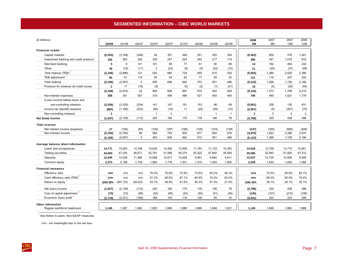## **SEGMENTED INFORMATION – CIBC WORLD MARKETS**

<span id="page-10-0"></span>

| (\$ millions)                             |                |             |            |              |        |        |        |              |              | 2008         | 2007   | 2007           | 2006   |
|-------------------------------------------|----------------|-------------|------------|--------------|--------|--------|--------|--------------|--------------|--------------|--------|----------------|--------|
|                                           | Q2/08          | Q1/08       | Q4/07      | Q3/07        | Q2/07  | Q1/07  | Q4/06  | Q3/06        | Q2/06        | 6M           | 6M     | 12M            | 12M    |
| <b>Financial results</b>                  |                |             |            |              |        |        |        |              |              |              |        |                |        |
| Capital markets                           | (2, 253)       | (3, 169)    | (249)      | 28           | 351    | 449    | 351    | 325          | 354          | (5, 422)     | 800    | 579            | 1,401  |
| Investment banking and credit products    | 102            | 283         | 240        | 328          | 247    | 204    | 242    | 217          | 119          | 385          | 451    | 1,019          | 815    |
| Merchant banking                          | 5              | 9           | 141        | 161          | 85     | 77     | 61     | 90           | 69           | 14           | 162    | 464            | 232    |
| Other                                     | 40             | (19)        | (11)       | 3            | (23)   | (6)    | (5)    | (22)         | (12)         | 21           | (29)   | (37)           | (58)   |
| Total revenue (TEB)                       | (2, 106)       | (2,896)     | 121        | 520          | 660    | 724    | 649    | 610          | 530          | (5,002)      | 1,384  | 2,025          | 2,390  |
| TEB adjustment <sup>1</sup>               | 60             | 61          | 116        | 65           | 54     | 62     | 77     | 59           | 42           | 121          | 116    | 297            | 224    |
| Total revenue                             | (2, 166)       | (2,957)     | 5          | 455          | 606    | 662    | 572    | 551          | 488          | (5, 123)     | 1,268  | 1,728          | 2,166  |
| Provision for (reversal of) credit losses | $\mathbf{2}$   | 17          | (18)       | (5)          | $\sim$ | (5)    | (2)    | (1)          | (21)         | 19           | (5)    | (28)           | (44)   |
|                                           | (2, 168)       | (2,974)     | 23         | 460          | 606    | 667    | 574    | 552          | 509          | (5, 142)     | 1,273  | 1,756          | 2,210  |
| Non-interest expenses                     | 358            | 351         | 357        | 319          | 459    | 486    | 421    | 454          | 440          | 709          | 945    | 1,621          | 1,779  |
| (Loss) income before taxes and            |                |             |            |              |        |        |        |              |              |              |        |                |        |
| non-controlling interests                 | (2, 526)       | (3, 325)    | (334)      | 141          | 147    | 181    | 153    | 98           | 69           | (5, 851)     | 328    | 135            | 431    |
| Income tax (benefit) expense              | (891)          | (1, 166)    | (222)      | (80)         | (16)   | 11     | (25)   | (49)         | (10)         | (2,057)      | (5)    | (307)          | (70)   |
| Non-controlling interests                 | $\overline{2}$ | $\sim$      | $\sim$     | $\mathbf{1}$ | 3      | $\sim$ | $\sim$ | $\mathbf{1}$ | $\mathbf{1}$ | $\mathbf{2}$ | 3      | $\overline{4}$ | 3      |
| Net (loss) income                         | (1,637)        | (2, 159)    | (112)      | 220          | 160    | 170    | 178    | 146          | 78           | (3,796)      | 330    | 438            | 498    |
| <b>Total revenue</b>                      |                |             |            |              |        |        |        |              |              |              |        |                |        |
| Net interest income (expense)             | 17             | (164)       | (84)       | (129)        | (187)  | (168)  | (105)  | (103)        | (128)        | (147)        | (355)  | (568)          | (408)  |
| Non-interest income                       | (2, 183)       | (2,793)     | 89         | 584          | 793    | 830    | 677    | 654          | 616          | (4,976)      | 1,623  | 2,296          | 2,574  |
|                                           | (2, 166)       | (2, 957)    | 5          | 455          | 606    | 662    | 572    | 551          | 488          | (5, 123)     | 1,268  | 1,728          | 2,166  |
| Average balance sheet information         |                |             |            |              |        |        |        |              |              |              |        |                |        |
| Loans and acceptances                     | 14,771         | 15,063      | 13,799     | 13,625       | 14,492 | 12,949 | 11,763 | 11,133       | 10,393       | 14,918       | 13,708 | 13,710         | 10,941 |
| <b>Trading securities</b>                 | 44,064         | 47,035      | 48,671     | 52,761       | 51,566 | 54,274 | 50,322 | 47,692       | 45,926       | 45,566       | 52,943 | 51,820         | 47,312 |
| Deposits                                  | 12,045         | 12,028      | 11,566     | 10,688       | 10,817 | 10,636 | 9,951  | 9,862        | 9,911        | 12,037       | 10,725 | 10,928         | 9,926  |
| Common equity                             | 2,273          | 2,199       | 1,739      | 1,564        | 1,718  | 1,551  | 1,510  | 1,493        | 1,400        | 2,236        | 1,633  | 1,642          | 1,484  |
| <b>Financial measures</b>                 |                |             |            |              |        |        |        |              |              |              |        |                |        |
| Efficiency ratio                          | n/m            | n/m         | n/m        | 70.0%        | 75.8%  | 73.4%  | 73.6%  | 83.2%        | 90.3%        | n/m          | 74.5%  | 93.8%          | 82.1%  |
| Cash efficiency ratio (TEB)               | n/m            | n/m         | n/m        | 61.3%        | 69.6%  | 67.1%  | 64.9%  | 74.4%        | 83.0%        | n/m          | 68.3%  | 80.0%          | 74.4%  |
| Return on equity                          | $(293.9)\%$    | $(391.7)\%$ | $(26.6)\%$ | 53.7%        | 36.9%  | 41.6%  | 45.3%  | 37.4%        | 21.5%        | $(342.4)\%$  | 39.1%  | 25.1%          | 32.1%  |
| Net (loss) income                         | (1,637)        | (2, 159)    | (112)      | 220          | 160    | 170    | 178    | 146          | 78           | (3,796)      | 330    | 438            | 498    |
| Cost of capital adjustment                | (73)           | (72)        | (56)       | (52)         | (55)   | (52)   | (50)   | (51)         | (45)         | (145)        | (107)  | (215)          | (199)  |
| Economic (loss) profit                    | (1,710)        | (2, 231)    | (168)      | 168          | 105    | 118    | 128    | 95           | 33           | (3,941)      | 223    | 223            | 299    |
| <b>Other information</b>                  |                |             |            |              |        |        |        |              |              |              |        |                |        |
| Regular workforce headcount               | 1,145          | 1,287       | 1,862      | 1,825        | 1,846  | 1,880  | 1,889  | 1,848        | 1,821        | 1,145        | 1,846  | 1,862          | 1,889  |

<sup>1</sup> See Notes to users: Non-GAAP measures.

n/m - not meaningful due to the net loss.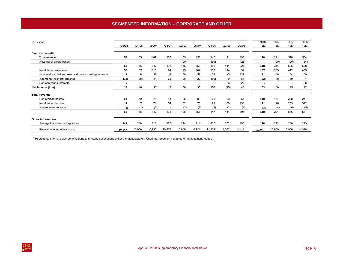# **SEGMENTED INFORMATION – CORPORATE AND OTHER**

<span id="page-11-0"></span>

| (\$ millions)                                            | Q2/08          | Q1/08                    | Q4/07          | Q3/07  | Q2/07                    | Q1/07                    | Q4/06  | Q3/06                    | Q2/06  | 2008<br>6M | 2007<br>6M | 2007<br>12M | 2006<br>12M |
|----------------------------------------------------------|----------------|--------------------------|----------------|--------|--------------------------|--------------------------|--------|--------------------------|--------|------------|------------|-------------|-------------|
| <b>Financial results</b>                                 |                |                          |                |        |                          |                          |        |                          |        |            |            |             |             |
| Total revenue                                            | 53             | 65                       | 147            | 138    | 135                      | 156                      | 147    | 111                      | 195    | 118        | 291        | 576         | 564         |
| Reversal of credit losses                                | $\blacksquare$ | $\overline{\phantom{a}}$ | $\overline{a}$ | $\sim$ | (20)                     | $\overline{\phantom{a}}$ | (39)   | $\overline{\phantom{a}}$ | (26)   | $\sim$     | (20)       | (20)        | (64)        |
|                                                          | 53             | 65                       | 147            | 138    | 155                      | 156                      | 186    | 111                      | 221    | 118        | 311        | 596         | 628         |
| Non-interest expenses                                    | 50             | 57                       | 115            | 94     | 99                       | 104                      | 152    | 114                      | 94     | 107        | 203        | 412         | 459         |
| Income (loss) before taxes and non-controlling interests | 3              | 8                        | 32             | 44     | 56                       | 52                       | 34     | (3)                      | 127    | 11         | 108        | 184         | 169         |
| Income tax (benefit) expense                             | (14)           | (38)                     | (4)            | 25     | 26                       | 22                       | (66)   | 9                        | 57     | (52)       | 48         | 69          |             |
| Non-controlling interests                                |                | $\overline{\phantom{a}}$ | $\overline{a}$ | ٠      | $\overline{\phantom{a}}$ |                          |        | 3                        | 27     |            |            |             | 26          |
| Net income (loss)                                        | 17             | 46                       | 36             | 19     | 30                       | 30                       | 100    | (15)                     | 43     | 63         | 60         | 115         | 142         |
| <b>Total revenue</b>                                     |                |                          |                |        |                          |                          |        |                          |        |            |            |             |             |
| Net interest income                                      | 51             | 59                       | 78             | 84     | 85                       | 82                       | 75     | 63                       | 61     | 110        | 167        | 329         | 247         |
| Non-interest income                                      | 4              | $\overline{7}$           | 71             | 54     | 52                       | 76                       | 73     | 50                       | 135    | 11         | 128        | 253         | 322         |
| Intersegment revenue                                     | (2)            | (1)                      | (2)            | $\sim$ | (2)                      | (2)                      | (1)    | (2)                      | (1)    | (3)        | (4)        | (6)         | (5)         |
|                                                          | 53             | 65                       | 147            | 138    | 135                      | 156                      | 147    | 111                      | 195    | 118        | 291        | 576         | 564         |
| <b>Other information</b>                                 |                |                          |                |        |                          |                          |        |                          |        |            |            |             |             |
| Average loans and acceptances                            | 248            | 208                      | 216            | 185    | 214                      | 211                      | 237    | 202                      | 196    | 228        | 212        | 206         | 213         |
| Regular workforce headcount                              | 10,947         | 10,966                   | 10,936         | 10,878 | 10,869                   | 10,921                   | 11,329 | 11,332                   | 11,411 | 10,947     | 10,869     | 10,936      | 11,329      |

1 Represents internal sales commissions and revenue allocations under the Manufacturer / Customer Segment / Distributor Management Model.

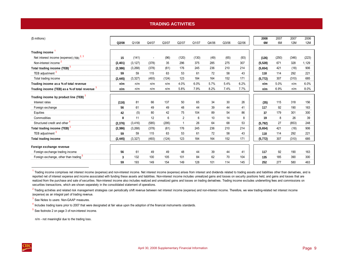# **TRADING ACTIVITIES**

<span id="page-12-0"></span>

| (\$ millions)                                       | Q2/08    | Q1/08    | Q4/07  | Q3/07 | Q2/07          | Q1/07 | Q4/06 | Q3/06 | Q2/06 | 2008<br>6M | 2007<br>6M | 2007<br>12M | 2006<br><b>12M</b> |
|-----------------------------------------------------|----------|----------|--------|-------|----------------|-------|-------|-------|-------|------------|------------|-------------|--------------------|
| <b>Trading income</b>                               |          |          |        |       |                |       |       |       |       |            |            |             |                    |
| Net interest income (expense) (TEB) <sup>2, 3</sup> | 15       | (141)    | $\sim$ | (96)  | (120)          | (130) | (49)  | (65)  | (93)  | (126)      | (250)      | (346)       | (223)              |
| Non-interest income <sup>2</sup>                    | (2, 401) | (3, 127) | (378)  | 35    | 296            | 375   | 285   | 275   | 307   | (5, 528)   | 671        | 328         | 1,129              |
| Total trading income (TEB) <sup>3</sup>             | (2, 386) | (3,268)  | (378)  | (61)  | 176            | 245   | 236   | 210   | 214   | (5,654)    | 421        | (18)        | 906                |
| TEB adjustment <sup>3</sup>                         | 59       | 59       | 115    | 63    | 53             | 61    | 72    | 58    | 43    | 118        | 114        | 292         | 221                |
| Total trading income                                | (2, 445) | (3, 327) | (493)  | (124) | 123            | 184   | 164   | 152   | 171   | (5, 772)   | 307        | (310)       | 685                |
| Trading income as a % of total revenue              | n/m      | n/m      | n/m    | n/m   | 4.0%           | 6.0%  | 5.7%  | 5.4%  | 6.2%  | n/m        | 5.0%       | n/m         | 6.0%               |
| Trading income (TEB) as a % of total revenue 3      | n/m      | n/m      | n/m    | n/m   | 5.8%           | 7.9%  | 8.2%  | 7.4%  | 7.7%  | n/m        | 6.9%       | n/m         | 8.0%               |
| Trading income by product line (TEB) <sup>3</sup>   |          |          |        |       |                |       |       |       |       |            |            |             |                    |
| Interest rates                                      | (116)    | 81       | 66     | 137   | 50             | 65    | 34    | 30    | 26    | (35)       | 115        | 318         | 156                |
| Foreign exchange                                    | 56       | 61       | 49     | 49    | 48             | 44    | 39    | 44    | 41    | 117        | 92         | 190         | 163                |
| Equities                                            | 42       | (5)      | 80     | 42    | 75             | 104   | 89    | 54    | 86    | 37         | 179        | 301         | 300                |
| Commodities                                         | 8        | 11       | 12     | 6     | $\overline{2}$ | 6     | 10    | 14    | 8     | 19         | 8          | 26          | 39                 |
| Structured credit and other 4                       | (2, 376) | (3, 416) | (585)  | (295) | $\mathbf{1}$   | 26    | 64    | 68    | 53    | (5,792)    | 27         | (853)       | 248                |
| Total trading income (TEB) <sup>3</sup>             | (2, 386) | (3,268)  | (378)  | (61)  | 176            | 245   | 236   | 210   | 214   | (5,654)    | 421        | (18)        | 906                |
| TEB adjustment <sup>3</sup>                         | 59       | 59       | 115    | 63    | 53             | 61    | 72    | 58    | 43    | 118        | 114        | 292         | 221                |
| <b>Total trading income</b>                         | (2, 445) | (3, 327) | (493)  | (124) | 123            | 184   | 164   | 152   | 171   | (5, 772)   | 307        | (310)       | 685                |
| Foreign exchange revenue                            |          |          |        |       |                |       |       |       |       |            |            |             |                    |
| Foreign exchange trading income                     | 56       | 61       | 49     | 49    | 48             | 44    | 39    | 44    | 41    | 117        | 92         | 190         | 163                |
| Foreign exchange, other than trading <sup>5</sup>   | 3        | 132      | 100    | 105   | 101            | 84    | 62    | 70    | 104   | 135        | 185        | 390         | 300                |
|                                                     | 59       | 193      | 149    | 154   | 149            | 128   | 101   | 114   | 145   | 252        | 277        | 580         | 463                |

 $1$  Trading income comprises net interest income (expense) and non-interest income. Net interest income (expense) arises from interest and dividends related to trading assets and liabilities other than derivatives, and is reported net of interest expense and income associated with funding these assets and liabilities. Non-interest income includes unrealized gains and losses on security positions held, and gains and losses that are realized from the purchase and sale of securities. Non-interest income also includes realized and unrealized gains and losses on trading derivatives. Trading income excludes underwriting fees and commissions on securities transactions, which are shown separately in the consolidated statement of operations.

<sup>2</sup> Trading activities and related risk management strategies can periodically shift revenue between net interest income (expense) and non-interest income. Therefore, we view trading-related net interest income (expense) as an integral part of trading revenue.

<sup>3</sup> See Notes to users: Non-GAAP measures.

 $<sup>4</sup>$  Includes trading loans prior to 2007 that were designated at fair value upon the adoption of the financial instruments standards.</sup>

5 See footnote 2 on page 3 of non-interest income.

n/m - not meaningful due to the trading loss.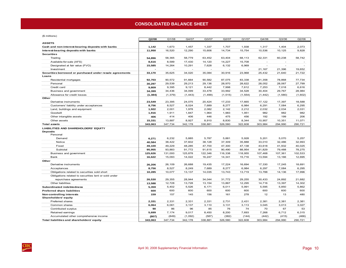#### **CONSOLIDATED BALANCE SHEET**

<span id="page-13-0"></span>(\$ millions)

| $\varphi$ in internsity                                  | Q2/08    | Q1/08    | Q4/07    | Q3/07   | Q2/07    | Q1/07    | Q4/06          | Q3/06   | Q2/06   |
|----------------------------------------------------------|----------|----------|----------|---------|----------|----------|----------------|---------|---------|
| <b>ASSETS</b>                                            |          |          |          |         |          |          |                |         |         |
| Cash and non-interest-bearing deposits with banks        | 1,142    | 1,673    | 1,457    | 1,337   | 1,707    | 1,938    | 1,317          | 1,404   | 2,073   |
| Interest-bearing deposits with banks                     | 11,950   | 16,520   | 12,290   | 15,606  | 14,734   | 15,754   | 10,536         | 10,125  | 9,828   |
| <b>Securities</b>                                        |          |          |          |         |          |          |                |         |         |
| Trading                                                  | 54,896   | 58,365   | 58,779   | 63,452  | 63,404   | 68,113   | 62,331         | 60,238  | 58,742  |
| Available-for-sale (AFS)                                 | 8,616    | 8,589    | 17,430   | 14,120  | 14,227   | 15,708   |                |         |         |
| Designated at fair value (FVO)                           | 15,585   | 14,264   | 10,291   | 7,628   | 6,132    | 6,969    | $\overline{a}$ |         |         |
| Investment                                               |          |          |          |         |          |          | 21,167         | 21,396  | 19,652  |
| Securities borrowed or purchased under resale agreements | 33,170   | 35,625   | 34,020   | 35,084  | 30,916   | 23,968   | 25,432         | 21,640  | 21,722  |
| Loans                                                    |          |          |          |         |          |          |                |         |         |
| Residential mortgages                                    | 92,703   | 90,572   | 91,664   | 90,582  | 87,075   | 83,338   | 81,358         | 78,868  | 77,734  |
| Personal                                                 | 30,297   | 29,539   | 29,213   | 29,136  | 28,970   | 28,622   | 28,052         | 28,067  | 27,799  |
| Credit card                                              | 9,809    | 9,395    | 9,121    | 8,442   | 7,998    | 7,612    | 7.253          | 7.018   | 6,616   |
| Business and government                                  | 34,399   | 34,436   | 34,099   | 33,478  | 33,992   | 34,528   | 30,404         | 29,767  | 28,984  |
| Allowance for credit losses                              | (1, 384) | (1, 379) | (1, 443) | (1,499) | (1, 515) | (1, 554) | (1, 442)       | (1,580) | (1,602) |
| Other                                                    |          |          |          |         |          |          |                |         |         |
| Derivative instruments                                   | 23,549   | 23,395   | 24,075   | 20,424  | 17,233   | 17,665   | 17,122         | 17,397  | 18,588  |
| Customers' liability under acceptances                   | 8,756    | 8,527    | 8,024    | 7,689   | 8,277    | 6,984    | 6,291          | 7,084   | 6,295   |
| Land, buildings and equipment                            | 1,922    | 2,001    | 1,978    | 2,082   | 2,142    | 2,212    | 2,032          | 2,034   | 2,031   |
| Goodwill                                                 | 1,916    | 1,911    | 1,847    | 1,964   | 1,983    | 1,951    | 982            | 982     | 982     |
| Other intangible assets                                  | 406      | 414      | 406      | 446     | 475      | 456      | 192            | 199     | 206     |
| Other assets                                             | 15,331   | 13,887   | 8,927    | 8,910   | 8,830    | 8,344    | 10,957         | 10,351  | 11,071  |
| <b>Total assets</b>                                      | 343,063  | 347,734  | 342,178  | 338,881 | 326,580  | 322,608  | 303,984        | 294,990 | 290,721 |
| <b>LIABILITIES AND SHAREHOLDERS' EQUITY</b>              |          |          |          |         |          |          |                |         |         |
| <b>Deposits</b>                                          |          |          |          |         |          |          |                |         |         |
| Personal                                                 |          |          |          |         |          |          |                |         |         |
| Demand                                                   | 6,271    | 6,232    | 5,885    | 5,787   | 5,881    | 5,928    | 5,201          | 5,070   | 5,257   |
| Notice                                                   | 40,584   | 38,422   | 37,602   | 38,128  | 37,309   | 35,888   | 33,010         | 32,486  | 32,993  |
| Fixed                                                    | 49,100   | 49,229   | 48,285   | 47,700  | 47,300   | 47,138   | 43,618         | 41,932  | 40,025  |
| Subtotal                                                 | 95,955   | 93,883   | 91,772   | 91,615  | 90,490   | 88,954   | 81,829         | 79,488  | 78,275  |
| Business and government                                  | 125,626  | 131,000  | 125,878  | 122,346 | 116,338  | 118,955  | 107,468        | 107,361 | 102,533 |
| Bank                                                     | 16,622   | 15,093   | 14,022   | 16,247  | 14,341   | 15,716   | 13,594         | 13,166  | 12,695  |
| Other                                                    |          |          |          |         |          |          |                |         |         |
| Derivative instruments                                   | 26,206   | 26,109   | 26,688   | 19,435  | 17,224   | 16,694   | 17,330         | 17,245  | 18,691  |
| Acceptances                                              | 8,756    | 8,527    | 8,249    | 7,689   | 8,277    | 6,984    | 6,297          | 7,084   | 6,295   |
| Obligations related to securities sold short             | 10,285   | 10,077   | 13,137   | 14,035  | 13,743   | 13,719   | 13,788         | 14,136  | 17,996  |
| Obligations related to securities lent or sold under     |          |          |          |         |          |          |                |         |         |
| repurchase agreements                                    | 26,530   | 29,355   | 28,944   | 34,044  | 31,772   | 29,255   | 30,433         | 24,892  | 21,682  |
| Other liabilities                                        | 13,588   | 12,728   | 13,728   | 13,154  | 13,867   | 12,295   | 14,716         | 13,397  | 14,302  |
| <b>Subordinated indebtedness</b>                         | 5,359    | 5,402    | 5,526    | 6,171   | 6,011    | 5,991    | 5,595          | 5,850   | 5,862   |
| <b>Preferred share liabilities</b>                       | 600      | 600      | 600      | 600     | 600      | 600      | 600            | 600     | 600     |
| Non-controlling interests<br><b>Shareholders' equity</b> | 159      | 157      | 145      | 156     | 161      | 278      | 12             | 13      | 480     |
| Preferred shares                                         | 2,331    | 2,331    | 2,331    | 2,331   | 2,731    | 2,431    | 2,381          | 2,381   | 2,381   |
| Common shares                                            | 6,064    | 6,061    | 3,137    | 3,110   | 3,131    | 3,113    | 3,045          | 3,013   | 3,027   |
| Contributed surplus                                      | 90       | 86       | 96       | 85      | 76       | 74       | 70             | 67      | 53      |
| Retained earnings                                        | 5,699    | 7,174    | 9,017    | 8,450   | 8,200    | 7,693    | 7,268          | 6,712   | 6,315   |
| Accumulated other comprehensive income                   | (807)    | (849)    | (1,092)  | (587)   | (382)    | (144)    | (442)          | (415)   | (466)   |
|                                                          |          | 347,734  | 342,178  | 338,881 | 326,580  | 322,608  | 303,984        | 294,990 | 290,721 |
| Total liabilities and shareholders' equity               | 343,063  |          |          |         |          |          |                |         |         |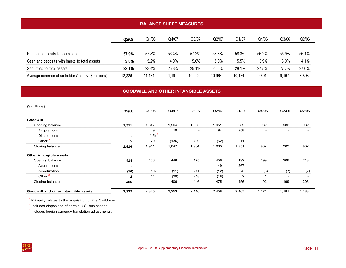# **BALANCE SHEET MEASURES**

<span id="page-14-0"></span>

|                                                   | Q2/08  | Q1/08  | Q4/07  | Q3/07  | Q2/07   | Q1/07  | Q4/06 | Q3/06 | Q2/06 |
|---------------------------------------------------|--------|--------|--------|--------|---------|--------|-------|-------|-------|
|                                                   |        |        |        |        |         |        |       |       |       |
| Personal deposits to loans ratio                  | 57.9%  | 57.8%  | 56.4%  | 57.2%  | 57.8%   | 58.3%  | 56.2% | 55.9% | 56.1% |
| Cash and deposits with banks to total assets      | 3.8%   | 5.2%   | 4.0%   | 5.0%   | $5.0\%$ | 5.5%   | 3.9%  | 3.9%  | 4.1%  |
| Securities to total assets                        | 23.1%  | 23.4%  | 25.3%  | 25.1%  | 25.6%   | 28.1%  | 27.5% | 27.7% | 27.0% |
| Average common shareholders' equity (\$ millions) | 12,328 | 11,181 | 11,191 | 10,992 | 10,964  | 10,474 | 9,601 | 9,167 | 8,803 |

### **GOODWILL AND OTHER INTANGIBLE ASSETS**

| (\$ millions)                        |                |                   |                          |                          |                          |                          |        |                          |                          |
|--------------------------------------|----------------|-------------------|--------------------------|--------------------------|--------------------------|--------------------------|--------|--------------------------|--------------------------|
|                                      | Q2/08          | Q1/08             | Q4/07                    | Q3/07                    | Q2/07                    | Q1/07                    | Q4/06  | Q3/06                    | Q2/06                    |
| Goodwill                             |                |                   |                          |                          |                          |                          |        |                          |                          |
| Opening balance                      | 1,911          | 1,847             | 1,964                    | 1,983                    | 1,951                    | 982                      | 982    | 982                      | 982                      |
| Acquisitions                         | ٠              | 9                 | 19                       | $\overline{\phantom{a}}$ | 94                       | 958                      | $\sim$ | $\overline{\phantom{a}}$ | $\overline{\phantom{a}}$ |
| Dispositions                         | ۰.             | (15) <sup>2</sup> | $\overline{\phantom{a}}$ | $\sim$                   | $\overline{\phantom{a}}$ | $\overline{\phantom{a}}$ | $\sim$ | $\overline{\phantom{a}}$ | $\overline{\phantom{a}}$ |
| Other <sup>3</sup>                   | 5              | 70                | (136)                    | (19)                     | (62)                     | 11                       |        | $\overline{\phantom{a}}$ | $\overline{\phantom{0}}$ |
| Closing balance                      | 1,916          | 1,911             | 1,847                    | 1,964                    | 1,983                    | 1,951                    | 982    | 982                      | 982                      |
| Other intangible assets              |                |                   |                          |                          |                          |                          |        |                          |                          |
| Opening balance                      | 414            | 406               | 446                      | 475                      | 456                      | 192                      | 199    | 206                      | 213                      |
| Acquisitions                         | $\blacksquare$ | 4                 | $\overline{\phantom{a}}$ | $\overline{\phantom{a}}$ | 49                       | 267                      |        | $\overline{\phantom{a}}$ | $\overline{\phantom{a}}$ |
| Amortization                         | (10)           | (10)              | (11)                     | (11)                     | (12)                     | (5)                      | (8)    | (7)                      | (7)                      |
| Other <sup>3</sup>                   | $\mathbf{2}$   | 14                | (29)                     | (18)                     | (18)                     | $\overline{2}$           |        | $\overline{\phantom{a}}$ | $\overline{\phantom{0}}$ |
| Closing balance                      | 406            | 414               | 406                      | 446                      | 475                      | 456                      | 192    | 199                      | 206                      |
| Goodwill and other intangible assets | 2,322          | 2,325             | 2,253                    | 2,410                    | 2,458                    | 2,407                    | 1,174  | 1,181                    | 1,188                    |

<sup>1</sup> Primarily relates to the acquisition of FirstCaribbean.

2 Includes disposition of certain U.S. businesses.

 $3$  Includes foreign currency translation adjustments.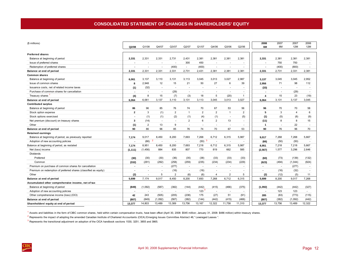<span id="page-15-0"></span>

| (\$ millions)                                                    |                          |                          |                                  |                          |                          |                    |                         |                          |                          | 2008                     | 2007                     | 2007           | 2006   |
|------------------------------------------------------------------|--------------------------|--------------------------|----------------------------------|--------------------------|--------------------------|--------------------|-------------------------|--------------------------|--------------------------|--------------------------|--------------------------|----------------|--------|
|                                                                  | Q2/08                    | Q1/08                    | Q4/07                            | Q3/07                    | Q2/07                    | Q1/07              | Q4/06                   | Q3/06                    | Q2/06                    | 6M                       | 6M                       | <b>12M</b>     | 12M    |
|                                                                  |                          |                          |                                  |                          |                          |                    |                         |                          |                          |                          |                          |                |        |
| <b>Preferred shares</b>                                          |                          |                          |                                  |                          |                          |                    |                         |                          |                          |                          |                          |                |        |
| Balance at beginning of period                                   | 2,331                    | 2,331                    | 2,331                            | 2,731                    | 2.431                    | 2,381              | 2,381                   | 2,381                    | 2,381                    | 2,331                    | 2,381                    | 2.381          | 2,381  |
| Issue of preferred shares                                        |                          | $\overline{\phantom{a}}$ | $\sim$                           | $\sim$                   | 300                      | 450                |                         |                          | $\overline{a}$           | $\blacksquare$           | 750                      | 750            |        |
| Redemption of preferred shares                                   |                          | $\overline{\phantom{a}}$ | $\overline{\phantom{a}}$         | (400)                    | $\sim$                   | (400)              | $\sim$                  | $\overline{\phantom{a}}$ |                          |                          | (400)                    | (800)          | $\sim$ |
| Balance at end of period                                         | 2,331                    | 2,331                    | 2,331                            | 2,331                    | 2,731                    | 2,431              | 2,381                   | 2,381                    | 2,381                    | 2,331                    | 2,731                    | 2,331          | 2,381  |
| <b>Common shares</b>                                             |                          |                          |                                  |                          |                          |                    |                         |                          |                          |                          |                          |                |        |
| Balance at beginning of period                                   | 6.061                    | 3,137                    | 3.110                            | 3,131                    | 3.113                    | 3.045              | 3.013                   | 3,027                    | 2,987                    | 3.137                    | 3.045                    | 3.045          | 2.952  |
| Issue of common shares                                           | 8                        | 2.948                    | 12                               | 15                       | 21                       | 50                 | 27                      | 6                        | 39                       | 2,956                    | 71                       | 98             | 112    |
| Issuance costs, net of related income taxes                      | (1)                      | (32)                     | $\overline{\phantom{a}}$         | $\overline{\phantom{a}}$ |                          |                    |                         |                          |                          | (33)                     |                          | ÷,             |        |
| Purchase of common shares for cancellation                       | $\overline{\phantom{a}}$ | $\overline{\phantom{a}}$ | $\sim$                           | (29)                     |                          |                    |                         | $\sim$                   |                          |                          |                          | (29)           | $\sim$ |
| Treasury shares                                                  | (4)                      | 8                        | 15                               | (7)                      | (3)                      | 18                 | 5                       | (20)                     | $\mathbf{1}$             | 4                        | 15                       | 23             | (19)   |
| Balance at end of period                                         | 6,064                    | 6,061                    | 3,137                            | 3,110                    | 3,131                    | 3,113              | 3,045                   | 3,013                    | 3,027                    | 6,064                    | 3,131                    | 3,137          | 3,045  |
| <b>Contributed surplus</b>                                       |                          |                          |                                  |                          |                          |                    |                         |                          |                          |                          |                          |                |        |
| Balance at beginning of period                                   | 86                       | 96                       | 85                               | 76                       | 74                       | 70                 | 67                      | 53                       | 56                       | 96                       | 70                       | 70             | 58     |
| Stock option expense                                             | $\mathbf{2}$             | 3                        | (1)                              | $\overline{2}$           | $\mathbf{1}$             | $\overline{2}$     | $\overline{2}$          | $\overline{1}$           | $\overline{2}$           | 5                        | 3                        | $\overline{4}$ | 6      |
| Stock options exercised                                          | $\overline{\phantom{a}}$ | (1)                      | (1)                              | (2)                      | (1)                      | (4)                | (1)                     | $\sim$                   | (5)                      | (1)                      | (5)                      | (8)            | (9)    |
| Net premium (discount) on treasury shares                        | 3                        | (14)                     | $\sim$                           | $\sim$                   | $\overline{2}$           | 6                  | $\overline{\mathbf{c}}$ | 13                       | $\overline{\phantom{a}}$ | (11)                     | 8                        | 8              | 15     |
| Other                                                            | (1)                      | $\overline{2}$           | 13                               | 9                        | $\overline{\phantom{a}}$ |                    |                         | $\overline{\phantom{a}}$ |                          | $\mathbf{1}$             |                          | 22             |        |
| Balance at end of period                                         | 90                       | 86                       | 96                               | 85                       | 76                       | 74                 | 70                      | 67                       | 53                       | 90                       | 76                       | 96             | 70     |
| <b>Retained earnings</b>                                         |                          |                          |                                  |                          |                          |                    |                         |                          |                          |                          |                          |                |        |
| Balance at beginning of period, as previously reported           | 7,174                    | 9,017                    | 8,450                            | 8,200                    | 7.693                    | 7,268              | 6,712                   | 6,315                    | 5,987                    | 9.017                    | 7,268                    | 7,268          | 5,667  |
| Adoption of new accounting policies                              |                          | (66)                     | $\overline{2}$<br>$\overline{a}$ | $\overline{a}$           |                          | 3<br>(50)          | $\overline{a}$          | $\overline{a}$           |                          | (66)                     | (50)                     | (50)           |        |
| Balance at beginning of period, as restated                      | 7,174                    | 8,951                    | 8,450                            | 8,200                    | 7,693                    | 7,218              | 6,712                   | 6,315                    | 5,987                    | 8,951                    | 7,218                    | 7,218          | 5,667  |
| Net (loss) income                                                | (1, 111)                 | (1, 456)                 | 884                              | 835                      | 807                      | 770                | 819                     | 662                      | 585                      | (2, 567)                 | 1,577                    | 3,296          | 2,646  |
| Dividends                                                        |                          |                          |                                  |                          |                          |                    |                         |                          |                          |                          |                          |                |        |
| Preferred                                                        | (30)                     | (30)                     | (30)                             | (36)                     | (35)                     | (38)               | (33)                    | (33)                     | (33)                     | (60)                     | (73)                     | (139)          | (132)  |
| Common                                                           | (332)                    | (291)                    | (292)                            | (258)                    | (259)                    | (235)              | (234)                   | (234)                    | (229)                    | (623)                    | (494)                    | (1,044)        | (924)  |
| Premium on purchase of common shares for cancellation            | $\blacksquare$           | $\sim$                   | $\sim$                           | (277)                    | $\sim$                   | $\sim$             | $\sim$                  | $\sim$                   | $\sim$                   | $\overline{\phantom{a}}$ | $\overline{\phantom{a}}$ | (277)          |        |
| Premium on redemption of preferred shares (classified as equity) | $\overline{\phantom{a}}$ | $\overline{\phantom{a}}$ | $\sim$                           | (16)                     | $\sim$                   | (16)               | $\sim$                  | $\sim$                   | $\overline{\phantom{a}}$ | $\overline{\phantom{a}}$ | (16)                     | (32)           | $\sim$ |
| Other                                                            | (2)                      |                          | 5                                | $\overline{2}$           | (6)                      | (6)                | $\overline{\mathbf{4}}$ | $\overline{2}$           | 5                        | (2)                      | (12)                     | (5)            | 11     |
| Balance at end of period                                         | 5,699                    | 7,174                    | 9,017                            | 8,450                    | 8,200                    | 7,693              | 7,268                   | 6,712                    | 6,315                    | 5,699                    | 8,200                    | 9,017          | 7,268  |
| Accumulated other comprehensive income, net of tax               |                          |                          |                                  |                          |                          |                    |                         |                          |                          |                          |                          |                |        |
| Balance at beginning of period                                   | (849)                    | (1,092)                  | (587)                            | (382)                    | (144)                    | (442)              | (415)                   | (466)                    | (375)                    | (1,092)                  | (442)                    | (442)          | (327)  |
| Adoption of new accounting policies                              |                          | $\overline{\phantom{a}}$ | $\overline{\phantom{a}}$         | $\sim$                   | $\sim$                   | $123$ <sup>3</sup> | $\sim$                  | $\sim$                   | $\overline{\phantom{a}}$ |                          | 123                      | 123            | $\sim$ |
| Other comprehensive income (loss) (OCI)                          | 42                       | 243                      | (505)                            | (205)                    | (238)                    | 175                | (27)                    | 51                       | (91)                     | 285                      | (63)                     | (773)          | (115)  |
| Balance at end of period                                         | (807)                    | (849)                    | (1,092)                          | (587)                    | (382)                    | (144)              | (442)                   | (415)                    | (466)                    | (807)                    | (382)                    | (1,092)        | (442)  |
| Shareholders' equity at end of period                            | 13,377                   | 14,803                   | 13,489                           | 13,389                   | 13,756                   | 13,167             | 12,322                  | 11,758                   | 11,310                   | 13,377                   | 13,756                   | 13,489         | 12,322 |
|                                                                  |                          |                          |                                  |                          |                          |                    |                         |                          |                          |                          |                          |                |        |

<sup>1</sup> Assets and liabilities in the form of CIBC common shares, held within certain compensation trusts, have been offset (April 30, 2008: \$545 million; January 31, 2008: \$486 million) within treasury shares.

 $2$  Represents the impact of adopting the amended Canadian Institute of Chartered Accountants (CICA) Emerging Issues Committee Abstract 46," Leveraged Leases".

3 Represents the transitional adjustment on adoption of the CICA handbook sections 1530, 3251, 3855 and 3865.

 $\Box$ BC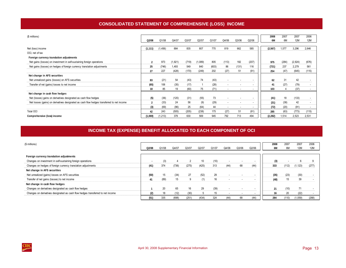<span id="page-16-0"></span>

| (\$ millions)                                                                              |                |          |         |       |         |       |                          |       |       | 2008     | 2007  | 2007    | 2006  |
|--------------------------------------------------------------------------------------------|----------------|----------|---------|-------|---------|-------|--------------------------|-------|-------|----------|-------|---------|-------|
|                                                                                            | Q2/08          | Q1/08    | Q4/07   | Q3/07 | Q2/07   | Q1/07 | Q4/06                    | Q3/06 | Q2/06 | 6M       | 6M    | 12M     | 12M   |
|                                                                                            |                |          |         |       |         |       |                          |       |       |          |       |         |       |
| Net (loss) income                                                                          | (1, 111)       | (1, 456) | 884     | 835   | 807     | 770   | 819                      | 662   | 585   | (2, 567) | 1,577 | 3,296   | 2,646 |
| OCI, net of tax                                                                            |                |          |         |       |         |       |                          |       |       |          |       |         |       |
| Foreign currency translation adjustments                                                   |                |          |         |       |         |       |                          |       |       |          |       |         |       |
| Net gains (losses) on investment in self-sustaining foreign operations                     |                | 973      | (1,921) | (719) | (1,089) | 805   | (113)                    | 182   | (207) | 975      | (284) | (2,924) | (676) |
| Net gains (losses) on hedges of foreign currency translation adjustments                   | 25             | (746)    | 1,493   | 549   | 840     | (603) | 86                       | (131) | 116   | (721)    | 237   | 2,279   | 561   |
|                                                                                            | 27             | 227      | (428)   | (170) | (249)   | 202   | (27)                     | 51    | (91)  | 254      | (47)  | (645)   | (115) |
| Net change in AFS securities                                                               |                |          |         |       |         |       |                          |       |       |          |       |         |       |
| Net unrealized gains (losses) on AFS securities                                            | 83             | (21)     | 54      | (43)  | 74      | (43)  |                          |       |       | 62       | 31    | 42      |       |
| Transfer of net (gains) losses to net income                                               | (65)           | 106      | (35)    | (17)  |         | (28)  |                          |       |       | 41       | (27)  | (79)    |       |
|                                                                                            | 18             | 85       | 19      | (60)  | 75      | (71)  |                          |       |       | 103      | 4     | (37)    |       |
| Net change in cash flow hedges                                                             |                |          |         |       |         |       |                          |       |       |          |       |         |       |
| Net (losses) gains on derivatives designated as cash flow hedges                           | (5)            | (36)     | (120)   | (31)  | (55)    | 73    |                          |       |       | (41)     | 18    | (133)   |       |
| Net losses (gains) on derivatives designated as cash flow hedges transferred to net income | $\overline{2}$ | (33)     | 24      | 56    | (9)     | (29)  | $\overline{\phantom{a}}$ |       |       | (31)     | (38)  | 42      |       |
|                                                                                            | (3)            | (69)     | (96)    | 25    | (64)    | 44    |                          |       |       | (72)     | (20)  | (91)    |       |
| <b>Total OCI</b>                                                                           | 42             | 243      | (505)   | (205) | (238)   | 175   | (27)                     | 51    | (91)  | 285      | (63)  | (773)   | (115) |
| Comprehensive (loss) income                                                                | (1,069)        | (1, 213) | 379     | 630   | 569     | 945   | 792                      | 713   | 494   | (2, 282) | 1.514 | 2.523   | 2,531 |

# **INCOME TAX (EXPENSE) BENEFIT ALLOCATED TO EACH COMPONENT OF OCI**

| (\$ millions)                                                                   |       |       |       |       |       |       |       |       |       | 2008 | 2007                     | 2007       | 2006       |
|---------------------------------------------------------------------------------|-------|-------|-------|-------|-------|-------|-------|-------|-------|------|--------------------------|------------|------------|
|                                                                                 | Q2/08 | Q1/08 | Q4/07 | Q3/07 | Q2/07 | Q1/07 | Q4/06 | Q3/06 | Q2/06 | 6M   | 6M                       | <b>12M</b> | <b>12M</b> |
| Foreign currency translation adjustments                                        |       |       |       |       |       |       |       |       |       |      |                          |            |            |
| Changes on investment in self-sustaining foreign operations                     |       | (3)   |       |       | 10    | (10)  |       |       |       | (3)  | $\overline{\phantom{a}}$ |            |            |
| Changes on hedges of foreign currency translation adjustments                   | (41)  | 374   | (736) | (275) | (425) | 313   | (44)  | 68    | (44)  | 333  | (112)                    | 1,123)     | (277)      |
| Net change in AFS securities                                                    |       |       |       |       |       |       |       |       |       |      |                          |            |            |
| Net unrealized (gains) losses on AFS securities                                 | (50)  | 15    | (34)  | 27    | (52)  | 29    |       |       |       | (35) | (23)                     | (30)       |            |
| Transfer of net gains (losses) to net income                                    | 41    | (89)  | 15    | 9     | (1)   | 16    |       |       |       | (48) | 15                       | 39         |            |
| Net change in cash flow hedges                                                  |       |       |       |       |       |       |       |       |       |      |                          |            |            |
| Changes on derivatives designated as cash flow hedges                           |       | 20    | 65    | 16    | 29    | (39)  |       |       |       | 21   | (10)                     | 71         |            |
| Changes on derivatives designated as cash flow hedges transferred to net income | (2)   | 18    | (12)  | (30)  |       | 15    |       |       |       | 16   | 20                       | (22)       |            |
|                                                                                 | (51)  | 335   | (698) | (251) | (434) | 324   | (44)  | 68    | (44)  | 284  | (110)                    | 1,059      | (268)      |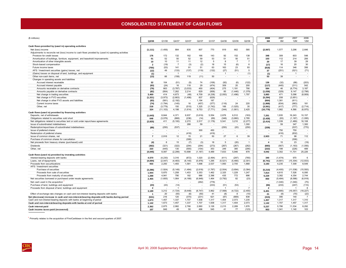### **CONSOLIDATED STATEMENT OF CASH FLOWS**

<span id="page-17-0"></span>

| (\$ millions)                                                                                       |                          |           |                |                          |          |          |                |                |                | 2008           | 2007     | 2007         | 2006           |
|-----------------------------------------------------------------------------------------------------|--------------------------|-----------|----------------|--------------------------|----------|----------|----------------|----------------|----------------|----------------|----------|--------------|----------------|
|                                                                                                     | Q2/08                    | Q1/08     | Q4/07          | Q3/07                    | Q2/07    | Q1/07    | Q4/06          | Q3/06          | Q2/06          | 6M             | 6M       | 12M          | 12M            |
|                                                                                                     |                          |           |                |                          |          |          |                |                |                |                |          |              |                |
| Cash flows provided by (used in) operating activities                                               |                          |           |                |                          |          |          |                |                |                |                |          |              |                |
| Net (loss) income                                                                                   | (1, 111)                 | (1, 456)  | 884            | 835                      | 807      | 770      | 819            | 662            | 585            | (2, 567)       | 1,577    | 3,296        | 2,646          |
| Adjustments to reconcile net (loss) income to cash flows provided by (used in) operating activities |                          |           |                |                          |          |          |                |                |                |                |          |              |                |
| Provision for credit losses                                                                         | 176                      | 172       | 132            | 162                      | 166      | 143      | 92             | 152            | 138            | 348            | 309      | 603          | 548            |
| Amortization of buildings, furniture, equipment, and leasehold improvements                         | 51                       | 52        | 50             | 52                       | 59       | 53       | 51             | 50             | 51             | 103            | 112      | 214          | 206            |
| Amortization of other intangible assets                                                             | 10                       | 10        | 11             | 11                       | 12       | 5        | 8              | $\overline{7}$ | $\overline{7}$ | 20             | 17       | 39           | 29             |
| Stock-based compensation                                                                            | $\overline{2}$           | (19)      | $\overline{7}$ | (3)                      | (2)      | 18       | 15             | (6)            | 6              | (17)           | 16       | 20           | 30             |
| Future income taxes                                                                                 | (765)                    | (53)      | 141            | 91                       | 51       | 63       | 163            | 23             | 93             | (818)          | 114      | 346          | 356            |
| AFS / Investment securities (gains) losses, net                                                     | (12)                     | 49        | (133)          | (137)                    | (119)    | (132)    | (27)           | (51)           | 5              | 37             | (251)    | (521)        | (71)           |
| (Gains) losses on disposal of land, buildings, and equipment                                        | (1)                      | $\sim$    | $\mathbf{1}$   | $\sim$                   | $\sim$   | $\sim$   | $\overline{1}$ | $\sim$         | (1)            | (1)            | $\sim$   | $\mathbf{1}$ | $\sim$         |
| Other non-cash items, net                                                                           | (13)                     | 66        | (158)          | 119                      | (11)     | 50       | $\sim$         | $\sim$         | $\sim$         | 53             | 39       | $\sim$       | $\sim$         |
| Changes in operating assets and liabilities                                                         |                          |           |                |                          |          |          |                |                |                |                |          |              |                |
| Accrued interest receivable                                                                         | 32                       | 104       | (51)           | (5)                      | 74       | (106)    | (92)           | (6)            | (122)          | 136            | (32)     | (88)         | (203)          |
| Accrued interest payable                                                                            | (93)                     | (24)      | 16             | 118                      | 29       | (474)    | 309            | 20             | 200            | (117)          | (445)    | (311)        | 542            |
| Amounts receivable on derivative contracts                                                          | (79)                     | 663       | (3,787)        | (3,033)                  | 450      | (404)    | 275            | 1,191          | 790            | 584            | 46       | (6, 774)     | 3,187          |
| Amounts payable on derivative contracts                                                             | (82)                     | (954)     | 7,262          | 2,214                    | 629      | (958)    | 85             | (1, 446)       | (1, 379)       | (1,036)        | (329)    | 9,147        | (2,798)        |
| Net change in trading securities                                                                    | 3.469                    | 414       | 4,673          | (48)                     | 4,709    | (4, 238) | (2,093)        | (1, 496)       | 1,797          | 3.883          | 471      | 5,096        | (8,909)        |
| Net change in FVO securities                                                                        | (1, 321)                 | (3,973)   | (2,663)        | (1, 496)                 | 837      | (629)    | $\sim$         |                | $\sim$         | (5, 294)       | 208      | (3,951)      | $\sim$         |
| Net change in other FVO assets and liabilities                                                      | (83)                     | (581)     | (2, 192)       | $\sim$                   | 1,194    | 187      | $\sim$         |                |                | (664)          | 1,381    | (811)        | $\overline{a}$ |
| Current income taxes                                                                                | (74)                     | (1,794)   | (145)          | 16                       | (457)    | (377)    | (116)          | 24             | 220            | (1, 868)       | (834)    | (963)        | 181            |
| Other, net                                                                                          | 218                      | (3, 779)  | 150            | (510)                    | 1,325    | (1, 742) | 166            | (1,025)        | 35             | (3, 561)       | (417)    | (777)        | (2,714)        |
|                                                                                                     | 324                      | (11, 103) | 4,198          | (1,614)                  | 9,753    | (7, 771) | (344)          | (1,901)        | 2,425          | (10, 779)      | 1,982    | 4,566        | (6,970)        |
| Cash flows (used in) provided by financing activities                                               |                          |           |                |                          |          |          |                |                |                |                |          |              |                |
| Deposits, net of withdrawals                                                                        | (1, 643)                 | 8.844     | 4.371          | 9,937                    | (3,619)  | 5,554    | 2.876          | 6.512          | (163)          | 7.201          | 1,935    | 16.243       | 10.157         |
| Obligations related to securities sold short                                                        | 648                      | (3,076)   | (868)          | (236)                    | (14)     | (69)     | (348)          | (3,860)        | 2,785          | (2, 428)       | (83)     | (1, 187)     | (1,095)        |
| Net obligations related to securities lent or sold under repurchase agreements                      | (2, 825)                 | 411       | (5, 100)       | 2,272                    | 2,517    | (1, 178) | 5,541          | 3,210          | (2, 277)       | (2, 414)       | 1,339    | (1, 489)     | 16,108         |
| Issue of subordinated indebtedness                                                                  |                          | $\sim$    |                | 288                      | 59       | $\sim$   |                |                | 1,300          |                | 59       | 347          | 1,300          |
| Redemption/repurchase of subordinated indebtedness                                                  | (89)                     | (250)     | (537)          | $\sim$                   | ٠        | $\sim$   | (250)          | (20)           | (250)          | (339)          | $\sim$   | (537)        | (770)          |
| Issue of preferred shares                                                                           | $\blacksquare$           |           |                | $\sim$                   | 300      | 450      | $\sim$         | $\blacksquare$ | $\sim$         |                | 750      | 750          | $\sim$         |
| Redemption of preferred shares                                                                      | $\overline{\phantom{a}}$ | $\sim$    | $\sim$         | (416)                    | ÷.       | (416)    | $\sim$         | $\blacksquare$ | $\sim$         |                | (416)    | (832)        | $\sim$         |
| Issue of common shares, net                                                                         | $\overline{7}$           | 2,916     | 12             | 15                       | 21       | 50       | 27             | 6              | 39             | 2,923          | 71       | 98           | 112            |
| Purchase of common shares for cancellation                                                          | $\overline{\phantom{a}}$ |           | $\sim$         | (306)                    | $\sim$   | $\sim$   | ÷              | $\sim$         |                |                | $\sim$   | (306)        | $\sim$         |
| Net proceeds from treasury shares (purchased) sold                                                  | (4)                      | 8         | 15             | (7)                      | (3)      | 18       | 5              | (20)           | $\overline{1}$ | 4              | 15       | 23           | (19)           |
| Dividends                                                                                           | (362)                    | (321)     | (322)          | (294)                    | (294)    | (273)    | (267)          | (267)          | (262)          | (683)          | (567)    | (1, 183)     | (1,056)        |
| Other, net                                                                                          | 223                      | (445)     | 130            | (555)                    | (154)    | 353      | 249            | 385            | (295)          | (222)          | 199      | (226)        | 489            |
|                                                                                                     | (4,045)                  | 8,087     | (2, 299)       | 10,698                   | (1, 187) | 4,489    | 7,833          | 5,946          | 878            | 4,042          | 3,302    | 11,701       | 25,226         |
| Cash flows (used in) provided by investing activities                                               |                          |           |                |                          |          |          |                |                |                |                |          |              |                |
| Interest-bearing deposits with banks                                                                | 4.570                    | (4, 230)  | 3,316          | (872)                    | 1,020    | (2, 494) | (411)          | (297)          | (765)          | 340            | (1, 474) | 970          | 6              |
| Loans, net of repayments                                                                            | (4, 694)                 | (2,047)   | (4, 483)       | (6, 140)                 | (5,976)  | 1,295    | (5, 521)       | (5, 466)       | (2, 301)       | (6, 741)       | (4,681)  | (15, 304)    | (12, 933)      |
| Proceeds from securitizations                                                                       | 933                      | 2,250     | 1,493          | 1,581                    | 1,698    | 2,537    | 1,950          | 2,705          | 1,868          | 3,183          | 4,235    | 7,309        | 8,549          |
| AFS / Investment securities                                                                         |                          |           |                |                          |          |          |                |                |                |                |          |              |                |
| Purchase of securities                                                                              | (3, 286)                 | (1, 924)  | (5, 149)       | (1, 484)                 | (2,618)  | (1,787)  | (2,504)        | (3,694)        | (3, 384)       | (5, 210)       | (4, 405) | (11,038)     | (15, 593)      |
| Proceeds from sale of securities                                                                    | 1,944                    | 5,870     | 1,258          | 1,453                    | 3,353    | 1,462    | 2,325          | 1,229          | 1,247          | 7,814          | 4,815    | 7,526        | 6,095          |
| Proceeds from maturity of securities                                                                | 1,288                    | 4,941     | 790            | 182                      | 986      | 2,396    | 435            | 772            | 896            | 6,229          | 3,382    | 4,354        | 2,744          |
| Net securities borrowed or purchased under resale agreements                                        | 2.455                    | (1,605)   | 1,064          | (4, 168)                 | (6,948)  | 1,464    | (3,792)        | 82             | (23)           | 850            | (5, 484) | (8,588)      | (6,918)        |
| Net cash used in the acquisition                                                                    | $\overline{a}$           | $\sim$    | in 1919.       | ÷,                       | (262)    | (778)    | $\sim$         | $\sim$         |                |                | (1,040)  | (1,040)      | (75)           |
| Purchase of land, buildings and equipment                                                           | (23)                     | (43)      | (14)           | $\sim$                   | $\sim$   | (233)    | (51)           | (53)           | ä,             | (66)           | (233)    | (247)        | (110)          |
| Proceeds from disposal of land, buildings and equipment                                             | $\overline{2}$           |           | $\mathbf{1}$   | $\overline{\phantom{a}}$ |          | $\sim$   | $\overline{1}$ |                | $\overline{7}$ | $\overline{2}$ |          | $\mathbf{1}$ | 8              |
|                                                                                                     | 3,189                    | 3,212     | (1, 724)       | (9, 448)                 | (8, 747) | 3,862    | (7, 568)       | (4, 722)       | (2, 455)       | 6,401          | (4,885)  | (16, 057)    | (18, 227)      |
| Effect of exchange rate changes on cash and non-interest bearing deposits with banks                | -1                       | 20        | (55)           | (6)                      | (50)     | 41       | (8)            | 8              | (10)           | 21             | (9)      | (70)         | (22)           |
| Net (decrease) increase in cash and non-interest-bearing deposits with banks during period          | (531)                    | 216       | 120            | (370)                    | (231)    | 621      | (87)           | (669)          | 838            | (315)          | 390      | 140          | $\overline{7}$ |
| Cash and non-interest-bearing deposits with banks at beginning of period                            | 1,673                    | 1,457     | 1,337          | 1,707                    | 1,938    | 1,317    | 1,404          | 2,073          | 1,235          | 1,457          | 1,317    | 1,317        | 1,310          |
| Cash and non-interest-bearing deposits with banks at end of period                                  | 1,142                    | 1,673     | 1,457          | 1,337                    | 1,707    | 1,938    | 1,317          | 1,404          | 2,073          | 1,142          | 1,707    | 1,457        | 1,317          |
| Cash interest paid                                                                                  | 2.362                    | 2,875     | 2,982          | 2,766                    | 2,660    | 3,126    | 2.215          | 2,289          | 1.876          | 5.237          | 5.786    | 11,534       | 8.292          |
| Cash income taxes paid (recovered)                                                                  | 107                      | 846       | 49             | 50                       | 496      | 545      | 41             | 77             | (123)          | 953            | 1.041    | 1.140        | 103            |
|                                                                                                     |                          |           |                |                          |          |          |                |                |                |                |          |              |                |

<sup>1</sup> Primarily relates to the acquisition of FirstCaribbean in the first and second quarters of 2007.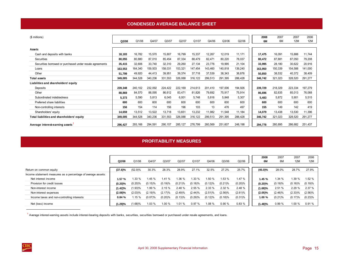### **CONDENSED AVERAGE BALANCE SHEET**

<span id="page-18-0"></span>

| (\$ millions)                                            |         |         |         |          |          |         |         |         |         | 2008    | 2007    | 2007    | 2006    |
|----------------------------------------------------------|---------|---------|---------|----------|----------|---------|---------|---------|---------|---------|---------|---------|---------|
|                                                          | Q2/08   | Q1/08   | Q4/07   | Q3/07    | Q2/07    | Q1/07   | Q4/06   | Q3/06   | Q2/06   | 6M      | 6M      | 12M     | 12M     |
|                                                          |         |         |         |          |          |         |         |         |         |         |         |         |         |
| <b>Assets</b>                                            |         |         |         |          |          |         |         |         |         |         |         |         |         |
| Cash and deposits with banks                             | 18,183  | 16,782  | 15,570  | 15,807   | 16,799   | 15,337  | 12,267  | 12,019  | 11,171  | 17,475  | 16,091  | 15,888  | 11,744  |
| Securities                                               | 80,055  | 80,880  | 87,010  | 85,454   | 87,334   | 88,479  | 82,471  | 80,220  | 78,037  | 80,472  | 87,881  | 87,050  | 79,208  |
| Securities borrowed or purchased under resale agreements | 35,415  | 32,606  | 33,740  | 32,310   | 29,260   | 27,134  | 23,776  | 19,995  | 21,104  | 33,995  | 28,180  | 30,622  | 20,916  |
| Loans                                                    | 163,553 | 164,340 | 159,503 | 158,031  | 153,321  | 147,454 | 143,460 | 140,818 | 139,240 | 163,950 | 150,339 | 154,588 | 141,000 |
| Other                                                    | 51,799  | 49,920  | 44,413  | 39,951   | 39,374   | 37,718  | 37,539  | 38,343  | 38,876  | 50,850  | 38,532  | 40,372  | 38,409  |
| <b>Total assets</b>                                      | 349,005 | 344,528 | 340,236 | 331,553  | 326,088  | 316,122 | 299,513 | 291,395 | 288,428 | 346,742 | 321,023 | 328,520 | 291,277 |
| Liabilities and shareholders' equity                     |         |         |         |          |          |         |         |         |         |         |         |         |         |
| Deposits                                                 | 239,348 | 240,102 | 232,092 | 224,422  | 222.169  | 214,613 | 201,410 | 197,006 | 194,926 | 239,729 | 218,329 | 223,334 | 197,279 |
| Other                                                    | 88,869  | 84,570  | 88,095  | 86,612   | 83,471   | 81,826  | 79,692  | 75,917  | 75,914  | 86,696  | 82,635  | 85,013  | 76,068  |
| Subordinated indebtedness                                | 5,373   | 5,590   | 5,813   | 6,045    | 6,001    | 5,748   | 5,816   | 5,848   | 5,307   | 5,483   | 5,872   | 5,901   | 5,515   |
| Preferred share liabilities                              | 600     | 600     | 600     | 600      | 600      | 600     | 600     | 600     | 600     | 600     | 600     | 600     | 600     |
| Non-controlling interests                                | 156     | 154     | 114     | 156      | 196      | 103     | 13      | 476     | 497     | 155     | 149     | 142     | 419     |
| Shareholders' equity                                     | 14,659  | 13,512  | 13,522  | 13,718   | 13,651   | 13,232  | 11,982  | 11,548  | 11,184  | 14,079  | 13,438  | 13,530  | 11,396  |
| Total liabilities and shareholders' equity               | 349,005 | 344,528 | 340,236 | 331,553  | 326,088  | 316,122 | 299,513 | 291,395 | 288,428 | 346,742 | 321,023 | 328,520 | 291,277 |
| Average interest-earning assets                          | 296.427 | 293,166 | 294,591 | 290, 157 | 285, 127 | 276,799 | 260,569 | 251,607 | 248,198 | 294,778 | 280,895 | 286,682 | 251,437 |

### **PROFITABILITY MEASURES**

|                                                                                         | Q2/08      | Q1/08      | Q4/07      | Q3/07   | Q2/07      | Q1/07   | Q4/06      | Q3/06      | Q2/06      | 2008<br>6M | 2007<br>6M | 2007<br>12M | 2006<br>12M |
|-----------------------------------------------------------------------------------------|------------|------------|------------|---------|------------|---------|------------|------------|------------|------------|------------|-------------|-------------|
|                                                                                         |            |            | 30.3%      |         | 28.9%      |         | 32.5%      | 27.2%      | 25.7%      |            | 28.0%      | 28.7%       | 27.9%       |
| Return on common equity<br>Income statement measures as a percentage of average assets: | $(37.6)\%$ | $(52.9)\%$ |            | 28.3%   |            | 27.1%   |            |            |            | $(45.0)\%$ |            |             |             |
| Net interest income                                                                     | 1.57 %     | $.33\%$    | 1.45 %     | 1.41 %  | $.36\%$    | $.33\%$ | .50 %      | 1.53 %     | 1.47 %     | 1.45 %     | 1.34 %     | 1.39 %      | 1.52 %      |
| Provision for credit losses                                                             | (0.20)%    | $(0.20)\%$ | $(0.15)$ % | (0.19)% | $(0.21)$ % | (0.18)% | (0.12)%    | $(0.21)$ % | (0.20)%    | (0.20)%    | (0.19)%    | (0.18)%     | (0.19)%     |
| Non-interest income                                                                     | (1.42)%    | 1.93)%     | 1.99 %     | 2.15%   | 2.48 %     | 2.55%   | 2.33%      | 2.32 %     | 2.48 %     | (1.68)%    | 2.51 %     | 2.29%       | 2.37 %      |
| Non-interest expenses                                                                   | (2.08)%    | $(2.03)\%$ | (2.19)%    | (2.17)% | (2.49)%    | (2.44)% | $(2.51)\%$ | $(2.56)$ % | (2.61)%    | (2.05)%    | (2.46)%    | $(2.33)\%$  | $(2.56)\%$  |
| Income taxes and non-controlling interests                                              | 0.84%      | .15%       | (0.07)%    | (0.20)% | (0.13)%    | (0.29)% | (0.12)%    | (0.18)%    | $(0.31)\%$ | 1.00%      | $(0.21)\%$ | (0.17)%     | (0.23)%     |
| Net (loss) income                                                                       | 1.29)%     | 1.68)%     | 1.03%      | 1.00 %  | 1.01%      | 0.97%   | 1.08 %     | 0.90%      | 0.83%      | 1.48)%     | 0.99%      | 1.00 %      | 0.91%       |

<sup>1</sup> Average interest-earning assets include interest-bearing deposits with banks, securities, securities borrowed or purchased under resale agreements, and loans.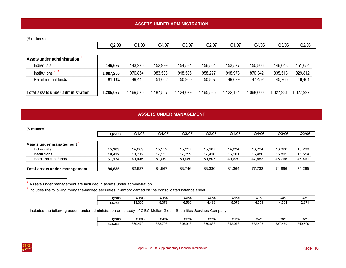# <span id="page-19-0"></span>(\$ millions)

|                                   | Q2/08     | Q1/08     | Q4/07    | Q3/07     | Q2/07     | Q1/07       | Q4/06     | Q3/06    | Q2/06     |
|-----------------------------------|-----------|-----------|----------|-----------|-----------|-------------|-----------|----------|-----------|
|                                   |           |           |          |           |           |             |           |          |           |
| Assets under administration       |           |           |          |           |           |             |           |          |           |
| Individuals                       | 146,697   | 143,270   | 152,999  | 154,534   | 156,551   | 153,577     | 150,806   | 146,648  | 151,654   |
| Institutions $2, 3$               | 1,007,206 | 976,854   | 983,506  | 918,595   | 958,227   | 918,978     | 870,342   | 835,518  | 829,812   |
| Retail mutual funds               | 51,174    | 49,446    | 51,062   | 50,950    | 50,807    | 49,629      | 47,452    | 45,765   | 46,461    |
| Total assets under administration | ,205,077  | 1,169,570 | ,187,567 | 1,124,079 | 1,165,585 | 1, 122, 184 | 1,068,600 | ,027,931 | 1,027,927 |

# **ASSETS UNDER MANAGEMENT**

| (\$ millions)                 |        |        |        |        |        |        |        |        |        |
|-------------------------------|--------|--------|--------|--------|--------|--------|--------|--------|--------|
|                               | Q2/08  | Q1/08  | Q4/07  | Q3/07  | Q2/07  | Q1/07  | Q4/06  | Q3/06  | Q2/06  |
| Assets under management       |        |        |        |        |        |        |        |        |        |
| <b>Individuals</b>            | 15.189 | 14.869 | 15.552 | 15.397 | 15.107 | 14.834 | 13.794 | 13,326 | 13,290 |
| <b>Institutions</b>           | 18.472 | 18,312 | 17,953 | 17.399 | 17,416 | 16.901 | 16.486 | 15,805 | 15,514 |
| Retail mutual funds           | 51,174 | 49.446 | 51,062 | 50,950 | 50,807 | 49.629 | 47.452 | 45,765 | 46,461 |
| Total assets under management | 84,835 | 82.627 | 84.567 | 83,746 | 83,330 | 81.364 | 77.732 | 74.896 | 75,265 |

 $1$  Assets under management are included in assets under administration.

<sup>2</sup> Includes the following mortgage-backed securities inventory carried on the consolidated balance sheet.

| Q2/08     | Q1/08           | Q4/07  | Q3/07 | Q2/07 | $2410 -$<br>Q170. | Q4/06               | Q3/06 | Q2/06        |
|-----------|-----------------|--------|-------|-------|-------------------|---------------------|-------|--------------|
| 746<br>ıд | 3,305<br>$\sim$ | $\sim$ | გ,590 | .489  | 070<br>ວ.ບ≀ະ      | 0 <sup>5</sup><br>u | ,304  | ידם כ<br>، ب |

<sup>3</sup> Includes the following assets under administration or custody of CIBC Mellon Global Securities Services Company.

| Q2/08          | 21/08      | Q4/07        | Q3/07                  | Q2/07       | $\sim$ $\sim$ $\sim$<br>∍∪/اید | Q4/06             | Q3/06     | Q2/06   |
|----------------|------------|--------------|------------------------|-------------|--------------------------------|-------------------|-----------|---------|
| 894.313<br>242 | 869<br>479 | 883.<br>.708 | 806<br>$\sim$ 4 $\sim$ | 850<br>.638 | 07c<br>01 <sup>1</sup><br>.u/  | 77c<br>408<br>70. | ⊸~<br>470 | 740.500 |

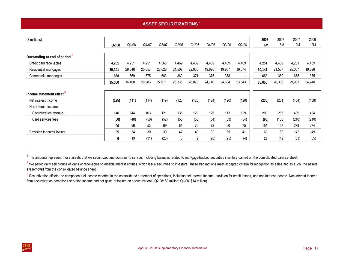# **ASSET SECURITIZATIONS** <sup>1</sup>

<span id="page-20-0"></span>

| $($$ millions)                            |        |        |        |        |        |        |        |        |        | 2008   | 2007   | 2007       | 2006       |
|-------------------------------------------|--------|--------|--------|--------|--------|--------|--------|--------|--------|--------|--------|------------|------------|
|                                           | Q2/08  | Q1/08  | Q4/07  | Q3/07  | Q2/07  | Q1/07  | Q4/06  | Q3/06  | Q2/06  | 6M     | 6M     | <b>12M</b> | <b>12M</b> |
| Outstanding at end of period <sup>2</sup> |        |        |        |        |        |        |        |        |        |        |        |            |            |
| Credit card receivables                   | 4,251  | 4,251  | 4,251  | 4,360  | 4,469  | 4,469  | 4,469  | 4,469  | 4,469  | 4,251  | 4,469  | 4,251      | 4,469      |
| Residential mortgages                     | 30,141 | 29,548 | 25,057 | 22,628 | 21,507 | 22,033 | 19,896 | 19,987 | 19,074 | 30,141 | 21,507 | 25,057     | 19,896     |
| Commercial mortgages                      | 658    | 669    | 675    | 683    | 360    | 371    | 375    | 378    |        | 658    | 360    | 675        | 375        |
|                                           | 35,050 | 34,468 | 29,983 | 27,671 | 26,336 | 26,873 | 24,740 | 24,834 | 23,543 | 35,050 | 26,336 | 29,983     | 24,740     |
|                                           |        |        |        |        |        |        |        |        |        |        |        |            |            |
| Income statement effect <sup>3</sup>      |        |        |        |        |        |        |        |        |        |        |        |            |            |
| Net interest income                       | (125)  | (111)  | (114)  | (119)  | (126)  | (125)  | (124)  | (120)  | (120)  | (236)  | (251)  | (484)      | (488)      |
| Non-interest income                       |        |        |        |        |        |        |        |        |        |        |        |            |            |
| Securitization revenue                    | 146    | 144    | 103    | 121    | 136    | 129    | 126    | 113    | 129    | 290    | 265    | 489        | 484        |
| Card services fees                        | (50)   | (48)   | (50)   | (52)   | (55)   | (53)   | (54)   | (53)   | (54)   | (98)   | (108)  | (210)      | (210)      |
|                                           | 96     | 96     | 53     | 69     | 81     | 76     | 72     | 60     | 75     | 192    | 157    | 279        | 274        |
| Provision for credit losses               | 35     | 34     | 30     | 30     | 42     | 40     | 32     | 35     | 41     | 69     | 82     | 142        | 149        |
|                                           | 6      | 19     | (31)   | (20)   | (3)    | (9)    | (20)   | (25)   | (4)    | 25     | (12)   | (63)       | (65)       |

<sup>1</sup> The amounts represent those assets that we securitized and continue to service, including balances related to mortgage-backed securities inventory carried on the consolidated balance sheet.

<sup>&</sup>lt;sup>2</sup> We periodically sell groups of loans or receivables to variable interest entities, which issue securities to investors. These transactions meet accepted criteria for recognition as sales and as such, the assets are removed from the consolidated balance sheet.

 $^3$  Securitization affects the components of income reported in the consolidated statement of operations, including net interest income, provision for credit losses, and non-interest income. Non-interest income from securitization comprises servicing income and net gains or losses on securitizations (Q2/08: \$9 million; Q1/08: \$14 million).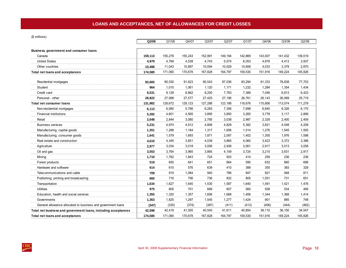<span id="page-21-0"></span>(\$ millions)

|                                                                | Q2/08            | Q1/08   | Q4/07   | Q3/07   | Q2/07   | Q1/07   | Q4/06   | Q3/06   | Q2/06            |
|----------------------------------------------------------------|------------------|---------|---------|---------|---------|---------|---------|---------|------------------|
|                                                                |                  |         |         |         |         |         |         |         |                  |
| Business, government and consumer loans<br>Canada              |                  | 155,278 | 155,243 | 152,991 | 149,194 | 142,869 | 143,007 | 141,432 | 139,019          |
| <b>United States</b>                                           | 159,113<br>4,979 | 4,769   | 4,538   | 4,743   | 5,574   | 6,053   | 4,876   | 4,413   | 3,937            |
| Other countries                                                | 10,488           | 11,043  | 10,897  | 10,094  | 10,029  | 10,608  | 4,033   | 3,379   |                  |
|                                                                | 174,580          | 171,090 | 170,678 | 167,828 | 164,797 | 159,530 | 151,916 | 149,224 | 2,870<br>145,826 |
| Total net loans and acceptances                                |                  |         |         |         |         |         |         |         |                  |
| Residential mortgages                                          | 92,665           | 90,530  | 91,623  | 90,543  | 87,036  | 83,294  | 81,333  | 78,838  | 77,703           |
| Student                                                        | 964              | 1,015   | 1,061   | 1,120   | 1,171   | 1,232   | 1,284   | 1,354   | 1,434            |
| Credit card                                                    | 9,531            | 9,129   | 8,862   | 8,200   | 7,783   | 7,389   | 7,046   | 6,813   | 6,423            |
| Personal - other                                               | 28,822           | 27,998  | 27,577  | 27,425  | 27,196  | 26,761  | 26,143  | 26,069  | 25,719           |
| <b>Total net consumer loans</b>                                | 131,982          | 128,672 | 129,123 | 127,288 | 123,186 | 118,676 | 115,806 | 113,074 | 111,279          |
| Non-residential mortgages                                      | 6,113            | 6,085   | 5,766   | 6,283   | 7,306   | 7,698   | 6,840   | 6,326   | 6,170            |
| <b>Financial institutions</b>                                  | 5,282            | 4,601   | 4,565   | 3,895   | 3,850   | 3,265   | 3,778   | 3,117   | 2,899            |
| Retail                                                         | 2,648            | 2,844   | 3,080   | 2,785   | 3,038   | 2,987   | 2,329   | 2,400   | 2,409            |
| <b>Business services</b>                                       | 5,231            | 4,974   | 4,912   | 4,806   | 4,829   | 5,382   | 3,821   | 4,048   | 4,209            |
| Manufacturing, capital goods                                   | 1,351            | 1,288   | 1,184   | 1,317   | 1,656   | 1,514   | 1,276   | 1,545   | 1,505            |
| Manufacturing, consumer goods                                  | 1,641            | 1,579   | 1,693   | 1,871   | 2,097   | 1,402   | 1,355   | 1,976   | 1,598            |
| Real estate and construction                                   | 4,610            | 4,345   | 3,851   | 4,039   | 3,865   | 4,060   | 3,423   | 3,372   | 3,388            |
| Agriculture                                                    | 2,977            | 3,034   | 3,018   | 3,006   | 2,938   | 3,061   | 2,917   | 3,013   | 3,058            |
| Oil and gas                                                    | 3,553            | 3,764   | 3,965   | 3,865   | 4,109   | 3,724   | 3,215   | 3,631   | 2,917            |
| Mining                                                         | 1,710            | 1,762   | 1,843   | 724     | 503     | 414     | 259     | 236     | 236              |
| Forest products                                                | 519              | 650     | 641     | 651     | 664     | 590     | 632     | 660     | 696              |
| Hardware and software                                          | 614              | 610     | 576     | 639     | 410     | 388     | 355     | 383     | 329              |
| Telecommunications and cable                                   | 709              | 919     | 1,084   | 940     | 786     | 947     | 921     | 948     | 811              |
| Publishing, printing and broadcasting                          | 660              | 716     | 756     | 736     | 832     | 805     | 1,051   | 731     | 651              |
| Transportation                                                 | 1,634            | 1,627   | 1,640   | 1,530   | 1,587   | 1,640   | 1,591   | 1,421   | 1,476            |
| <b>Utilities</b>                                               | 975              | 805     | 701     | 689     | 607     | 560     | 508     | 534     | 495              |
| Education, health and social services                          | 1,355            | 1,320   | 1,357   | 1,606   | 1,668   | 1,406   | 1,344   | 1,368   | 1,414            |
| Governments                                                    | 1,363            | 1,825   | 1,297   | 1,545   | 1,277   | 1,424   | 901     | 885     | 748              |
| General allowance allocated to business and government loans   | (347)            | (330)   | (374)   | (387)   | (411)   | (413)   | (406)   | (444)   | (462)            |
| Total net business and government loans, including acceptances | 42,598           | 42,418  | 41,555  | 40,540  | 41,611  | 40,854  | 36,110  | 36,150  | 34,547           |
| <b>Total net loans and acceptances</b>                         | 174,580          | 171,090 | 170,678 | 167,828 | 164,797 | 159,530 | 151,916 | 149,224 | 145,826          |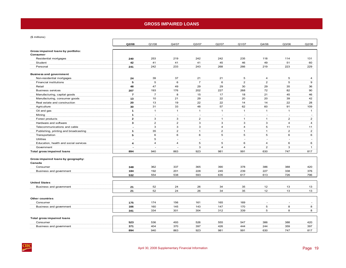### **GROSS IMPAIRED LOANS**

<span id="page-22-0"></span>(\$ millions)

|                                                | Q2/08                    | Q1/08          | Q4/07          | Q3/07          | Q2/07          | Q1/07          | Q4/06          | Q3/06          | Q2/06                    |
|------------------------------------------------|--------------------------|----------------|----------------|----------------|----------------|----------------|----------------|----------------|--------------------------|
| Gross impaired loans by portfolio:<br>Consumer |                          |                |                |                |                |                |                |                |                          |
| Residential mortgages                          | 240                      | 253            | 219            | 242            | 242            | 235            | 118            | 114            | 131                      |
| Student                                        | 42                       | 41             | 41             | 41             | 45             | 46             | 49             | 51             | 60                       |
| Personal                                       | 241                      | 242            | 233            | 243            | 268            | 266            | 219            | 223            | 229                      |
|                                                |                          |                |                |                |                |                |                |                |                          |
| <b>Business and government</b>                 |                          |                |                |                |                |                |                |                |                          |
| Non-residential mortgages                      | 24                       | 39             | 37             | 21             | 21             | 5              | $\overline{a}$ | $\sqrt{5}$     | 4                        |
| <b>Financial institutions</b>                  | 5                        | 5              | 6              | $\overline{7}$ | 6              | $\overline{2}$ | $\overline{2}$ | 5              | 9                        |
| Retail                                         | 48                       | 47             | 49             | 29             | 29             | 30             | 29             | 35             | 36                       |
| <b>Business services</b>                       | 207                      | 193            | 176            | 202            | 227            | 268            | 72             | 82             | 90                       |
| Manufacturing, capital goods                   | $\overline{7}$           | $\overline{7}$ | 8              | 15             | 17             | 18             | 21             | 45             | 46                       |
| Manufacturing, consumer goods                  | 13                       | 10             | 21             | 29             | 22             | 20             | 20             | 39             | 42                       |
| Real estate and construction                   | 20                       | 13             | 19             | 22             | 22             | 14             | 14             | 22             | 28                       |
| Agriculture                                    | 30                       | 31             | 33             | 48             | 57             | 62             | 60             | 91             | 109                      |
| Oil and gas                                    | $\mathbf{1}$             | $\mathbf{1}$   | $\overline{1}$ | $\mathbf{1}$   | $\overline{1}$ | $\mathbf{1}$   | $\mathbf{1}$   | $\overline{1}$ | $\overline{1}$           |
| Mining                                         | $\mathbf{1}$             | ÷,             | $\sim$         | $\sim$         | $\sim$         | ÷.             | ä,             | $\sim$         | ÷.                       |
| Forest products                                | $\mathbf{2}$             | 3              | 3              | $\overline{2}$ | $\mathbf{1}$   | $\mathbf{1}$   | $\mathbf{1}$   | $\overline{2}$ | $\overline{2}$           |
| Hardware and software                          | 3                        | $\overline{2}$ | $\overline{2}$ | 3              | 3              | 3              | 3              | $\overline{4}$ | $\overline{4}$           |
| Telecommunications and cable                   | $\sim$                   | 3              | 3              | $\mathbf{3}$   | $\overline{4}$ | $\overline{4}$ | 5              | 11             | 11                       |
| Publishing, printing and broadcasting          | 1                        | 35             | $\overline{2}$ | $\mathbf{1}$   | $\overline{c}$ | $\mathbf{1}$   | $\mathbf{1}$   | $\overline{2}$ | $\overline{2}$           |
| Transportation                                 | 5                        | 6              | 6              | 6              | 5              | 5              | 5              | 6              | 6                        |
| <b>Utilities</b>                               | $\overline{\phantom{a}}$ | 5              | $\sim$         | $\sim$         | $\sim$         | ×.             | ÷.             | ÷.             | $\sim$                   |
| Education, health and social services          | 4                        | $\overline{4}$ | $\overline{4}$ | 5              | 5              | 6              | $\overline{4}$ | 6              | 6                        |
| Government                                     | $\overline{a}$           | ÷              | $\sim$         | 3              | 4              | $\overline{4}$ | $\overline{2}$ | 3              | $\mathbf{1}$             |
| <b>Total gross impaired loans</b>              | 894                      | 940            | 863            | 923            | 981            | 991            | 630            | 747            | 817                      |
|                                                |                          |                |                |                |                |                |                |                |                          |
| Gross impaired loans by geography:             |                          |                |                |                |                |                |                |                |                          |
| Canada                                         |                          |                |                |                |                |                |                |                |                          |
| Consumer                                       | 348                      | 362            | 337            | 365            | 390            | 378            | 386            | 388            | 420                      |
| Business and government                        | 184                      | 192            | 201            | 228            | 245            | 239            | 227            | 338            | 376                      |
|                                                | 532                      | 554            | 538            | 593            | 635            | 617            | 613            | 726            | 796                      |
|                                                |                          |                |                |                |                |                |                |                |                          |
| <b>United States</b>                           |                          |                |                |                |                |                |                |                |                          |
| Business and government                        | 21                       | 52             | 24             | 26             | 34             | 35             | 12             | 13             | 13                       |
|                                                | 21                       | 52             | 24             | 26             | 34             | 35             | 12             | 13             | 13                       |
| <b>Other countries</b>                         |                          |                |                |                |                |                |                |                |                          |
| Consumer                                       | 175                      | 174            | 156            | 161            | 165            | 169            |                | ٠              | $\overline{\phantom{a}}$ |
| Business and government                        | 166                      | 160            | 145            | 143            | 147            | 170            | 5              | 8              | 8                        |
|                                                | 341                      | 334            | 301            | 304            | 312            | 339            | 5              | 8              | 8                        |
|                                                |                          |                |                |                |                |                |                |                |                          |
| <b>Total gross impaired loans</b>              |                          |                |                |                |                |                |                |                |                          |
| Consumer                                       | 523                      | 536            | 493            | 526            | 555            | 547            | 386            | 388            | 420                      |
| Business and government                        | 371                      | 404            | 370            | 397            | 426            | 444            | 244            | 359            | 397                      |
|                                                | 894                      | 940            | 863            | 923            | 981            | 991            | 630            | 747            | 817                      |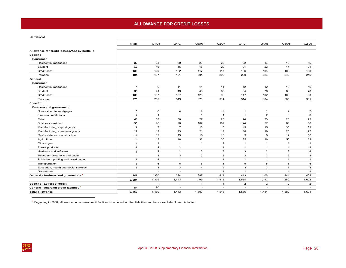# **ALLOWANCE FOR CREDIT LOSSES**

<span id="page-23-0"></span>(\$ millions)

|                                                  | Q2/08                    | Q1/08                    | Q4/07                    | Q3/07                    | Q2/07          | Q1/07                    | Q4/06          | Q3/06                    | Q2/06          |
|--------------------------------------------------|--------------------------|--------------------------|--------------------------|--------------------------|----------------|--------------------------|----------------|--------------------------|----------------|
| Allowance for credit losses (ACL) by portfolio:  |                          |                          |                          |                          |                |                          |                |                          |                |
| <b>Specific</b>                                  |                          |                          |                          |                          |                |                          |                |                          |                |
| Consumer                                         |                          |                          |                          |                          |                |                          |                |                          |                |
| Residential mortgages                            | 30                       | 33                       | 30                       | 28                       | 28             | 32                       | 13             | 15                       | 15             |
| Student                                          | 16                       | 16                       | 16                       | 18                       | 20             | 21                       | 22             | 14                       | 21             |
| Credit card                                      | 139                      | 129                      | 122                      | 117                      | 117            | 106                      | 105            | 102                      | 100            |
| Personal                                         | 184                      | 187                      | 191                      | 204                      | 209            | 230                      | 223            | 242                      | 246            |
| General                                          |                          |                          |                          |                          |                |                          |                |                          |                |
| Consumer                                         |                          |                          |                          |                          |                |                          |                |                          |                |
| Residential mortgages                            | 8                        | 9                        | 11                       | 11                       | 11             | 12                       | 12             | 15                       | 16             |
| Student                                          | 35                       | 41                       | 49                       | 49                       | 60             | 64                       | 76             | 83                       | 78             |
| Credit card                                      | 139                      | 137                      | 137                      | 125                      | 98             | 117                      | 102            | 103                      | 93             |
| Personal                                         | 276                      | 282                      | 319                      | 320                      | 314            | 314                      | 304            | 305                      | 301            |
| <b>Specific</b>                                  |                          |                          |                          |                          |                |                          |                |                          |                |
| <b>Business and government</b>                   |                          |                          |                          |                          |                |                          |                |                          |                |
| Non-residential mortgages                        | 6                        | 6                        | 4                        | 9                        | 9              | $\mathbf{1}$             | $\mathbf{1}$   | $\overline{c}$           | 2              |
| <b>Financial institutions</b>                    | 1                        | $\mathbf{1}$             | $\mathbf{1}$             | $\mathbf{1}$             | $\mathbf{1}$   | $\overline{1}$           | $\overline{2}$ | 3                        | 6              |
| Retail                                           | 48                       | 37                       | 30                       | 27                       | 26             | 24                       | 23             | 28                       | 29             |
| <b>Business services</b>                         | 90                       | 96                       | 90                       | 102                      | 107            | 124                      | 57             | 66                       | 66             |
| Manufacturing, capital goods                     | $\overline{ }$           | $\overline{7}$           | $\overline{7}$           | 13                       | 16             | 15                       | 15             | 35                       | 39             |
| Manufacturing, consumer goods                    | 11                       | 12                       | 13                       | 21                       | 19             | 18                       | 19             | 25                       | 27             |
| Real estate and construction                     | 16                       | 12                       | 13                       | 15                       | 15             | 9                        | 9              | 17                       | 18             |
| Agriculture                                      | 14                       | 13                       | 18                       | 32                       | 35             | 35                       | 36             | 56                       | 62             |
| Oil and gas                                      | $\mathbf{1}$             | $\mathbf{1}$             | $\mathbf{1}$             | $\mathbf{1}$             | $\mathbf{1}$   | $\mathbf{1}$             | $\mathbf{1}$   | $\mathbf{1}$             | $\mathbf{1}$   |
| Forest products                                  | $\mathbf{z}$             | $\overline{2}$           | $\overline{2}$           | $\mathbf{1}$             | $\mathbf{1}$   | $\overline{1}$           | $\mathbf{1}$   | $\mathbf{1}$             | $\overline{2}$ |
| Hardware and software                            | 3                        | $\overline{2}$           | $\overline{2}$           | 3                        | 3              | 3                        | $\overline{2}$ | 3                        | $\overline{4}$ |
| Telecommunications and cable                     | $\overline{\phantom{a}}$ | 3                        | 3                        | 3                        | 3              | 3                        | 3              | 9                        | 3              |
| Publishing, printing and broadcasting            | $\mathbf{z}$             | 14                       | $\mathbf{1}$             | 1                        | $\mathbf{1}$   | $\mathbf{1}$             | $\mathbf{1}$   | $\mathbf{1}$             | $\mathbf{1}$   |
| Transportation                                   | 6                        | 6                        | 6                        | 6                        | 5              | 5                        | 5              | 6                        | 6              |
| Education, health and social services            | 3                        | 3                        | 3                        | 4                        | $\overline{4}$ | 3                        | 3              | 3                        | 3              |
| Government                                       |                          | ٠                        | ÷.                       | $\mathbf{1}$             | $\overline{1}$ | $\mathbf{1}$             | $\mathbf{1}$   | $\mathbf{1}$             | $\mathbf{1}$   |
| General - Business and government <sup>1</sup>   | 347                      | 330                      | 374                      | 387                      | 411            | 413                      | 406            | 444                      | 462            |
|                                                  | 1,384                    | 1,379                    | 1,443                    | 1,499                    | 1,515          | 1,554                    | 1,442          | 1,580                    | 1,602          |
| Specific - Letters of credit                     |                          | $\overline{\phantom{a}}$ | $\overline{\phantom{a}}$ | $\mathbf 1$              | $\mathbf{1}$   | $\overline{2}$           | $\overline{2}$ | $\overline{2}$           | $\overline{2}$ |
| General - Undrawn credit facilities <sup>1</sup> | 84                       | 90                       | $\sim$                   | $\overline{\phantom{a}}$ | $\sim$         | $\overline{\phantom{a}}$ |                | $\overline{\phantom{a}}$ |                |
| <b>Total allowance</b>                           | 1,468                    | 1,469                    | 1,443                    | 1,500                    | 1,516          | 1,556                    | 1,444          | 1,582                    | 1,604          |

 $<sup>1</sup>$  Beginning in 2008, allowance on undrawn credit facilities is included in other liabilities and hence excluded from this table.</sup>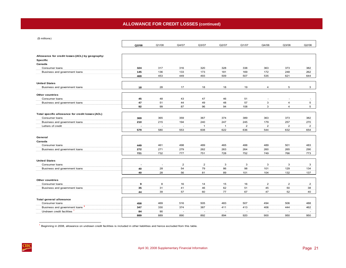(\$ millions)

|                                                  | Q2/08                    | Q1/08                    | Q4/07                    | Q3/07          | Q2/07        | Q1/07          | Q4/06          | Q3/06                    | Q2/06          |
|--------------------------------------------------|--------------------------|--------------------------|--------------------------|----------------|--------------|----------------|----------------|--------------------------|----------------|
|                                                  |                          |                          |                          |                |              |                |                |                          |                |
| Allowance for credit losses (ACL) by geography:  |                          |                          |                          |                |              |                |                |                          |                |
| Specific                                         |                          |                          |                          |                |              |                |                |                          |                |
| Canada                                           |                          |                          |                          |                |              |                |                |                          |                |
| Consumer loans                                   | 324                      | 317                      | 316                      | 320            | 328          | 338            | 363            | 373                      | 382            |
| Business and government loans                    | 145                      | 136                      | 133                      | 173            | 181          | 169            | 172            | 248                      | 262            |
|                                                  | 469                      | 453                      | 449                      | 493            | 509          | 507            | 535            | 621                      | 644            |
| <b>United States</b>                             |                          |                          |                          |                |              |                |                |                          |                |
| Business and government loans                    | 18                       | 28                       | 17                       | 18             | 18           | 19             | $\overline{4}$ | 5                        | 3              |
| <b>Other countries</b>                           |                          |                          |                          |                |              |                |                |                          |                |
| Consumer loans                                   | 45                       | 48                       | 43                       | 47             | 46           | 51             |                | $\overline{\phantom{a}}$ |                |
| Business and government loans                    | 47                       | 51                       | 44                       | 49             | 48           | 57             | 3              | $\overline{4}$           | 5              |
|                                                  | 92                       | 99                       | 87                       | 96             | 94           | 108            | 3              | $\overline{4}$           | 5              |
| Total specific allowance for credit losses (ACL) |                          |                          |                          |                |              |                |                |                          |                |
| Consumer loans                                   | 369                      | 365                      | 359                      | 367            | 374          | 389            | 363            | 373                      | 382            |
| Business and government loans                    | 210                      | 215                      | 194                      | 240            | 247          | 245            | 179            | 257                      | 270            |
| Letters of credit                                |                          | $\overline{\phantom{a}}$ | $\overline{\phantom{a}}$ | $\overline{1}$ | $\mathbf{1}$ | $\overline{2}$ | $\overline{2}$ | $\overline{2}$           | $\overline{2}$ |
|                                                  | 579                      | 580                      | 553                      | 608            | 622          | 636            | 544            | 632                      | 654            |
|                                                  |                          |                          |                          |                |              |                |                |                          |                |
| General                                          |                          |                          |                          |                |              |                |                |                          |                |
| Canada                                           |                          |                          |                          |                |              |                |                |                          |                |
| Consumer loans                                   | 449                      | 461                      | 498                      | 489            | 465          | 488            | 489            | 501                      | 483            |
| Business and government loans                    | 272                      | 271                      | 279                      | 262            | 263          | 264            | 260            | 265                      | 290            |
|                                                  | 721                      | 732                      | 777                      | 751            | 728          | 752            | 749            | 766                      | 773            |
| <b>United States</b>                             |                          |                          |                          |                |              |                |                |                          |                |
| Consumer loans                                   | $\overline{\phantom{a}}$ | $\overline{a}$           | $\overline{c}$           | $\mathbf{2}$   | 3            | 3              | 3              | 3                        | 3              |
| Business and government loans                    | 40                       | 28                       | 54                       | 79             | 86           | 98             | 101            | 129                      | 134            |
|                                                  | 40                       | 28                       | 56                       | 81             | 89           | 101            | 104            | 132                      | 137            |
| <b>Other countries</b>                           |                          |                          |                          |                |              |                |                |                          |                |
| Consumer loans                                   | $\mathbf 9$              | 8                        | 16                       | 14             | 15           | 16             | $\overline{2}$ | $\overline{2}$           | $\overline{2}$ |
| Business and government loans                    | 35                       | 31                       | 41                       | 46             | 62           | 51             | 45             | 50                       | 38             |
|                                                  | 44                       | 39                       | 57                       | 60             | 77           | 67             | 47             | 52                       | 40             |
| <b>Total general allowance</b>                   |                          |                          |                          |                |              |                |                |                          |                |
| Consumer loans                                   | 458                      | 469                      | 516                      | 505            | 483          | 507            | 494            | 506                      | 488            |
| Business and government loans <sup>1</sup>       | 347                      | 330                      | 374                      | 387            | 411          | 413            | 406            | 444                      | 462            |
| Undrawn credit facilities                        | 84                       | 90                       | $\sim$                   | $\sim$         | $\sim$       | $\sim$         | ٠              | $\overline{\phantom{a}}$ | $\sim$         |
|                                                  | 889                      | 889                      | 890                      | 892            | 894          | 920            | 900            | 950                      | 950            |

<sup>1</sup> Beginning in 2008, allowance on undrawn credit facilities is included in other liabilities and hence excluded from this table.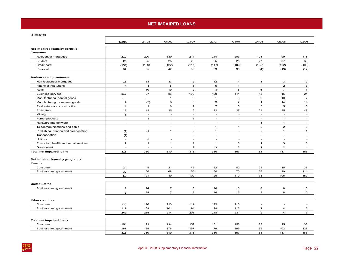## **NET IMPAIRED LOANS**

<span id="page-25-0"></span>(\$ millions)

|                                              | Q2/08                   | Q1/08                    | Q4/07          | Q3/07          | Q2/07          | Q1/07          | Q4/06                                      | Q3/06                    | Q2/06                         |
|----------------------------------------------|-------------------------|--------------------------|----------------|----------------|----------------|----------------|--------------------------------------------|--------------------------|-------------------------------|
| Net impaired loans by portfolio:<br>Consumer |                         |                          |                |                |                |                |                                            |                          |                               |
| Residential mortgages                        | 210                     | 220                      | 189            | 214            | 214            | 203            | 105                                        | 99                       | 116                           |
| Student                                      | 26                      | 25                       | 25             | 23             | 25             | 25             | 27                                         | 37                       | 39                            |
| Credit card                                  | (139)                   | (129)                    | (122)          | (117)          | (117)          | (106)          | (105)                                      | (102)                    | (100)                         |
| Personal                                     | 57                      | 55                       | 42             | 39             | 59             | 36             | (4)                                        | (19)                     | (17)                          |
| <b>Business and government</b>               |                         |                          |                |                |                |                |                                            |                          |                               |
| Non-residential mortgages                    | 18                      | 33                       | 33             | 12             | 12             | 4              | 3                                          | 3                        | $\overline{2}$                |
| <b>Financial institutions</b>                | $\overline{\mathbf{4}}$ | $\overline{4}$           | 5              | 6              | 5              | $\mathbf{1}$   | ÷.                                         | $\overline{2}$           | 3                             |
| Retail                                       | $\overline{a}$          | 10                       | 19             | $\overline{2}$ | 3              | 6              | 6                                          | $\overline{7}$           | $\overline{7}$                |
| <b>Business services</b>                     | 117                     | 97                       | 86             | 100            | 120            | 144            | 15                                         | 16                       | 24                            |
| Manufacturing, capital goods                 | $\sim$                  | ×.                       | $\overline{1}$ | $\overline{2}$ | $\mathbf{1}$   | 3              | 6                                          | 10                       | $\overline{7}$                |
| Manufacturing, consumer goods                | $\mathbf{2}$            | (2)                      | 8              | 8              | 3              | $\overline{2}$ | $\mathbf{1}$                               | 14                       | 15                            |
| Real estate and construction                 | 4                       | $\mathbf{1}$             | 6              | $\overline{7}$ | $\overline{7}$ | 5              | 5                                          | 5                        | 10                            |
| Agriculture                                  | 16                      | 18                       | 15             | 16             | 22             | 27             | 24                                         | 35                       | 47                            |
| Mining                                       | $\mathbf{1}$            | $\sim$                   | $\sim$         | $\sim$         | $\sim$         | ÷.             | $\sim$                                     | ä,                       | $\sim$                        |
| Forest products                              | $\overline{a}$          | $\mathbf{1}$             | $\mathbf{1}$   | $\mathbf{1}$   | $\sim$         | $\sim$         | $\sim$                                     | $\mathbf{1}$             | $\sim$                        |
| Hardware and software                        | $\blacksquare$          | $\overline{\phantom{a}}$ | ÷.             | ÷              | ÷.             | $\sim$         | $\mathbf{1}$                               | $\mathbf{1}$             | ×.                            |
| Telecommunications and cable                 | $\overline{a}$          | $\sim$                   | $\sim$         | ÷,             | $\mathbf{1}$   | $\mathbf{1}$   | $\overline{2}$                             | $\overline{2}$           | 8                             |
| Publishing, printing and broadcasting        | (1)                     | 21                       | $\mathbf{1}$   | ×.             | $\mathbf{1}$   | ×.             | ×.                                         | $\mathbf{1}$             | $\mathbf{1}$                  |
| Transportation                               | (1)                     | $\overline{\phantom{a}}$ | $\sim$         | ٠              | $\sim$         | <b>College</b> | ×.                                         | $\sim$                   | $\sim$                        |
| <b>Utilities</b>                             | $\blacksquare$          | 5                        | $\sim$         | $\sim$         | $\sim$         | $\sim$         | $\sim$                                     | ÷.                       | $\sim$                        |
| Education, health and social services        | $\mathbf{1}$            | $\mathbf{1}$             | $\mathbf{1}$   | $\mathbf{1}$   | $\mathbf{1}$   | 3              | $\mathbf{1}$                               | 3                        | 3                             |
| Government                                   | $\overline{a}$          | ÷.                       |                | $\overline{2}$ | 3              | 3              | $\mathbf{1}$                               | $\overline{2}$           | ÷                             |
| <b>Total net impaired loans</b>              | 315                     | 360                      | 310            | 316            | 360            | 357            | 88                                         | 117                      | 165                           |
| Net impaired loans by geography:             |                         |                          |                |                |                |                |                                            |                          |                               |
| Canada                                       |                         |                          |                |                |                |                |                                            |                          |                               |
| Consumer                                     | 24                      | 45                       | 21             | 45             | 62             | 40             | 23                                         | 15                       | 38                            |
| Business and government                      | 39                      | 56                       | 68             | 55             | 64             | 70             | 55                                         | 90                       | 114                           |
|                                              | 63                      | 101                      | 89             | 100            | 126            | 110            | 78                                         | 105                      | 152                           |
|                                              |                         |                          |                |                |                |                |                                            |                          |                               |
| <b>United States</b>                         |                         |                          |                |                |                |                |                                            |                          |                               |
| Business and government                      | 3                       | 24                       | $\overline{7}$ | 8              | 16             | 16             | 8                                          | 8                        | 10                            |
|                                              | $\mathbf{3}$            | 24                       | $\overline{7}$ | 8              | 16             | 16             | 8                                          | 8                        | 10                            |
|                                              |                         |                          |                |                |                |                |                                            |                          |                               |
| Other countries                              |                         |                          |                |                |                | 118            |                                            |                          |                               |
| Consumer                                     | 130                     | 126<br>109               | 113<br>101     | 114<br>94      | 119<br>99      | 113            | $\overline{\phantom{a}}$<br>$\overline{2}$ | $\sim$<br>$\overline{4}$ | $\overline{\phantom{a}}$<br>3 |
| Business and government                      | 119                     |                          |                |                |                |                | $\overline{2}$                             | $\overline{4}$           | 3                             |
|                                              | 249                     | 235                      | 214            | 208            | 218            | 231            |                                            |                          |                               |
| <b>Total net impaired loans</b>              |                         |                          |                |                |                |                |                                            |                          |                               |
| Consumer                                     | 154                     | 171                      | 134            | 159            | 181            | 158            | 23                                         | 15                       | 38                            |
| Business and government                      | 161                     | 189                      | 176            | 157            | 179            | 199            | 65                                         | 102                      | 127                           |
|                                              | 315                     | 360                      | 310            | 316            | 360            | 357            | 88                                         | 117                      | 165                           |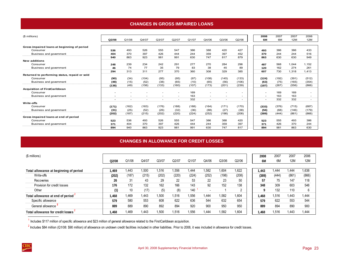## **CHANGES IN GROSS IMPAIRED LOANS**

<span id="page-26-0"></span>

| (\$ millions)                                 |                          |                          |                                |                          |                          |       |                          |                          |                          | 2008                     | 2007  | 2007  | 2006                     |
|-----------------------------------------------|--------------------------|--------------------------|--------------------------------|--------------------------|--------------------------|-------|--------------------------|--------------------------|--------------------------|--------------------------|-------|-------|--------------------------|
|                                               | Q2/08                    | Q1/08                    | O <sub>4</sub> /O <sub>7</sub> | Q3/07                    | Q2/07                    | Q1/07 | Q4/06                    | Q3/06                    | Q2/06                    | 6M                       | 6M    | 12M   | 12M                      |
|                                               |                          |                          |                                |                          |                          |       |                          |                          |                          |                          |       |       |                          |
| Gross impaired loans at beginning of period   |                          |                          |                                |                          |                          |       |                          |                          |                          |                          |       |       |                          |
| Consumer                                      | 536                      | 493                      | 526                            | 555                      | 547                      | 386   | 388                      | 420                      | 427                      | 493                      | 386   | 386   | 433                      |
| Business and government                       | 404                      | 370                      | 397                            | 426                      | 444                      | 244   | 359                      | 397                      | 452                      | 370                      | 244   | 244   | 516                      |
|                                               | 940                      | 863                      | 923                            | 981                      | 991                      | 630   | 747                      | 817                      | 879                      | 863                      | 630   | 630   | 949                      |
| <b>New additions</b>                          |                          |                          |                                |                          |                          |       |                          |                          |                          |                          |       |       |                          |
| Consumer                                      | 248                      | 239                      | 234                            | 242                      | 291                      | 277   | 270                      | 284                      | 296                      | 487                      | 568   | 1,044 | 1,152                    |
| Business and government                       | 46                       | 74                       | 77                             | 35                       | 79                       | 83    | 38                       | 45                       | 89                       | 120                      | 162   | 274   | 261                      |
|                                               | 294                      | 313                      | 311                            | 277                      | 370                      | 360   | 308                      | 329                      | 385                      | 607                      | 730   | 1,318 | 1,413                    |
| Returned to performing status, repaid or sold |                          |                          |                                |                          |                          |       |                          |                          |                          |                          |       |       |                          |
| Consumer                                      | (90)                     | (34)                     | (104)                          | (95)                     | (95)                     | (97)  | (108)                    | (145)                    | (133)                    | (124)                    | (192) | (391) | (512)                    |
| Business and government                       | (48)                     | (15)                     | (52)                           | (38)                     | (65)                     | (10)  | (65)                     | (56)                     | (106)                    | (63)                     | (75)  | (165) | (354)                    |
|                                               | (138)                    | (49)                     | (156)                          | (133)                    | (160)                    | (107) | (173)                    | (201)                    | (239)                    | (187)                    | (267) | (556) | (866)                    |
| <b>Acquisition of FirstCaribbean</b>          |                          |                          |                                |                          |                          |       |                          |                          |                          |                          |       |       |                          |
| Consumer                                      |                          |                          |                                |                          |                          | 169   | $\overline{\phantom{a}}$ |                          | ٠                        | $\overline{\phantom{0}}$ | 169   | 169   | $\overline{\phantom{a}}$ |
| Business and government                       | $\overline{\phantom{a}}$ | $\overline{\phantom{a}}$ | $\sim$                         | $\sim$                   | $\overline{\phantom{a}}$ | 163   | $\overline{\phantom{a}}$ | $\overline{\phantom{a}}$ | $\overline{\phantom{a}}$ | $\overline{\phantom{a}}$ | 163   | 163   | $\sim$                   |
|                                               | $\overline{\phantom{a}}$ | $\sim$                   | $\overline{\phantom{a}}$       | $\overline{\phantom{a}}$ | $\overline{\phantom{a}}$ | 332   | $\sim$                   | ٠                        | ٠                        | $\overline{\phantom{a}}$ | 332   | 332   | $\sim$                   |
| Write-offs                                    |                          |                          |                                |                          |                          |       |                          |                          |                          |                          |       |       |                          |
| Consumer                                      | (171)                    | (162)                    | (163)                          | (176)                    | (188)                    | (188) | (164)                    | (171)                    | (170)                    | (333)                    | (376) | (715) | (687)                    |
| Business and government                       | (31)                     | (25)                     | (52)                           | (26)                     | (32)                     | (36)  | (88)                     | (27)                     | (38)                     | (56)                     | (68)  | (146) | (179)                    |
|                                               | (202)                    | (187)                    | (215)                          | (202)                    | (220)                    | (224) | (252)                    | (198)                    | (208)                    | (389)                    | (444) | (861) | (866)                    |
| Gross impaired loans at end of period         |                          |                          |                                |                          |                          |       |                          |                          |                          |                          |       |       |                          |
| Consumer                                      | 523                      | 536                      | 493                            | 526                      | 555                      | 547   | 386                      | 388                      | 420                      | 523                      | 555   | 493   | 386                      |
| Business and government                       | 371                      | 404                      | 370                            | 397                      | 426                      | 444   | 244                      | 359                      | 397                      | 371                      | 426   | 370   | 244                      |
|                                               | 894                      | 940                      | 863                            | 923                      | 981                      | 991   | 630                      | 747                      | 817                      | 894                      | 981   | 863   | 630                      |

## **CHANGES IN ALLOWANCE FOR CREDIT LOSSES**

| (\$ millions)                          |        |       |       |       |       |       |                          |       |        | 2008  | 2007  | 2007            | 2006       |
|----------------------------------------|--------|-------|-------|-------|-------|-------|--------------------------|-------|--------|-------|-------|-----------------|------------|
|                                        | Q2/08  | Q1/08 | Q4/07 | Q3/07 | Q2/07 | Q1/07 | Q4/06                    | Q3/06 | Q2/06  | 6M    | 6M    | 12 <sub>M</sub> | <b>12M</b> |
|                                        |        |       |       |       |       |       |                          |       |        |       |       |                 |            |
| Total allowance at beginning of period | 469, ا | 1.443 | .500  | 1,516 | 556.  | .444  | .582                     | 1,604 | 1,622  | 1,443 | 1.444 | .444            | 1,638      |
| Write-offs                             | (202)  | (187) | (215) | (202) | (220) | (224) | (252)                    | (198) | (208)  | (389) | (444) | (861)           | (866)      |
| Recoveries                             | 26     | 31    | 43    | 29    | 22    | 53    | 22                       | 23    | 50     | 57    | 75    | 147             | 118        |
| Provision for credit losses            | 176    | 172   | 132   | 162   | 166   | 143   | 92                       | 152   | 138    | 348   | 309   | 603             | 548        |
| Other                                  | (1)    | 10    | (17)  | (5)   | (8)   | 140   | $\overline{\phantom{0}}$ |       | $\sim$ | 9     | 132   | 110             | 6          |
| Total allowance at end of period       | 1.468  | l.469 | .443  | 1.500 | 1,516 | .556  | .444                     | 1.582 | 1.604  | 1.468 | 1,516 | .443            | 444. ا     |
| Specific allowance                     | 579    | 580   | 553   | 608   | 622   | 636   | 544                      | 632   | 654    | 579   | 622   | 553             | 544        |
| General allowance                      | 889    | 889   | 890   | 892   | 894   | 920   | 900                      | 950   | 950    | 889   | 894   | 890             | 900        |
| Total allowance for credit losses      | 468. ا | l.469 | .443  | 1.500 | 1.516 | .556  | 444. ا                   | 1.582 | 1.604  | 1.468 | 1,516 | 1,443           | 1,444      |

 $<sup>1</sup>$  Includes \$117 million of specific allowance and \$23 million of general allowance related to the FirstCaribbean acquisition.</sup>

 $^2$  Includes \$84 million (Q1/08: \$90 million) of allowance on undrawn credit facilities included in other liabilities. Prior to 2008, it was included in allowance for credit losses.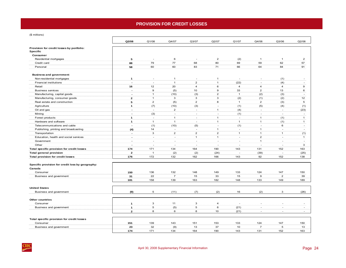# **PROVISION FOR CREDIT LOSSES**

<span id="page-27-0"></span>(\$ millions)

|                                                                        | Q2/08                | Q1/08                    | Q4/07          | Q3/07                    | Q2/07                    | Q1/07                    | Q4/06                    | Q3/06                       | Q2/06                    |
|------------------------------------------------------------------------|----------------------|--------------------------|----------------|--------------------------|--------------------------|--------------------------|--------------------------|-----------------------------|--------------------------|
| Provision for credit losses by portfolio:<br><b>Specific</b>           |                      |                          |                |                          |                          |                          |                          |                             |                          |
| Consumer                                                               |                      |                          |                |                          |                          |                          |                          |                             |                          |
| Residential mortgages                                                  | 5                    | ÷,                       | 6              | ÷,                       | $\overline{2}$           | (2)                      | $\mathbf{1}$             | $\mathbf{1}$                | $\overline{2}$           |
| Credit card                                                            | 88                   | 79                       | 77             | 68                       | 80                       | 69                       | 59                       | 62                          | 57                       |
| Personal                                                               | 58                   | 60                       | 60             | 83                       | 71                       | 66                       | 64                       | 84                          | 91                       |
| <b>Business and government</b>                                         |                      |                          |                |                          |                          |                          |                          |                             |                          |
| Non-residential mortgages                                              | $\mathbf{1}$         | ٠                        | $\overline{1}$ | $\overline{\phantom{a}}$ | 1                        | $\overline{\phantom{a}}$ | $\overline{\phantom{a}}$ | (1)                         |                          |
| Financial institutions                                                 | $\ddot{\phantom{a}}$ | $\sim$                   | $\overline{1}$ | $\overline{2}$           | $\mathbf{1}$             | (22)                     | $\overline{\phantom{a}}$ | (4)                         | $\overline{\phantom{a}}$ |
| Retail                                                                 | 16                   | 12                       | 20             | $\overline{4}$           | 6                        | $\overline{4}$           | $\overline{4}$           | $\overline{4}$              | $\mathbf 9$              |
| <b>Business services</b>                                               | $\blacksquare$       | 9                        | (5)            | 10                       | 9                        | 33                       | $\overline{2}$           | 13                          | 6                        |
| Manufacturing, capital goods                                           | $\blacksquare$       | $\mathbf{1}$             | (10)           | (3)                      | $\overline{2}$           | $\overline{1}$           | (2)                      | (3)                         | $\overline{\phantom{a}}$ |
| Manufacturing, consumer goods                                          | $\mathbf{2}$         | $\mathbf{1}$             | 3              | 3                        | 3                        | (2)                      | (1)                      | (2)                         | 12                       |
| Real estate and construction                                           | 5                    | $\overline{2}$           | (5)            | $\overline{2}$           | 8                        | $\overline{1}$           | $\overline{2}$           | (3)                         | 5                        |
| Agriculture                                                            | $\mathbf{1}$         | (7)                      | (10)           | (3)                      | $\sim$                   | (1)                      | (5)                      | (4)                         | (1)                      |
| Oil and gas                                                            | $\overline{a}$       | $\sim$                   | $\overline{2}$ | $\sim$                   | $\mathbf{1}$             | (4)                      | $\sim$                   | $\mathcal{L}_{\mathcal{A}}$ | (23)                     |
| Mining                                                                 | $\overline{a}$       | (3)                      | $\sim$         | $\sim$                   | $\overline{a}$           | (1)                      | $\overline{\phantom{a}}$ | $\overline{a}$              | $\sim$                   |
| Forest products                                                        | $\mathbf{1}$         | $\sim$                   | $\mathbf{1}$   | $\sim$                   | $\mathbf{1}$             | $\sim$                   | $\mathbf{1}$             | (1)                         | $\mathbf{1}$             |
| Hardware and software                                                  | $\mathbf{1}$         | $\mathbf{1}$             | $\overline{1}$ | $\overline{\phantom{a}}$ | $\mathbf{1}$             | $\mathbf{1}$             | $\mathbf{1}$             | (1)                         | $\mathbf{1}$             |
| Telecommunications and cable                                           | $\overline{a}$       | (1)                      | (10)           | (5)                      | $\overline{\phantom{a}}$ | (1)                      | $\sim$                   | 6                           | $\overline{\phantom{a}}$ |
| Publishing, printing and broadcasting                                  | (4)                  | 14                       | $\sim$         | $\overline{\phantom{a}}$ | $\mathbf{1}$             | $\sim$                   | $\mathbf{1}$             | $\overline{a}$              | $\sim$                   |
| Transportation                                                         | $\blacksquare$       | 3                        | $\overline{2}$ | $\overline{2}$           | $\overline{2}$           | $\mathbf{1}$             | $\mathbf{1}$             | $\mathbf{1}$                | (1)                      |
| Education, health and social services                                  | $\blacksquare$       | $\sim$                   | $\sim$         | $\mathbf{1}$             | $\mathbf{1}$             | $\overline{\phantom{a}}$ | $\overline{2}$           | $\overline{\phantom{a}}$    | $\mathbf{1}$             |
| Government                                                             | $\blacksquare$       | $\sim$                   | $\sim$         | $\overline{\phantom{a}}$ | ٠                        | $\sim$                   | $\mathbf{1}$             | $\sim$                      | $\sim$                   |
| Other                                                                  | $\blacksquare$       | $\overline{\phantom{a}}$ | $\sim$         | $\sim$                   | $\sim$                   | $\sim$                   | $\sim$                   | $\sim$                      | 3                        |
| Total specific provision for credit losses                             | 174                  | 171                      | 134            | 164                      | 190                      | 143                      | 131                      | 152                         | 163                      |
| Total general provision                                                | $\mathbf{2}$         | $\mathbf{1}$             | (2)            | (2)                      | (24)                     | $\overline{\phantom{a}}$ | (39)                     | ٠                           | (25)                     |
| Total provision for credit losses                                      | 176                  | 172                      | 132            | 162                      | 166                      | 143                      | 92                       | 152                         | 138                      |
| Specific provision for credit loss by geography:<br>Canada<br>Consumer | 150                  | 136                      | 132            | 148                      | 149                      | 133                      | 124                      | 147                         | 150                      |
| Business and government                                                | 31                   | 22                       | $\overline{7}$ | 15                       | 33                       | 15                       | 9                        | $\overline{2}$              | 39                       |
|                                                                        | 181                  | 158                      | 139            | 163                      | 182                      | 148                      | 133                      | 149                         | 189                      |
| <b>United States</b>                                                   |                      |                          |                |                          |                          |                          |                          |                             |                          |
| Business and government                                                | (9)                  | 5                        | (11)           | (7)                      | (2)                      | 16                       | (2)                      | 3                           | (26)                     |
|                                                                        |                      |                          |                |                          |                          |                          |                          |                             |                          |
| Other countries                                                        |                      | 3                        |                | 3                        |                          |                          |                          |                             |                          |
| Consumer                                                               | $\mathbf{1}$         |                          | 11             |                          | 4                        | ٠                        | $\sim$                   | $\overline{a}$              | $\overline{\phantom{a}}$ |
| Business and government                                                | $\mathbf{1}$         | 5                        | (5)            | 5                        | 6                        | (21)                     | $\overline{\phantom{a}}$ | ÷,                          | $\sim$                   |
|                                                                        | $\mathbf{2}$         | 8                        | 6              | 8                        | 10                       | (21)                     | $\overline{\phantom{a}}$ | $\overline{\phantom{a}}$    | $\sim$                   |
| Total specific provision for credit losses                             |                      |                          |                |                          |                          |                          |                          |                             |                          |
| Consumer                                                               | 151                  | 139                      | 143            | 151                      | 153                      | 133                      | 124                      | 147                         | 150                      |
| Business and government                                                | 23                   | 32                       | (9)            | 13                       | 37                       | 10                       | $\overline{7}$           | 5                           | 13                       |
|                                                                        | 174                  | 171                      | 134            | 164                      | 190                      | 143                      | 131                      | 152                         | 163                      |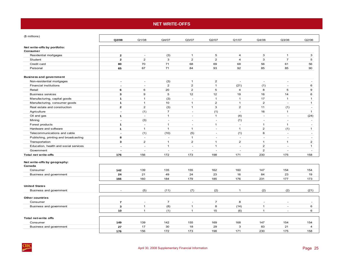# **NET WRITE-OFFS**

<span id="page-28-0"></span>

| (\$ millions)                         | Q2/08                    | Q1/08                    | Q4/07          | Q3/07          | Q2/07               | Q1/07                            | Q4/06                    | Q3/06                          | Q2/06                    |
|---------------------------------------|--------------------------|--------------------------|----------------|----------------|---------------------|----------------------------------|--------------------------|--------------------------------|--------------------------|
|                                       |                          |                          |                |                |                     |                                  |                          |                                |                          |
| Net write-offs by portfolio:          |                          |                          |                |                |                     |                                  |                          |                                |                          |
| Consumer                              | $\overline{2}$           | $\sim$                   |                | $\mathbf{1}$   |                     |                                  |                          |                                |                          |
| Residential mortgages                 | $\overline{2}$           | $\overline{2}$           | (3)<br>3       | $\overline{2}$ | 5<br>$\overline{2}$ | $\overline{4}$<br>$\overline{4}$ | 3<br>3                   | $\mathbf{1}$<br>$\overline{7}$ | 3                        |
| Student                               |                          |                          | 71             |                |                     |                                  |                          |                                | 5                        |
| Credit card                           | 80                       | 70<br>67                 | 71             | 68<br>84       | 69<br>93            | 68<br>92                         | 56                       | 61                             | 56                       |
| Personal                              | 65                       |                          |                |                |                     |                                  | 85                       | 85                             | 90                       |
| <b>Business and government</b>        |                          |                          |                |                |                     |                                  |                          |                                |                          |
| Non-residential mortgages             | $\blacksquare$           | $\overline{\phantom{a}}$ | (3)            | $\overline{1}$ | $\overline{2}$      | $\omega$                         | $\sim$                   | $\overline{\phantom{a}}$       |                          |
| <b>Financial institutions</b>         | $\sim$                   | $\sim$                   | $\overline{2}$ | $\overline{c}$ | $\mathbf{1}$        | (21)                             | (1)                      | $\sim$                         | 6                        |
| Retail                                | 6                        | 6                        | 20             | 2              | 5                   | $\overline{4}$                   | 8                        | 5                              | 9                        |
| <b>Business services</b>              | 3                        | $\boldsymbol{9}$         | 5              | 12             | 12                  | 19                               | 16                       | 14                             | 6                        |
| Manufacturing, capital goods          | $\mathbf{1}$             | $\overline{1}$           | (3)            | $\sim$         | $\overline{1}$      | $\overline{1}$                   | 17                       | $\mathbf{1}$                   | $\mathbf{1}$             |
| Manufacturing, consumer goods         | $\mathbf{1}$             | $\overline{1}$           | 10             | $\mathbf{1}$   | $\overline{2}$      | $\mathbf{1}$                     | $\overline{2}$           | $\sim$                         | $\mathbf{1}$             |
| Real estate and construction          | $\overline{2}$           | 2                        | (3)            | $\mathbf{1}$   | 3                   | $\overline{2}$                   | 11                       | (1)                            | $\overline{a}$           |
| Agriculture                           | $\sim$                   | (1)                      | $\overline{7}$ | $\sim$         | (1)                 | $\sim$                           | 16                       | $\mathbf{1}$                   | $\mathbf{1}$             |
| Oil and gas                           | $\mathbf{1}$             | $\overline{\phantom{a}}$ | $\mathbf{1}$   | $\sim$         | $\overline{1}$      | (4)                              | $\sim$                   | $\sim$                         | (24)                     |
| Mining                                | $\blacksquare$           | (3)                      | $\sim$         | $\sim$         | $\sim$              | (1)                              | $\sim$                   | $\sim$                         | $\sim$                   |
| Forest products                       | $\mathbf{1}$             | $\sim$                   | $\overline{1}$ | $\sim$         | $\mathbf{1}$        | $\sim$                           | $\mathbf{1}$             | $\mathbf{1}$                   | $\overline{a}$           |
| Hardware and software                 | $\mathbf{1}$             | $\mathbf{1}$             | $\overline{1}$ | $\mathbf{1}$   | $\sim$              | $\mathbf{1}$                     | $\overline{2}$           | (1)                            | $\mathbf{1}$             |
| Telecommunications and cable          | $\blacksquare$           | (1)                      | (10)           | (5)            | $\omega$            | (1)                              | 6                        | $\sim$                         | $\overline{\phantom{a}}$ |
| Publishing, printing and broadcasting | 8                        | $\sim$                   | $\sim$         | $\mathbf{1}$   | $\sim$              | $\sim$                           | $\sim$                   | $\sim$                         | $\overline{a}$           |
| Transportation                        | 3                        | $\overline{2}$           | $\mathbf{1}$   | $\overline{2}$ | $\overline{1}$      | $\overline{2}$                   | $\mathbf{1}$             | $\mathbf{1}$                   | $\overline{2}$           |
| Education, health and social services | $\overline{\phantom{a}}$ | $\sim$                   | $\mathbf{1}$   | $\sim$         | $\mathbf{1}$        | $\sim$                           | $\overline{2}$           | ÷.                             | $\mathbf{1}$             |
| Government                            | ä,                       | $\overline{a}$           | $\overline{a}$ | $\sim$         | $\sim$              | $\overline{a}$                   | $\overline{2}$           | $\overline{a}$                 | $\overline{a}$           |
| <b>Total net write-offs</b>           | 176                      | 156                      | 172            | 173            | 198                 | 171                              | 230                      | 175                            | 158                      |
| Net write-offs by geography:          |                          |                          |                |                |                     |                                  |                          |                                |                          |
| Canada                                |                          |                          |                |                |                     |                                  |                          |                                |                          |
| Consumer                              | 142                      | 139                      | 135            | 155            | 162                 | 160                              | 147                      | 154                            | 154                      |
| Business and government               | 24                       | 21                       | 49             | 24             | 23                  | 16                               | 84                       | 23                             | 19                       |
|                                       | 166                      | 160                      | 184            | 179            | 185                 | 176                              | 231                      | 177                            | 173                      |
| <b>United States</b>                  |                          |                          |                |                |                     |                                  |                          |                                |                          |
| Business and government               | $\sim$                   | (5)                      | (11)           | (7)            | (2)                 | $\mathbf{1}$                     | (2)                      | (2)                            | (21)                     |
| <b>Other countries</b>                |                          |                          |                |                |                     |                                  |                          |                                |                          |
| Consumer                              | $\overline{7}$           | $\overline{\phantom{a}}$ | $\overline{7}$ | $\sim$         | $\overline{7}$      | 8                                | $\overline{\phantom{a}}$ | $\overline{\phantom{a}}$       |                          |
| Business and government               | $\mathbf{3}$             | $\overline{1}$           | (8)            | $\mathbf{1}$   | 8                   | (14)                             | $\mathbf{1}$             | $\overline{a}$                 | 6                        |
|                                       | 10                       | $\mathbf{1}$             | (1)            | $\mathbf{1}$   | 15                  | (6)                              | $\mathbf{1}$             | $\overline{\phantom{a}}$       | 6                        |
|                                       |                          |                          |                |                |                     |                                  |                          |                                |                          |
| Total net-write offs                  |                          |                          |                |                |                     |                                  |                          |                                |                          |
| Consumer                              | 149                      | 139                      | 142            | 155            | 169                 | 168                              | 147                      | 154                            | 154                      |
| Business and government               | 27                       | 17                       | 30             | 18             | 29                  | 3                                | 83                       | 21                             | $\overline{4}$           |
|                                       | 176                      | 156                      | 172            | 173            | 198                 | 171                              | 230                      | 175                            | 158                      |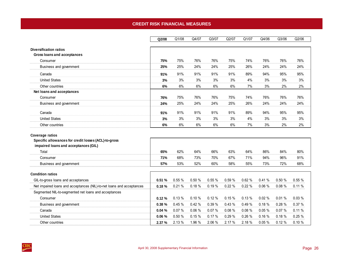# **CREDIT RISK FINANCIAL MEASURES**

<span id="page-29-0"></span>

|                                                                                                                 | Q2/08  | Q1/08  | Q4/07  | Q3/07  | Q2/07  | Q1/07  | Q4/06 | Q3/06 | Q2/06 |
|-----------------------------------------------------------------------------------------------------------------|--------|--------|--------|--------|--------|--------|-------|-------|-------|
|                                                                                                                 |        |        |        |        |        |        |       |       |       |
| <b>Diversification ratios</b><br>Gross loans and acceptances                                                    |        |        |        |        |        |        |       |       |       |
| Consumer                                                                                                        | 75%    | 75%    | 76%    | 76%    | 75%    | 74%    | 76%   | 76%   | 76%   |
|                                                                                                                 | 25%    | 25%    | 24%    | 24%    | 25%    | 26%    | 24%   | 24%   | 24%   |
| Business and government                                                                                         |        |        |        |        |        |        |       |       |       |
| Canada                                                                                                          | 91%    | 91%    | 91%    | 91%    | 91%    | 89%    | 94%   | 95%   | 95%   |
| <b>United States</b>                                                                                            | 3%     | 3%     | 3%     | 3%     | 3%     | 4%     | 3%    | 3%    | 3%    |
| Other countries                                                                                                 | 6%     | 6%     | 6%     | 6%     | 6%     | 7%     | 3%    | 2%    | 2%    |
| Net loans and acceptances                                                                                       |        |        |        |        |        |        |       |       |       |
| Consumer                                                                                                        | 76%    | 75%    | 76%    | 76%    | 75%    | 74%    | 76%   | 76%   | 76%   |
| Business and government                                                                                         | 24%    | 25%    | 24%    | 24%    | 25%    | 26%    | 24%   | 24%   | 24%   |
| Canada                                                                                                          | 91%    | 91%    | 91%    | 91%    | 91%    | 89%    | 94%   | 95%   | 95%   |
| <b>United States</b>                                                                                            | 3%     | 3%     | 3%     | 3%     | 3%     | 4%     | 3%    | 3%    | 3%    |
| Other countries                                                                                                 | 6%     | 6%     | 6%     | 6%     | 6%     | 7%     | 3%    | 2%    | 2%    |
| Coverage ratios<br>Specific allowances for credit losses (ACL)-to-gross<br>impaired loans and acceptances (GIL) |        |        |        |        |        |        |       |       |       |
| Total                                                                                                           | 65%    | 62%    | 64%    | 66%    | 63%    | 64%    | 86%   | 84%   | 80%   |
| Consumer                                                                                                        | 71%    | 68%    | 73%    | 70%    | 67%    | 71%    | 94%   | 96%   | 91%   |
| Business and government                                                                                         | 57%    | 53%    | 52%    | 60%    | 58%    | 55%    | 73%   | 72%   | 68%   |
| <b>Condition ratios</b>                                                                                         |        |        |        |        |        |        |       |       |       |
| GIL-to-gross loans and acceptances                                                                              | 0.51%  | 0.55%  | 0.50%  | 0.55%  | 0.59%  | 0.62%  | 0.41% | 0.50% | 0.55% |
| Net impaired loans and acceptances (NIL)-to-net loans and acceptances                                           | 0.18%  | 0.21%  | 0.18%  | 0.19%  | 0.22%  | 0.22%  | 0.06% | 0.08% | 0.11% |
| Segmented NIL-to-segmented net loans and acceptances                                                            |        |        |        |        |        |        |       |       |       |
| Consumer                                                                                                        | 0.12%  | 0.13%  | 0.10%  | 0.12%  | 0.15%  | 0.13%  | 0.02% | 0.01% | 0.03% |
| Business and government                                                                                         | 0.38%  | 0.45%  | 0.42%  | 0.39%  | 0.43%  | 0.49%  | 0.18% | 0.28% | 0.37% |
| Canada                                                                                                          | 0.04%  | 0.07%  | 0.06%  | 0.07%  | 0.08 % | 0.08%  | 0.05% | 0.07% | 0.11% |
| <b>United States</b>                                                                                            | 0.06%  | 0.50 % | 0.15%  | 0.17%  | 0.29%  | 0.26%  | 0.16% | 0.18% | 0.25% |
| Other countries                                                                                                 | 2.37 % | 2.13 % | 1.96 % | 2.06 % | 2.17 % | 2.18 % | 0.05% | 0.12% | 0.10% |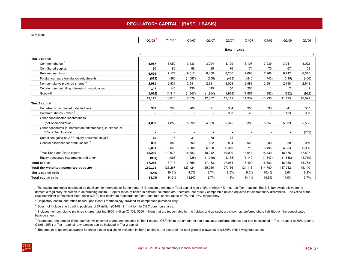# **REGULATORY CAPITAL** <sup>1</sup> **(BASEL I BASIS)**

<span id="page-30-0"></span>(\$ millions)

**Tier 1 capital** 

**Tier 2 capital**

| ons)                                              |                          |                      |          |         |         |         |        |        |        |  |  |  |  |
|---------------------------------------------------|--------------------------|----------------------|----------|---------|---------|---------|--------|--------|--------|--|--|--|--|
|                                                   | $Q2/08^2$                | Q1/08 <sup>2</sup>   | Q4/07    | Q3/07   | Q2/07   | Q1/07   | Q4/06  | Q3/06  | Q2/06  |  |  |  |  |
|                                                   |                          | <b>Basel I basis</b> |          |         |         |         |        |        |        |  |  |  |  |
| capital                                           |                          |                      |          |         |         |         |        |        |        |  |  |  |  |
| Common shares <sup>3</sup>                        | 6,057                    | 6,050                | 3,133    | 3,094   | 3,129   | 3,107   | 3,039  | 3,011  | 3,022  |  |  |  |  |
| Contributed surplus                               | 90                       | 86                   | 96       | 85      | 76      | 74      | 70     | 67     | 53     |  |  |  |  |
| Retained earnings                                 | 5,699                    | 7,174                | 9,017    | 8,450   | 8,200   | 7,693   | 7,268  | 6,712  | 6,315  |  |  |  |  |
| Foreign currency translation adjustments          | (833)                    | (860)                | (1,087)  | (659)   | (489)   | (240)   | (442)  | (415)  | (466)  |  |  |  |  |
| Non-cumulative preferred shares <sup>4</sup>      | 2,931                    | 2,931                | 2,931    | 2,931   | 3,028   | 2,983   | 2,981  | 2,798  | 2,648  |  |  |  |  |
| Certain non-controlling interests in subsidiaries | 147                      | 145                  | 136      | 145     | 150     | 266     |        | 2      |        |  |  |  |  |
| Goodwill                                          | (1, 916)                 | (1, 911)             | (1, 847) | (1,964) | (1,983) | (1,951) | (982)  | (982)  | (982)  |  |  |  |  |
|                                                   | 12,175                   | 13,615               | 12,379   | 12,082  | 12,111  | 11,932  | 11,935 | 11,193 | 10,591 |  |  |  |  |
| capital                                           |                          |                      |          |         |         |         |        |        |        |  |  |  |  |
| Perpetual subordinated indebtedness               | 303                      | 303                  | 285      | 321     | 334     | 355     | 338    | 341    | 357    |  |  |  |  |
| Preferred shares - other <sup>5</sup>             | $\overline{\phantom{a}}$ |                      |          |         | 303     | 48      |        | 183    | 333    |  |  |  |  |

| Preferred shares - other <sup>5</sup>                                              | $\overline{\phantom{a}}$ |         |         | $\sim$  | 303      | 48       |          | 183                      | 333     |
|------------------------------------------------------------------------------------|--------------------------|---------|---------|---------|----------|----------|----------|--------------------------|---------|
| Other subordinated indebtedness                                                    |                          |         |         |         |          |          |          |                          |         |
| (net of amortization)                                                              | 4,859                    | 4,856   | 5,098   | 4,839   | 5,375    | 5,383    | 5,257    | 5,509                    | 5,505   |
| Other debentures (subordinated indebtedness) in excess of<br>50% of Tier 1 capital | $\overline{\phantom{a}}$ |         |         |         |          |          |          | $\overline{\phantom{a}}$ | (209)   |
| Unrealized gains on AFS equity securities in OCI                                   | 10                       | 15      | 31      | 78      | 73       | 10       | -        |                          |         |
| General allowance for credit losses <sup>6</sup>                                   | 889                      | 889     | 890     | 892     | 894      | 920      | 900      | 950                      | 950     |
|                                                                                    | 6.061                    | 6,063   | 6,304   | 6,130   | 6,979    | 6,716    | 6,495    | 6,983                    | 6,936   |
| Total Tier 1 and Tier 2 capital                                                    | 18,236                   | 19,678  | 18,683  | 18,212  | 19,090   | 18,648   | 18,430   | 18,176                   | 17,527  |
| Equity-accounted investments and other                                             | (981)                    | (965)   | (925)   | (1,049) | (1, 136) | (1, 149) | (1, 847) | (1, 818)                 | (1,759) |
| <b>Total capital</b>                                                               | 17,255                   | 18,713  | 17,758  | 17,163  | 17,954   | 17,499   | 16,583   | 16,358                   | 15,768  |
| Total risk-weighted assets (see page 29)                                           | 130.101                  | 128,267 | 127,424 | 125,030 | 127,186  | 124,118  | 114,780  | 117,032                  | 115,140 |
| Tier 1 capital ratio                                                               | 9.4%                     | 10.6%   | 9.7%    | 9.7%    | 9.5%     | 9.6%     | 10.4%    | 9.6%                     | 9.2%    |
| Total capital ratio                                                                | 13.3%                    | 14.6%   | 13.9%   | 13.7%   | 14.1%    | 14.1%    | 14.5%    | 14.0%                    | 13.7%   |

<sup>1</sup> The capital standards developed by the Bank for International Settlements (BIS) require a minimum Total capital ratio of 8% of which 4% must be Tier 1 capital. The BIS framework allows some domestic regulatory discretion in determining capital. Capital ratios of banks in different countries are, therefore, not strictly comparable unless adjusted for discretionary differences. The Office of the Superintendent of Financial Institutions (OSFI) has minimum standards for Tier 1 and Total capital ratios of 7% and 10%, respectively.

**2** Regulatory capital and ratios based upon Basel I methodology provided for comparison purposes only.

 $3$  Does not include short trading positions of \$7 million (Q1/08: \$11 million) in CIBC common shares.

 $4$  Includes non-cumulative preferred shares totalling \$600 million (Q1/08: \$600 million) that are redeemable by the holders and as such, are shown as preferred share liabilities on the consolidated balance sheet.

<sup>5</sup> Represents the amount of non-cumulative preferred shares not included in Tier 1 capital. OSFI limits the amount of non-cumulative preferred shares that can be included in Tier 1 capital to 30% (prior to Q1/08: 25%) of Tier 1 capital; any excess can be included in Tier 2 capital.

 $6$  The amount of general allowance for credit losses eligible for inclusion in Tier 2 capital is the lesser of the total general allowance or 0.875% of risk-weighted assets.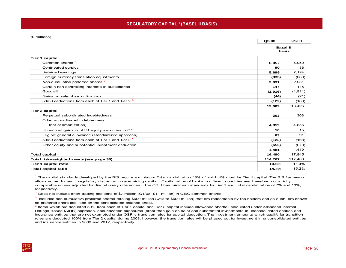#### <span id="page-31-0"></span>(\$ millions)

```
Q2/08Q1/08
```

| Basel II |  |
|----------|--|
| basis    |  |

| <b>Tier 1 capital</b>                                        |         |          |
|--------------------------------------------------------------|---------|----------|
| Common shares <sup>2</sup>                                   | 6,057   | 6.050    |
| Contributed surplus                                          | 90      | 86       |
| Retained earnings                                            | 5,699   | 7,174    |
| Foreign currency translation adjustments                     | (833)   | (860)    |
| Non-cumulative preferred shares <sup>3</sup>                 | 2,931   | 2,931    |
| Certain non-controlling interests in subsidiaries            | 147     | 145      |
| Goodwill                                                     | (1,916) | (1, 911) |
| Gains on sale of securitizations                             | (44)    | (21)     |
| 50/50 deductions from each of Tier 1 and Tier 2 <sup>4</sup> | (122)   | (168)    |
|                                                              | 12,009  | 13,426   |
| <b>Tier 2 capital</b>                                        |         |          |
| Perpetual subordinated indebtedness                          | 303     | 303      |
| Other subordinated indebtedness                              |         |          |
| (net of amortization)                                        | 4,859   | 4,856    |
| Unrealized gains on AFS equity securities in OCI             | 10      | 15       |
| Eligible general allowance (standardized approach)           | 83      | 91       |
| 50/50 deductions from each of Tier 1 and Tier 2 <sup>4</sup> | (122)   | (168)    |
| Other equity and substantial investment deduction            | (652)   | (678)    |
|                                                              | 4,481   | 4,419    |
| <b>Total capital</b>                                         | 16,490  | 17,845   |
| Total risk-weighted assets (see page 30)                     | 114,767 | 117,408  |
| Tier 1 capital ratio                                         | 10.5%   | 11.4%    |
| <b>Total capital ratio</b>                                   | 14.4%   | 15.2%    |

 $<sup>1</sup>$  The capital standards developed by the BIS require a minimum Total capital ratio of 8% of which 4% must be Tier 1 capital. The BIS framework</sup> allows some domestic regulatory discretion in determining capital. Capital ratios of banks in different countries are, therefore, not strictly comparable unless adjusted for discretionary differences. The OSFI has minimum standards for Tier 1 and Total capital ratios of 7% and 10%, respectively.

 $2$  Does not include short trading positions of \$7 million (Q1/08: \$11 million) in CIBC common shares.

<sup>3</sup> Includes non-cumulative preferred shares totaling \$600 million (Q1/08: \$600 million) that are redeemable by the holders and as such, are shown as preferred share liabilities on the consolidated balance sheet.

**<sup>4</sup>** Items which are deducted 50% from each of Tier 1 capital and Tier 2 capital include allowance shortfall calculated under Advanced Internal Ratings Based (AIRB) approach, securitization exposures (other than gain on sale) and substantial investments in unconsolidated entities and insurance entities that are not exempted under OSFI's transition rules for capital deduction. The investment amounts which qualify for transition rules are deducted 100% from Tier 2 capital during 2008, however, the transition rules will be phased out for investment in unconsolidated entities and insurance entities in 2009 and 2012, respectively.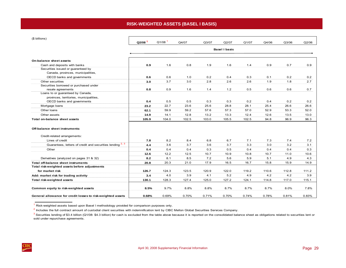# **RISK-WEIGHTED ASSETS (BASEL I BASIS)**

<span id="page-32-0"></span>

| (\$ billions)                                                      |                      | $Q1/08$ <sup>1</sup> |       |       |                      |       |       |       |       |
|--------------------------------------------------------------------|----------------------|----------------------|-------|-------|----------------------|-------|-------|-------|-------|
|                                                                    | $Q2/08$ <sup>1</sup> |                      | Q4/07 | Q3/07 | Q2/07                | Q1/07 | Q4/06 | Q3/06 | Q2/06 |
|                                                                    |                      |                      |       |       | <b>Basel I basis</b> |       |       |       |       |
| On-balance sheet assets:                                           |                      |                      |       |       |                      |       |       |       |       |
|                                                                    |                      |                      |       |       |                      |       |       |       |       |
| Cash and deposits with banks<br>Securities issued or guaranteed by | 0.9                  | 1.6                  | 0.8   | 1.9   | 1.6                  | 1.4   | 0.9   | 0.7   | 0.9   |
| Canada, provinces, municipalities,                                 |                      |                      |       |       |                      |       |       |       |       |
| OECD banks and governments                                         | 0.6                  | 0.6                  | 1.0   | 0.2   | 0.4                  | 0.3   | 0.1   | 0.2   | 0.2   |
| Other securities                                                   | 3.0                  | 3.7                  | 3.0   | 2.8   | 2.6                  | 2.6   | 1.9   | 1.8   | 2.7   |
| Securities borrowed or purchased under                             |                      |                      |       |       |                      |       |       |       |       |
| resale agreements                                                  | 0.8                  | 0.9                  | 1.6   | 1.4   | 1.2                  | 0.5   | 0.6   | 0.6   | 0.7   |
| Loans to or guaranteed by Canada,                                  |                      |                      |       |       |                      |       |       |       |       |
| provinces, territories, municipalities,                            |                      |                      |       |       |                      |       |       |       |       |
| OECD banks and governments                                         | 0.4                  | 0.5                  | 0.5   | 0.3   | 0.3                  | 0.2   | 0.4   | 0.2   | 0.2   |
| Mortgage loans                                                     | 23.2                 | 22.7                 | 23.6  | 25.6  | 28.8                 | 28.1  | 25.4  | 26.6  | 26.6  |
| Other Ioans                                                        | 62.1                 | 59.9                 | 59.2  | 57.6  | 57.3                 | 57.0  | 52.9  | 53.3  | 52.0  |
| Other assets                                                       | 14.9                 | 14.1                 | 12.8  | 13.2  | 13.3                 | 12.4  | 12.6  | 13.5  | 13.0  |
| Total on-balance sheet assets                                      | 105.9                | 104.0                | 102.5 | 103.0 | 105.5                | 102.5 | 94.8  | 96.9  | 96.3  |
|                                                                    |                      |                      |       |       |                      |       |       |       |       |
| Off-balance sheet instruments:                                     |                      |                      |       |       |                      |       |       |       |       |
| Credit-related arrangements:                                       |                      |                      |       |       |                      |       |       |       |       |
| Lines of credit                                                    | 7.8                  | 8.2                  | 8.4   | 6.8   | 6.7                  | 7.1   | 7.3   | 7.4   | 7.2   |
| Guarantees, letters of credit and securities lending 2, 3          | 4.4                  | 3.6                  | 3.7   | 3.6   | 3.7                  | 3.3   | 3.0   | 3.2   | 3.1   |
| Other                                                              | 0.4                  | 0.4                  | 0.4   | 0.3   | 0.5                  | 0.4   | 0.4   | 0.4   | 0.3   |
|                                                                    | 12.6                 | 12.2                 | 12.5  | 10.7  | 10.9                 | 10.8  | 10.7  | 11.0  | 10.6  |
| Derivatives (analyzed on pages 31 & 32)                            | 8.2                  | 8.1                  | 8.5   | 7.2   | 5.6                  | 5.9   | 5.1   | 4.9   | 4.3   |
| <b>Total off-balance sheet instruments</b>                         | 20.8                 | 20.3                 | 21.0  | 17.9  | 16.5                 | 16.7  | 15.8  | 15.9  | 14.9  |
| Total risk-weighted assets before adjustments                      |                      |                      |       |       |                      |       |       |       |       |
| for market risk                                                    | 126.7                | 124.3                | 123.5 | 120.9 | 122.0                | 119.2 | 110.6 | 112.8 | 111.2 |
| Add: market risk for trading activity                              | 3.4                  | 4.0                  | 3.9   | 4.1   | 5.2                  | 4.9   | 4.2   | 4.2   | 3.9   |
| Total risk-weighted assets                                         | 130.1                | 128.3                | 127.4 | 125.0 | 127.2                | 124.1 | 114.8 | 117.0 | 115.1 |
|                                                                    |                      |                      |       |       |                      |       |       |       |       |
| Common equity to risk-weighted assets                              | 8.5%                 | 9.7%                 | 8.8%  | 8.8%  | 8.7%                 | 8.7%  | 8.7%  | 8.0%  | 7.8%  |
| General allowance for credit losses to risk-weighted assets        | 0.68%                | 0.69%                | 0.70% | 0.71% | 0.70%                | 0.74% | 0.78% | 0.81% | 0.83% |

Risk-weighted assets based upon Basel I methodology provided for comparison purposes only.

 $2$  Includes the full contract amount of custodial client securities with indemnification lent by CIBC Mellon Global Securities Services Company.

 $3$  Securities lending of \$3.4 billion (Q1/08: \$4.3 billion) for cash is excluded from the table above because it is reported on the consolidated balance sheet as obligations related to securities lent or sold under repurchase agreements.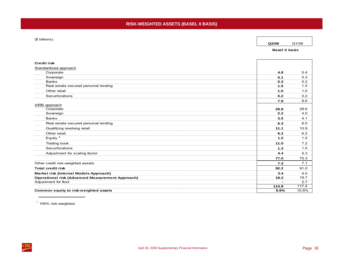#### <span id="page-33-0"></span>(\$ billions)

**Q2/08**Q1/08

**Basel II basis**

| <b>Credit risk</b>                                      |       |       |
|---------------------------------------------------------|-------|-------|
| Standardized approach                                   |       |       |
| Corporate                                               | 4.8   | 5.4   |
| Sovereign                                               | 0.1   | 0.3   |
| <b>Banks</b>                                            | 0.3   | 0.2   |
| Real estate secured personal lending                    | 1.5   | 1.5   |
| Other retail                                            | 1.0   | 1.0   |
| Securitizations                                         | 0.2   | 0.2   |
|                                                         | 7.9   | 8.6   |
| AIRB approach                                           |       |       |
| Corporate                                               | 29.8  | 29.6  |
| Sovereign                                               | 2.2   | 4.0   |
| <b>Banks</b>                                            | 3.5   | 4.1   |
| Real estate secured personal lending                    | 6.3   | 6.0   |
| Qualifying revolving retail                             | 11.1  | 10.9  |
| Other retail                                            | 6.2   | 6.2   |
| Equity $1$                                              | $1.2$ | 1.5   |
| Trading book                                            | 11.0  | 7.2   |
| Securitizations                                         | 1.3   | 1.5   |
| Adjustment for scaling factor                           | 4.4   | 4.3   |
|                                                         | 77.0  | 75.3  |
| Other credit risk-weighted assets                       | 7.3   | 7.1   |
| <b>Total credit risk</b>                                | 92.2  | 91.0  |
| Market risk (Internal Models Approach)                  | 3.4   | 4.0   |
| <b>Operational risk (Advanced Measurement Approach)</b> | 19.2  | 19.7  |
| Adjustment for floor                                    |       | 2.7   |
|                                                         | 114.8 | 117.4 |
| Common equity to risk-weighted assets                   | 9.6%  | 10.6% |

 $1$  100% risk-weighted.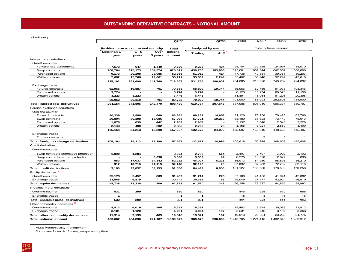<span id="page-34-0"></span>(\$ millions)

|                                          |                                       |                          |                          | Q2/08              |                 | Q2/08                    | Q1/08     | Q4/07                 | Q3/07     | Q2/07        |  |
|------------------------------------------|---------------------------------------|--------------------------|--------------------------|--------------------|-----------------|--------------------------|-----------|-----------------------|-----------|--------------|--|
|                                          |                                       |                          |                          |                    |                 |                          |           |                       |           |              |  |
|                                          | Residual term to contractual maturity |                          |                          | Total              | Analyzed by use |                          |           | Total notional amount |           |              |  |
|                                          | Less than 1<br>year                   | $1 - 5$<br>years         | Ovér<br>5 years          | notional<br>amount | <b>Trading</b>  | <b>ALM</b>               |           |                       |           |              |  |
| Interest rate derivatives                |                                       |                          |                          |                    |                 |                          |           |                       |           |              |  |
| Over-the-counter                         |                                       |                          |                          |                    |                 |                          |           |                       |           |              |  |
| Forward rate agreements                  | 7,573                                 | 647                      | 1,449                    | 9,669              | 9,235           | 434                      | 25,704    | 32,555                | 24,997    | 35,070       |  |
| Swap contracts                           | 200,764                               | 315,173                  | 104,574                  | 620,511            | 436,706         | 183,805                  | 625,081   | 609.544               | 642,057   | 608,606      |  |
| Purchased options                        | 9,173                                 | 20,108                   | 23,085                   | 52,366             | 51,952          | 414                      | 47,738    | 40,881                | 39,381    | 39,203       |  |
| Written options                          | 7,682                                 | 15,768                   | 12,661                   | 36,111             | 33,862          | 2,249                    | 35,482    | 33,946                | 37,297    | 42,018       |  |
|                                          | 225,192                               | 351.696                  | 141,769                  | 718,657            | 531,755         | 186,902                  | 734,005   | 716,926               | 743,732   | 724,897      |  |
| Exchange traded                          |                                       |                          |                          |                    |                 |                          |           |                       |           |              |  |
| Futures contracts                        | 61,965                                | 16,887                   | 701                      | 79,553             | 68,809          | 10,744                   | 85,966    | 62,755                | 91,075    | 103,346      |  |
| Purchased options                        | 3,774                                 | $\overline{\phantom{a}}$ | $\overline{\phantom{a}}$ | 3,774              | 3,774           | $\overline{\phantom{a}}$ | 6,123     | 10.274                | 80,325    | 11,156       |  |
| Written options                          | 3,223                                 | 3,223                    | $\overline{\phantom{a}}$ | 6,446              | 6,446           | $\overline{\phantom{a}}$ | 11,891    | 15,064                | 81,205    | 20,398       |  |
|                                          | 68,962                                | 20,110                   | 701                      | 89,773             | 79,029          | 10,744                   | 103,980   | 88,093                | 252,605   | 134,900      |  |
| Total interest rate derivatives          | 294,154                               | 371,806                  | 142,470                  | 808,430            | 610,784         | 197,646                  | 837,985   | 805,019               | 996,337   | 859,797      |  |
| Foreign exchange derivatives             |                                       |                          |                          |                    |                 |                          |           |                       |           |              |  |
| Over-the-counter                         |                                       |                          |                          |                    |                 |                          |           |                       |           |              |  |
| Forward contracts                        | 80,339                                | 2,886                    | 660                      | 83,885             | 69,232          | 14,653                   | 81,126    | 78,256                | 70,423    | 63,766       |  |
| Swap contracts                           | 20,804                                | 30,198                   | 16.986                   | 67,988             | 57,721          | 10,267                   | 68,189    | 66,623                | 73,149    | 75,013       |  |
| Purchased options                        | 1,878                                 | 639                      | 442                      | 2,959              | 2,959           | $\overline{\phantom{0}}$ | 3,137     | 3,046                 | 2,543     | 3,228        |  |
| Written options                          | 2,143                                 | 490                      | 202                      | 2,835              | 2,760           | 75                       | 3,155     | 3,021                 | 2,550     | 3,400        |  |
|                                          | 105,164                               | 34,213                   | 18.290                   | 157,667            | 132,672         | 24,995                   | 155,607   | 150,946               | 148,665   | 145,407      |  |
| Exchange traded                          |                                       |                          |                          |                    |                 |                          |           |                       |           |              |  |
| Futures contracts                        |                                       |                          |                          |                    |                 |                          | 11        | $\overline{2}$        | 3         | $\mathbf{1}$ |  |
| Total foreign exchange derivatives       | 105,164                               | 34,213                   | 18,290                   | 157,667            | 132,672         | 24,995                   | 155,618   | 150,948               | 148,668   | 145,408      |  |
| Credit derivatives                       |                                       |                          |                          |                    |                 |                          |           |                       |           |              |  |
| Over-the-counter                         |                                       |                          |                          |                    |                 |                          |           |                       |           |              |  |
| Swap contracts purchased protection      | 1,990                                 | 1,284                    |                          | 3,274              | 2,760           | 514                      | 2,807     | 2,797                 | 3,902     | 2,102        |  |
| Swap contracts written protection        | $\overline{a}$                        |                          | 3,696                    | 3,696              | 3,602           | 94                       | 6,275     | 10.520                | 12.927    | 836          |  |
| Purchased options                        | 853                                   | 17,037                   | 34,342                   | 52,232             | 46,007          | 6,225                    | 85,013    | 84,950                | 88,898    | 85,210       |  |
| Written options                          | 317                                   | 10,716                   | 21,115                   | 32,148             | 32,123          | 25                       | 67,032    | 67,283                | 72,782    | 82,110       |  |
| <b>Total credit derivatives</b>          | 3.160                                 | 29.037                   | 59.153                   | 91.350             | 84,492          | 6,858                    | 161.127   | 165,550               | 178.509   | 170.258      |  |
| Equity derivatives <sup>2</sup>          |                                       |                          |                          |                    |                 |                          |           |                       |           |              |  |
| Over-the-counter                         | 25,173                                | 5,457                    | 809                      | 31,439             | 31,214          | 225                      | 37,109    | 41,400                | 41,941    | 42,082       |  |
| Exchange traded                          | 23,565                                | 6,879                    | $\sim$                   | 30,444             | 30,356          | 88                       | 29,049    | 37,177                | 42,924    | 46,910       |  |
| <b>Total equity derivatives</b>          | 48,738                                | 12,336                   | 809                      | 61.883             | 61,570          | 313                      | 66,158    | 78,577                | 84,865    | 88,992       |  |
| Precious metal derivatives <sup>2</sup>  |                                       |                          |                          |                    |                 |                          |           |                       |           |              |  |
| Over-the-counter                         | 531                                   | 299                      | $\overline{\phantom{0}}$ | 830                | 830             | $\overline{a}$           | 846       | 925                   | 670       | 666          |  |
| Exchange traded                          | $\mathbf{1}$                          | $\overline{\phantom{a}}$ | $\overline{\phantom{0}}$ | 1                  | $\mathbf{1}$    | $\overline{\phantom{0}}$ | 18        | 3                     | 16        | 16           |  |
| <b>Total precious metal derivatives</b>  | 532                                   | 299                      | $\overline{\phantom{0}}$ | 831                | 831             | $\blacksquare$           | 864       | 928                   | 686       | 682          |  |
| Other commodity derivatives <sup>2</sup> |                                       |                          |                          |                    |                 |                          |           |                       |           |              |  |
| Over-the-counter                         | 8,813                                 | 6,019                    | 465                      | 15,297             | 15,297          | $\overline{a}$           | 15,482    | 16,648                | 20,083    | 21,412       |  |
| Exchange traded                          | 3,101                                 | 1,120                    | $\overline{\phantom{0}}$ | 4,221              | 4,024           | 197                      | 3,531     | 3,746                 | 3,197     | 3,363        |  |
| Total other commodity derivatives        | 11,914                                | 7,139                    | 465                      | 19,518             | 19,321          | 197                      | 19,013    | 20,394                | 23,280    | 24,775       |  |
| <b>Total notional amount</b>             | 463,662                               | 454,830                  | 221,187                  | 1,139,679          | 909,670         | 230,009                  | 1,240,765 | 1,221,416             | 1,432,345 | 1,289,912    |  |
|                                          |                                       |                          |                          |                    |                 |                          |           |                       |           |              |  |

1 ALM: Asset/liability management.

2 Comprises forwards, futures, swaps and options.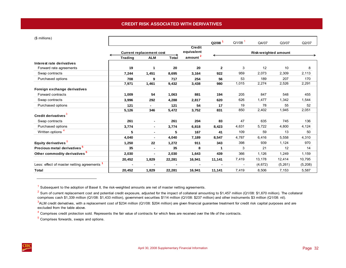<span id="page-35-0"></span>(\$ millions)

| $\phi$ municies)                                       |                |                                 |              |                      | $Q2/08$ <sup>1</sup> | $Q1/08$ <sup>1</sup> | Q4/07                | Q3/07   | Q2/07    |
|--------------------------------------------------------|----------------|---------------------------------|--------------|----------------------|----------------------|----------------------|----------------------|---------|----------|
|                                                        |                |                                 |              | <b>Credit</b>        |                      |                      |                      |         |          |
|                                                        |                | <b>Current replacement cost</b> |              | equivalent           |                      |                      | Risk-weighted amount |         |          |
|                                                        | <b>Trading</b> | <b>ALM</b>                      | <b>Total</b> | $\frac{amount^2}{2}$ |                      |                      |                      |         |          |
| Interest rate derivatives<br>Forward rate agreements   | 19             | 1                               | 20           | 20                   | $\mathbf{2}$         | 3                    | 12                   | 10      | 8        |
| Swap contracts                                         | 7,244          | 1,451                           | 8,695        | 3,164                | 922                  | 959                  | 2,073                | 2,309   | 2,113    |
| Purchased options                                      | 708            | 9                               | 717          | 254                  | 56                   | 53                   | 189                  | 207     | 170      |
|                                                        | 7,971          | 1,461                           | 9,432        | 3,438                | 980                  | 1,015                | 2,274                | 2,526   | 2,291    |
| Foreign exchange derivatives                           |                |                                 |              |                      |                      |                      |                      |         |          |
| Forward contracts                                      | 1,009          | 54                              | 1,063        | 881                  | 194                  | 205                  | 847                  | 548     | 455      |
| Swap contracts                                         | 3,996          | 292                             | 4,288        | 2,817                | 620                  | 626                  | 1,477                | 1,342   | 1,544    |
| Purchased options                                      | 121            |                                 | 121          | 54                   | 17                   | 19                   | 78                   | 55      | 52       |
|                                                        | 5,126          | 346                             | 5,472        | 3,752                | 831                  | 850                  | 2,402                | 1,945   | 2,051    |
| Credit derivatives <sup>3</sup>                        |                |                                 |              |                      |                      |                      |                      |         |          |
| Swap contracts                                         | 261            | $\blacksquare$                  | 261          | 204                  | 83                   | 47                   | 635                  | 745     | 136      |
| Purchased options                                      | 3,774          | $\blacksquare$                  | 3,774        | 6,818                | 8,423                | 4,631                | 5,722                | 4,800   | 4,124    |
| Written options <sup>4</sup>                           | 5              | $\blacksquare$                  | 5            | 167                  | 41                   | 109                  | 59                   | 13      | 50       |
|                                                        | 4,040          | $\blacksquare$                  | 4,040        | 7,189                | 8,547                | 4,787                | 6,416                | 5,558   | 4,310    |
| Equity derivatives <sup>5</sup>                        | 1,250          | 22                              | 1,272        | 911                  | 343                  | 398                  | 939                  | 1,124   | 970      |
| Precious metal derivatives <sup>5</sup>                | 35             | $\overline{\phantom{0}}$        | 35           | 8                    | 1                    | 3                    | 21                   | 12      | 14       |
| Other commodity derivatives <sup>5</sup>               | 2,030          | $\blacksquare$                  | 2,030        | 1,643                | 439                  | 366                  | 1,126                | 1,249   | 1,159    |
|                                                        | 20,452         | 1,829                           | 22,281       | 16,941               | 11,141               | 7,419                | 13,178               | 12,414  | 10,795   |
| Less: effect of master netting agreements <sup>1</sup> | $\blacksquare$ |                                 |              |                      |                      |                      | (4,672)              | (5,261) | (5, 208) |
| Total                                                  | 20,452         | 1,829                           | 22,281       | 16,941               | 11,141               | 7,419                | 8,506                | 7,153   | 5,587    |

 $<sup>1</sup>$  Subsequent to the adoption of Basel II, the risk-weighted amounts are net of master netting agreements.</sup>

 $2$  Sum of current replacement cost and potential credit exposure, adjusted for the impact of collateral amounting to \$1,457 million (Q1/08: \$1,670 million). The collateral comprises cash \$1,339 million (Q1/08: \$1,433 million), government securities \$114 million (Q1/08: \$237 million) and other instruments \$3 million (Q1/08: nil).

5 Comprises forwards, swaps and options.

 $3$ ALM credit derivatives, with a replacement cost of \$234 million (Q1/08: \$204 million) are given financial quarantee treatment for credit risk capital purposes and are excluded from the table above.

<sup>&</sup>lt;sup>4</sup> Comprises credit protection sold. Represents the fair value of contracts for which fees are received over the life of the contracts.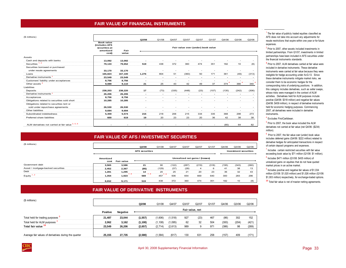### **FAIR VALUE OF FINANCIAL INSTRUMENTS**

<span id="page-36-0"></span>

| (\$ millions)                                     |                                                                  |         | Q2/08                    | Q1/08                    | Q4/07                    | Q3/07                    | Q2/07                              | Q1/07                    | Q4/06                    | Q3/06                    | Q2/06                    |
|---------------------------------------------------|------------------------------------------------------------------|---------|--------------------------|--------------------------|--------------------------|--------------------------|------------------------------------|--------------------------|--------------------------|--------------------------|--------------------------|
|                                                   | <b>Book value</b><br>(includes AFS<br>securities at<br>amortized | Fair    |                          |                          |                          |                          | Fair value over (under) book value |                          |                          |                          |                          |
|                                                   | cost)                                                            | value   |                          |                          |                          |                          |                                    |                          |                          |                          |                          |
| Assets                                            |                                                                  |         |                          |                          |                          |                          |                                    |                          |                          |                          |                          |
| Cash and deposits with banks                      | 13,092                                                           | 13,092  | $\overline{\phantom{0}}$ |                          |                          |                          |                                    |                          |                          |                          |                          |
| Securities $1, 2$                                 | 79.133                                                           | 79,652  | 519                      | 438                      | 372                      | 360                      | 474                                | 351                      | 182                      | 10                       | (8)                      |
| Securities borrowed or purchased                  |                                                                  |         |                          |                          |                          |                          |                                    |                          |                          |                          |                          |
| under resale agreements                           | 33,170                                                           | 33,170  | ٠                        |                          |                          |                          |                                    |                          |                          |                          |                          |
| Loans                                             | 165.824                                                          | 167.100 | 1.276                    | 804                      | 51                       | (360)                    | 50                                 | 171                      | 361                      | (49)                     | (313)                    |
| Derivative instruments <sup>3</sup>               | 23,549                                                           | 23,549  | $\overline{\phantom{a}}$ | $\overline{\phantom{a}}$ | $\overline{\phantom{a}}$ | $\overline{\phantom{a}}$ | $\overline{\phantom{0}}$           | $\overline{\phantom{a}}$ | $\overline{\phantom{a}}$ | $\overline{\phantom{a}}$ | $\overline{\phantom{a}}$ |
| Customers' liability under acceptances            | 8,756                                                            | 8,756   | $\overline{\phantom{0}}$ | ٠                        |                          | ٠                        | $\overline{\phantom{a}}$           | $\overline{\phantom{a}}$ |                          | ٠                        |                          |
| Other assets <sup>2</sup>                         | 9,089                                                            | 9,110   | 21                       | 25                       | 43                       | 42                       | 49                                 | 37                       | 374                      | 366                      | 340                      |
| Liabilities                                       |                                                                  |         |                          |                          |                          |                          |                                    |                          |                          |                          |                          |
| Deposits                                          | 238,203                                                          | 238.220 | 17                       | (73)                     | (335)                    | (448)                    | (23)                               | (107)                    | (135)                    | (242)                    | (306)                    |
| Derivative instruments <sup>3</sup>               | 26,206                                                           | 26,206  | $\overline{\phantom{a}}$ | $\overline{\phantom{a}}$ |                          | $\blacksquare$           | $\overline{\phantom{a}}$           | $\overline{\phantom{a}}$ | $\overline{\phantom{a}}$ | $\overline{\phantom{a}}$ |                          |
| Acceptances                                       | 8,756                                                            | 8.756   | $\overline{\phantom{a}}$ | ۰                        |                          | ۰                        |                                    | ۰                        |                          | ۰                        |                          |
| Obligations related to securities sold short      | 10,285                                                           | 10,285  | $\overline{\phantom{a}}$ | $\overline{\phantom{a}}$ | $\overline{\phantom{a}}$ | $\overline{\phantom{a}}$ | ٠                                  | $\overline{\phantom{a}}$ | $\sim$                   | ٠                        |                          |
| Obligations related to securities lent or         |                                                                  |         |                          |                          |                          |                          |                                    |                          |                          |                          |                          |
| sold under repurchase agreements                  | 26,530                                                           | 26.530  | $\overline{\phantom{a}}$ | ٠                        |                          |                          |                                    |                          |                          | ٠                        |                          |
| Other liabilities                                 | 9,694                                                            | 9,694   | $\blacksquare$           | $\overline{\phantom{a}}$ | $\sim$                   | $\overline{\phantom{a}}$ | $\overline{\phantom{a}}$           | $\overline{\phantom{a}}$ | $\overline{\phantom{a}}$ | $\overline{\phantom{a}}$ |                          |
| Subordinated indebtedness                         | 5,359                                                            | 5,574   | 215                      | 218                      | 206                      | 215                      | 334                                | 335                      | 368                      | 298                      | 273                      |
| Preferred share liabilities                       | 600                                                              | 619     | 19                       | 20                       | 23                       | 23                       | 20                                 | 36                       | 42                       | 38                       | 38                       |
| ALM derivatives not carried at fair value 3, 5, 6 |                                                                  |         |                          |                          |                          |                          |                                    |                          | (85)                     | 64                       | 82                       |

## **FAIR VALUE OF AFS / INVESTMENT SECURITIES**

| (\$ millions)                      |                   |                   | Q2/08                 | Q1/08      | Q4/07 | Q3/07                           | Q2/07 | Q1/07 | Q4/06 | Q3/06                        | Q2/06 |
|------------------------------------|-------------------|-------------------|-----------------------|------------|-------|---------------------------------|-------|-------|-------|------------------------------|-------|
|                                    |                   |                   | <b>AFS</b> securities |            |       |                                 |       |       |       | <b>Investment securities</b> |       |
|                                    | Amortized<br>cost | <b>Fair value</b> |                       |            |       | Unrealized net gains / (losses) |       |       |       |                              |       |
| Government debt                    | 3,565             | 3,586             | 21                    | 90         | (122) | (287)                           | (219) | (318) | (195) | (343)                        | (360) |
| Asset / mortgage-backed securities | 2,452             | 2,367             | (85)                  | (129)      | (37)  | (28)                            | 4     | 6     | 41    | 38                           | 13    |
| Debt                               | 1,281             | 1,295             | 14                    | 20         | 25    | 21                              | 20    | 23    | 36    | 32                           | 43    |
| Equity $1, 2$                      | 1,354             | 7.8<br>1,923      | 7.8<br>569            | 7,8<br>457 | 506   | 654                             | 669   | 640   | 300   | 283                          | 296   |
|                                    | 8,652             | 9,171             | 519                   | 438        | 372   | 360                             | 474   | 351   | 182   | 10                           | (8)   |

# **FAIR VALUE OF DERIVATIVE INSTRUMENTS**

| (\$ millions)                                         |          |                 | Q2/08    | Q1/08    | Q4/07   | Q3/07           | Q2/07 | Q1/07 | Q4/06 | Q3/06 | Q2/06 |
|-------------------------------------------------------|----------|-----------------|----------|----------|---------|-----------------|-------|-------|-------|-------|-------|
|                                                       | Positive | <b>Negative</b> |          |          |         | Fair value, net |       |       |       |       |       |
| Total held for trading purposes 9                     | 21.487   | 23.044          | (1, 557) | (1,606)  | 1,518   | 927             | (23)  | 467   | (86)  | 302   | 152   |
| Total held for ALM purposes <sup>3</sup>              | 2,062    | 3,162           | (1, 100) | (1, 108) | (1,095) | 62              | 32    | 504   | (300) | (204) | (421) |
| Total fair value <sup>10</sup>                        | 23,549   | 26.206          | (2,657)  | (2,714)  | (2,613) | 989             | 9     | 971   | (386) | 98    | (269) |
| Average fair values of derivatives during the quarter | 25.155   | 27.735          | (2,580)  | (1, 584) | (617)   | 130             | 631   | 258   | (157) | 409   | (171) |

<sup>1</sup> The fair value of publicly traded equities classified as AFS does not take into account any adjustments for resale restrictions that expire within one year or for future expenses.

2 Prior to 2007, other assets included investments in limited partnerships. From Q1/07, investments in limited partnerships have been included in AFS securities under the financial instruments standards.

**3** Prior to 2007, ALM derivatives carried at fair value were included in derivative instruments. These derivative instruments were carried at fair value because they were ineligible for hedge accounting under AcG-13. Since these derivative instruments mitigate market risks, we consider them to be economic hedges for the corresponding risks of underlying positions. In addition, this category includes derivatives, such as seller swaps, whose risks were managed in the context of ALM activities. Derivatives held for ALM purposes include positive (Q4/06: \$318 million) and negative fair values (Q4/06: \$439 million), in respect of derivative instruments held for economic hedging purposes. Commencing 2007, all derivatives were included in derivative instruments.

#### 4 Excludes FirstCaribbean.

<sup>5</sup> Prior to 2007, the book value included the ALM derivatives not carried at fair value (net Q4/06: (\$234) million).

 $6$  Prior to 2007, the fair value over (under) book value includes deferred gains (Q4/06: \$222 million) related to derivative hedges for anticipated transactions in respect of certain deposit programs and expenses.

<sup>7</sup> Includes certain restricted securities with fair value exceeding book value by \$71 million (Q1/08: \$1 million).

8 Includes \$471 million (Q1/08: \$435 million) of unrealized gains on equities that do not have quoted market prices in an active market.

9 Includes positive and negative fair values of \$1,034 million (Q1/08: \$1,020 million) and \$1,026 million (Q1/08: \$1,003 million) respectively, for exchange-traded options.

**10** Total fair value is net of master netting agreements.